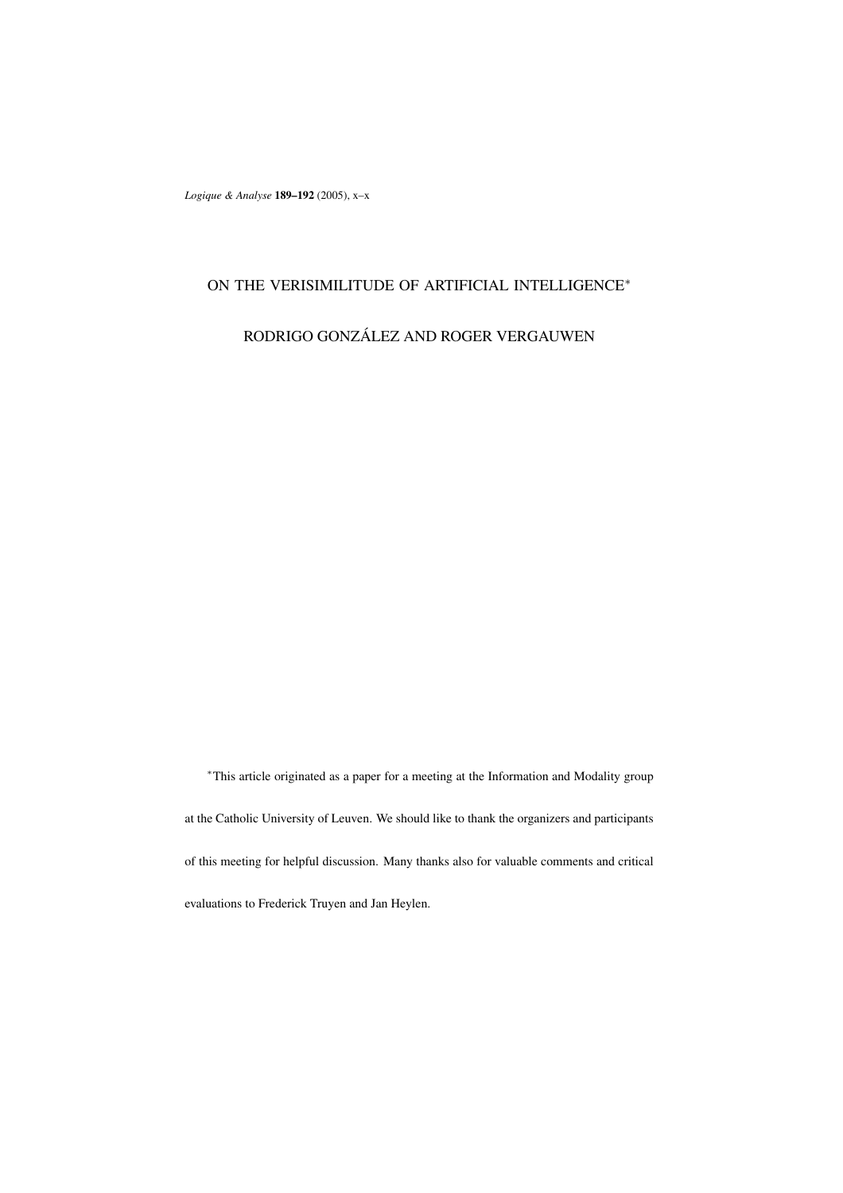*Logique & Analyse* **189–192** (2005), x–x

## ON THE VERISIMILITUDE OF ARTIFICIAL INTELLIGENCE<sup>∗</sup>

RODRIGO GONZÁLEZ AND ROGER VERGAUWEN

<sup>∗</sup>This article originated as a paper for a meeting at the Information and Modality group at the Catholic University of Leuven. We should like to thank the organizers and participants of this meeting for helpful discussion. Many thanks also for valuable comments and critical evaluations to Frederick Truyen and Jan Heylen.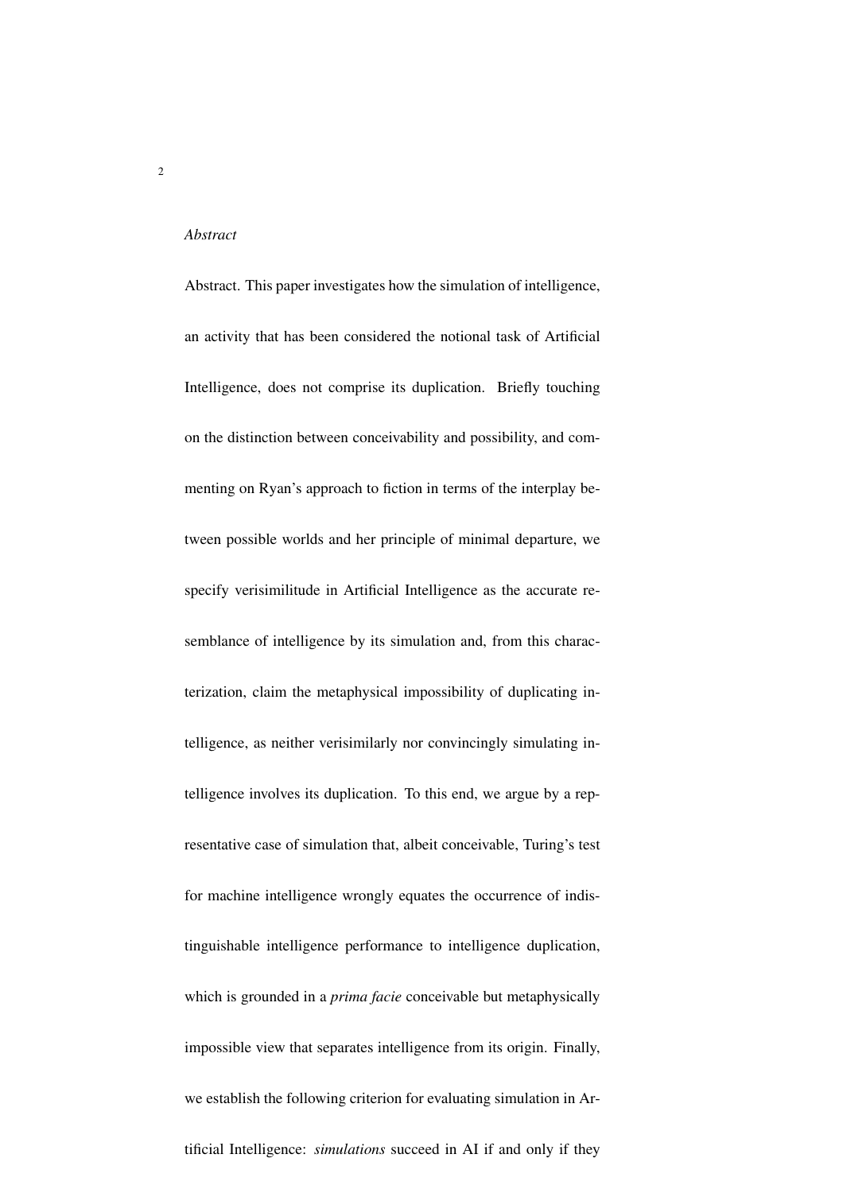#### *Abstract*

Abstract. This paper investigates how the simulation of intelligence, an activity that has been considered the notional task of Artificial Intelligence, does not comprise its duplication. Briefly touching on the distinction between conceivability and possibility, and commenting on Ryan's approach to fiction in terms of the interplay between possible worlds and her principle of minimal departure, we specify verisimilitude in Artificial Intelligence as the accurate resemblance of intelligence by its simulation and, from this characterization, claim the metaphysical impossibility of duplicating intelligence, as neither verisimilarly nor convincingly simulating intelligence involves its duplication. To this end, we argue by a representative case of simulation that, albeit conceivable, Turing's test for machine intelligence wrongly equates the occurrence of indistinguishable intelligence performance to intelligence duplication, which is grounded in a *prima facie* conceivable but metaphysically impossible view that separates intelligence from its origin. Finally, we establish the following criterion for evaluating simulation in Artificial Intelligence: *simulations* succeed in AI if and only if they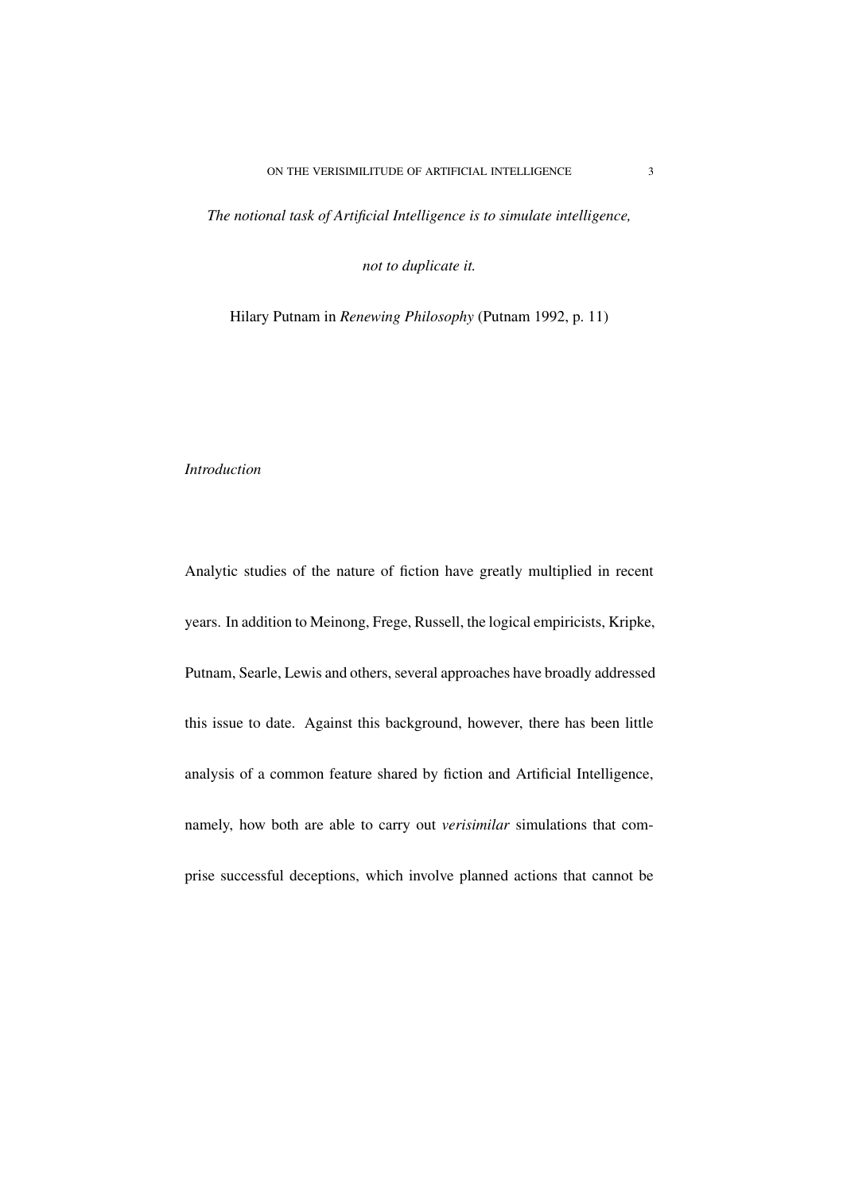*The notional task of Artificial Intelligence is to simulate intelligence,*

*not to duplicate it.*

Hilary Putnam in *Renewing Philosophy* (Putnam 1992, p. 11)

## *Introduction*

Analytic studies of the nature of fiction have greatly multiplied in recent years. In addition to Meinong, Frege, Russell, the logical empiricists, Kripke, Putnam, Searle, Lewis and others, several approaches have broadly addressed this issue to date. Against this background, however, there has been little analysis of a common feature shared by fiction and Artificial Intelligence, namely, how both are able to carry out *verisimilar* simulations that comprise successful deceptions, which involve planned actions that cannot be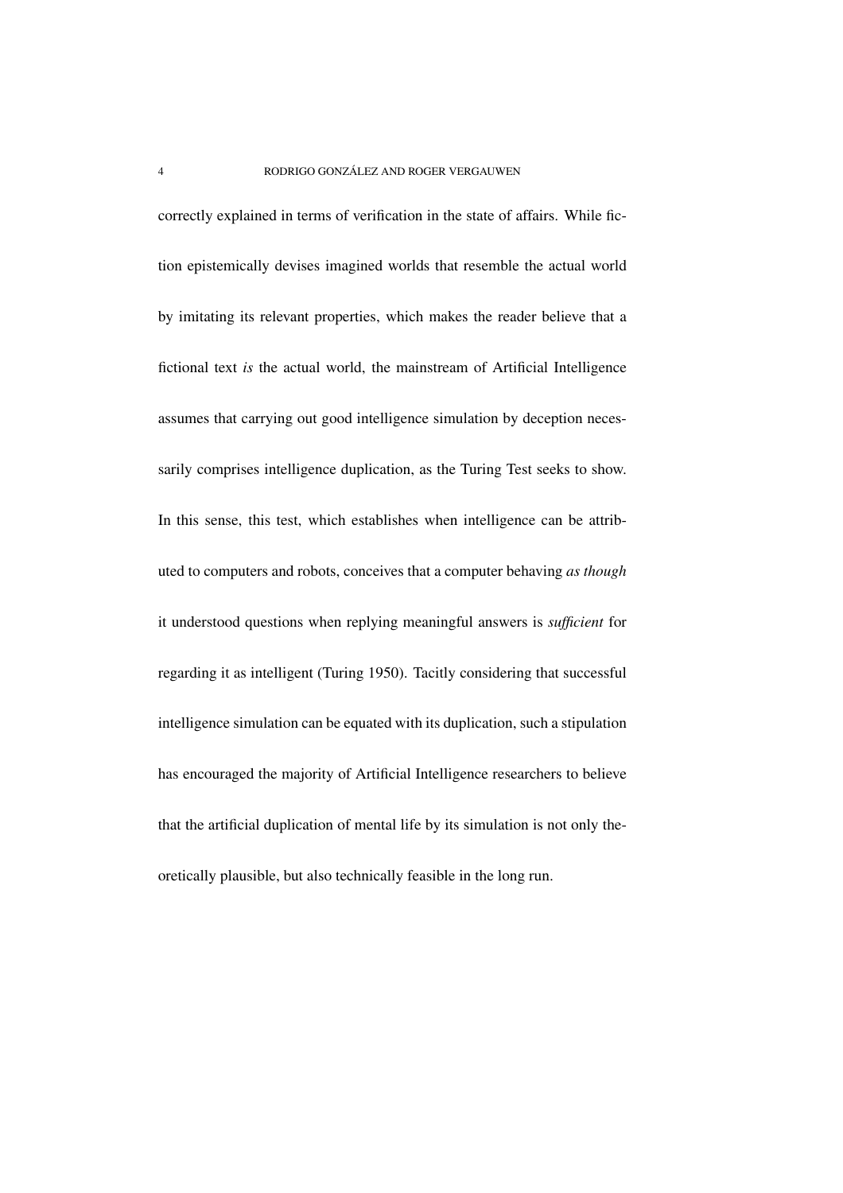correctly explained in terms of verification in the state of affairs. While fiction epistemically devises imagined worlds that resemble the actual world by imitating its relevant properties, which makes the reader believe that a fictional text *is* the actual world, the mainstream of Artificial Intelligence assumes that carrying out good intelligence simulation by deception necessarily comprises intelligence duplication, as the Turing Test seeks to show. In this sense, this test, which establishes when intelligence can be attributed to computers and robots, conceives that a computer behaving *as though* it understood questions when replying meaningful answers is *sufficient* for regarding it as intelligent (Turing 1950). Tacitly considering that successful intelligence simulation can be equated with its duplication, such a stipulation has encouraged the majority of Artificial Intelligence researchers to believe that the artificial duplication of mental life by its simulation is not only theoretically plausible, but also technically feasible in the long run.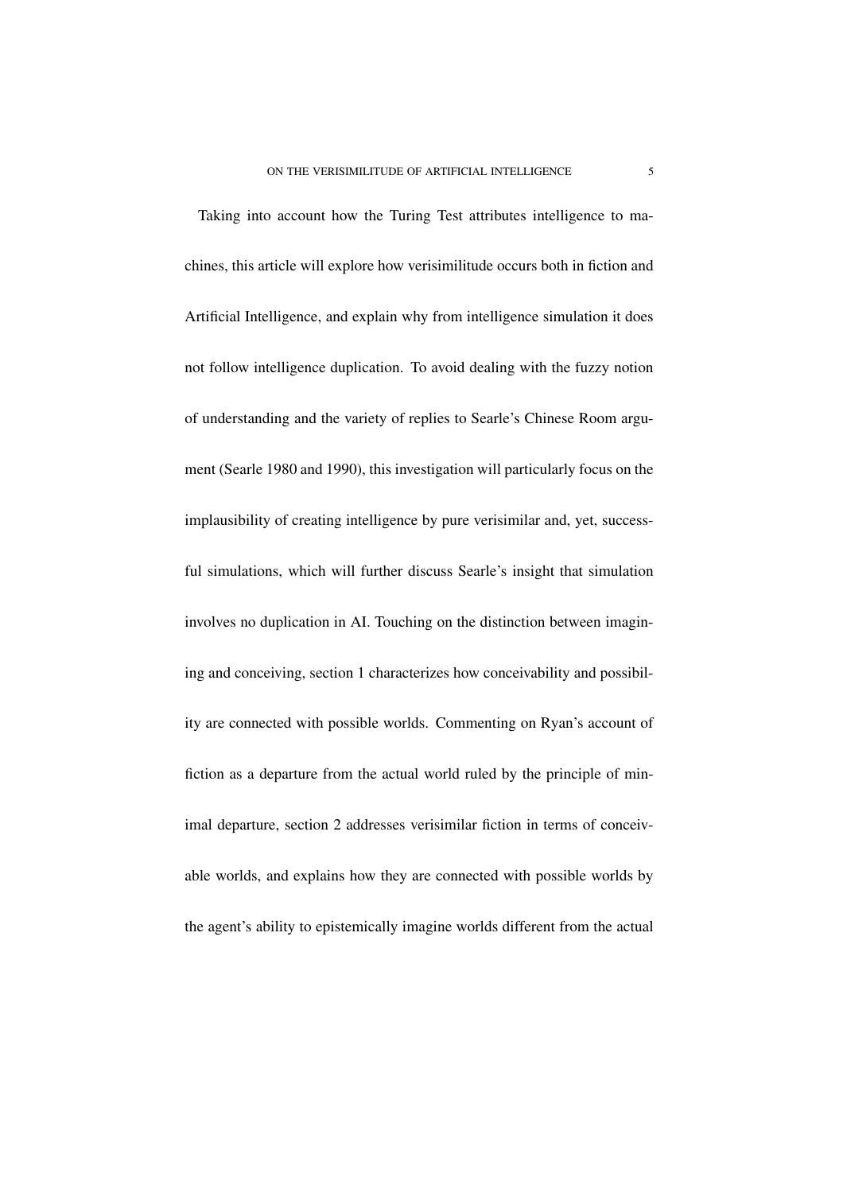Taking into account how the Turing Test attributes intelligence to machines, this article will explore how verisimilitude occurs both in fiction and Artificial Intelligence, and explain why from intelligence simulation it does not follow intelligence duplication. To avoid dealing with the fuzzy notion of understanding and the variety of replies to Searle's Chinese Room argument (Searle 1980 and 1990), this investigation will particularly focus on the implausibility of creating intelligence by pure verisimilar and, yet, successful simulations, which will further discuss Searle's insight that simulation involves no duplication in AI. Touching on the distinction between imagining and conceiving, section 1 characterizes how conceivability and possibility are connected with possible worlds. Commenting on Ryan's account of fiction as a departure from the actual world ruled by the principle of minimal departure, section 2 addresses verisimilar fiction in terms of conceivable worlds, and explains how they are connected with possible worlds by the agent's ability to epistemically imagine worlds different from the actual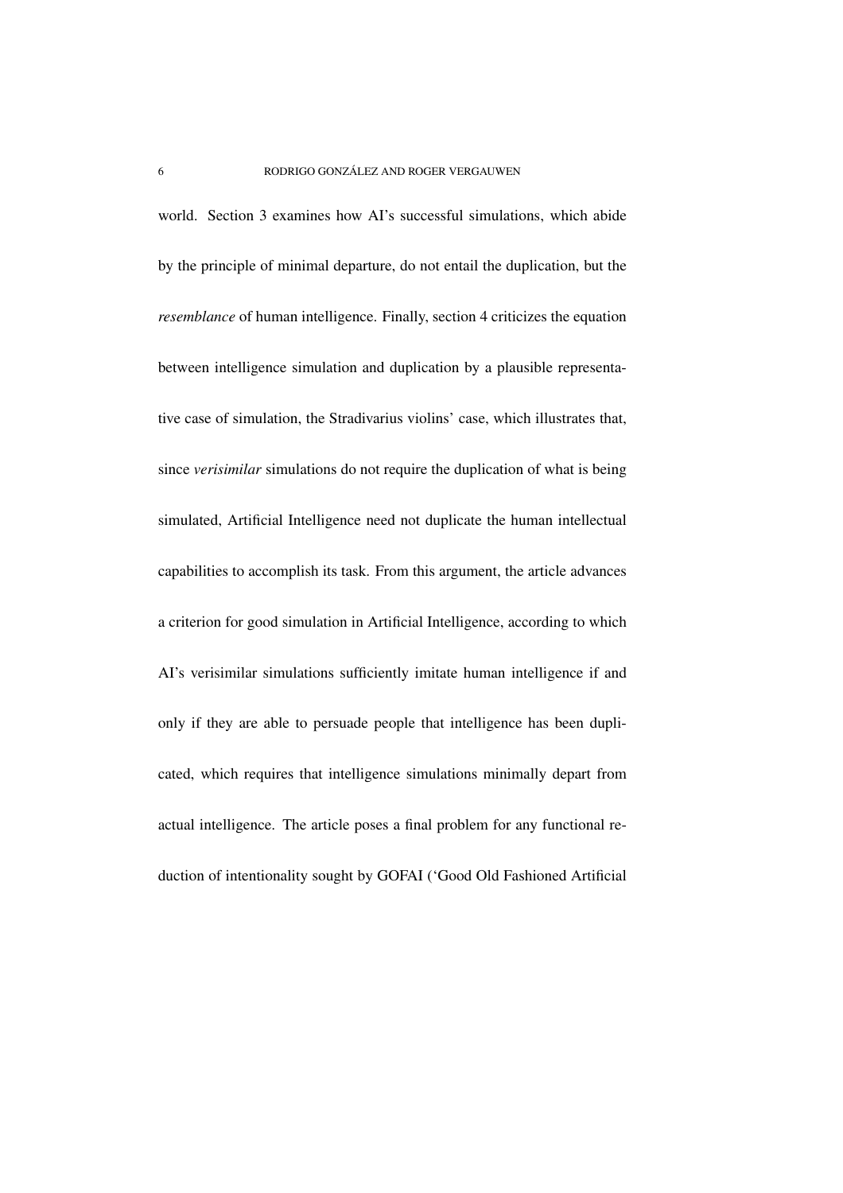world. Section 3 examines how AI's successful simulations, which abide by the principle of minimal departure, do not entail the duplication, but the *resemblance* of human intelligence. Finally, section 4 criticizes the equation between intelligence simulation and duplication by a plausible representative case of simulation, the Stradivarius violins' case, which illustrates that, since *verisimilar* simulations do not require the duplication of what is being simulated, Artificial Intelligence need not duplicate the human intellectual capabilities to accomplish its task. From this argument, the article advances a criterion for good simulation in Artificial Intelligence, according to which AI's verisimilar simulations sufficiently imitate human intelligence if and only if they are able to persuade people that intelligence has been duplicated, which requires that intelligence simulations minimally depart from actual intelligence. The article poses a final problem for any functional reduction of intentionality sought by GOFAI ('Good Old Fashioned Artificial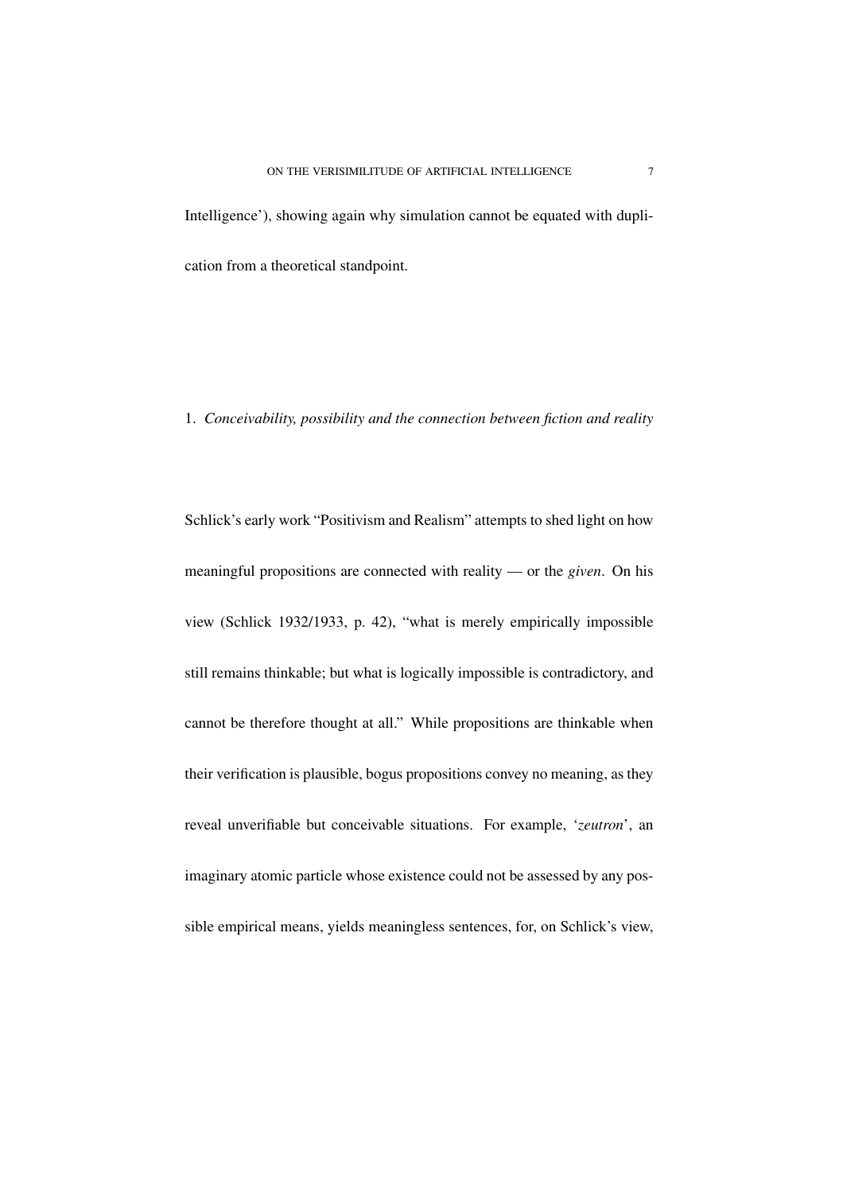Intelligence'), showing again why simulation cannot be equated with duplication from a theoretical standpoint.

# 1. *Conceivability, possibility and the connection between fiction and reality*

Schlick's early work "Positivism and Realism" attempts to shed light on how meaningful propositions are connected with reality — or the *given*. On his view (Schlick 1932/1933, p. 42), "what is merely empirically impossible still remains thinkable; but what is logically impossible is contradictory, and cannot be therefore thought at all." While propositions are thinkable when their verification is plausible, bogus propositions convey no meaning, as they reveal unverifiable but conceivable situations. For example, '*zeutron*', an imaginary atomic particle whose existence could not be assessed by any possible empirical means, yields meaningless sentences, for, on Schlick's view,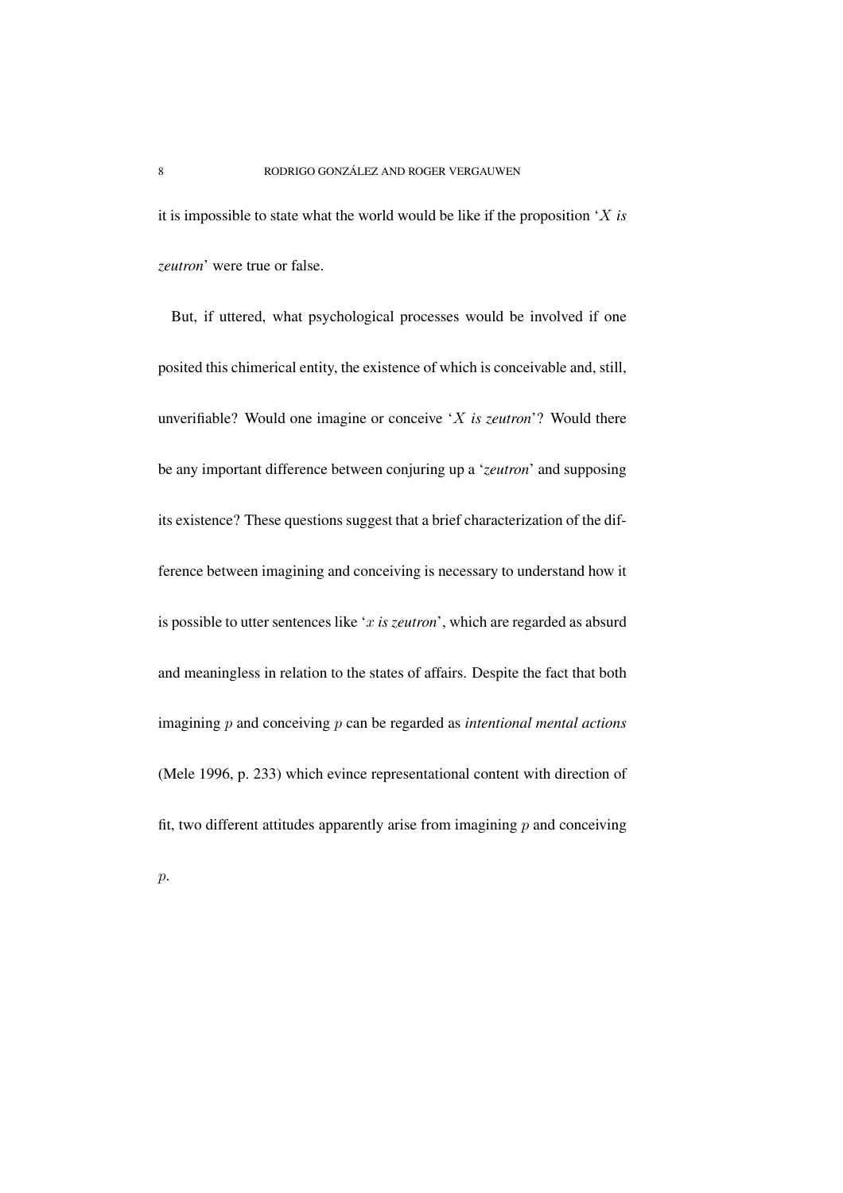it is impossible to state what the world would be like if the proposition 'X *is zeutron*' were true or false.

But, if uttered, what psychological processes would be involved if one posited this chimerical entity, the existence of which is conceivable and, still, unverifiable? Would one imagine or conceive 'X *is zeutron*'? Would there be any important difference between conjuring up a '*zeutron*' and supposing its existence? These questions suggest that a brief characterization of the difference between imagining and conceiving is necessary to understand how it is possible to utter sentences like 'x *is zeutron*', which are regarded as absurd and meaningless in relation to the states of affairs. Despite the fact that both imagining p and conceiving p can be regarded as *intentional mental actions* (Mele 1996, p. 233) which evince representational content with direction of fit, two different attitudes apparently arise from imagining  $p$  and conceiving

 $\mathcal{p}$ .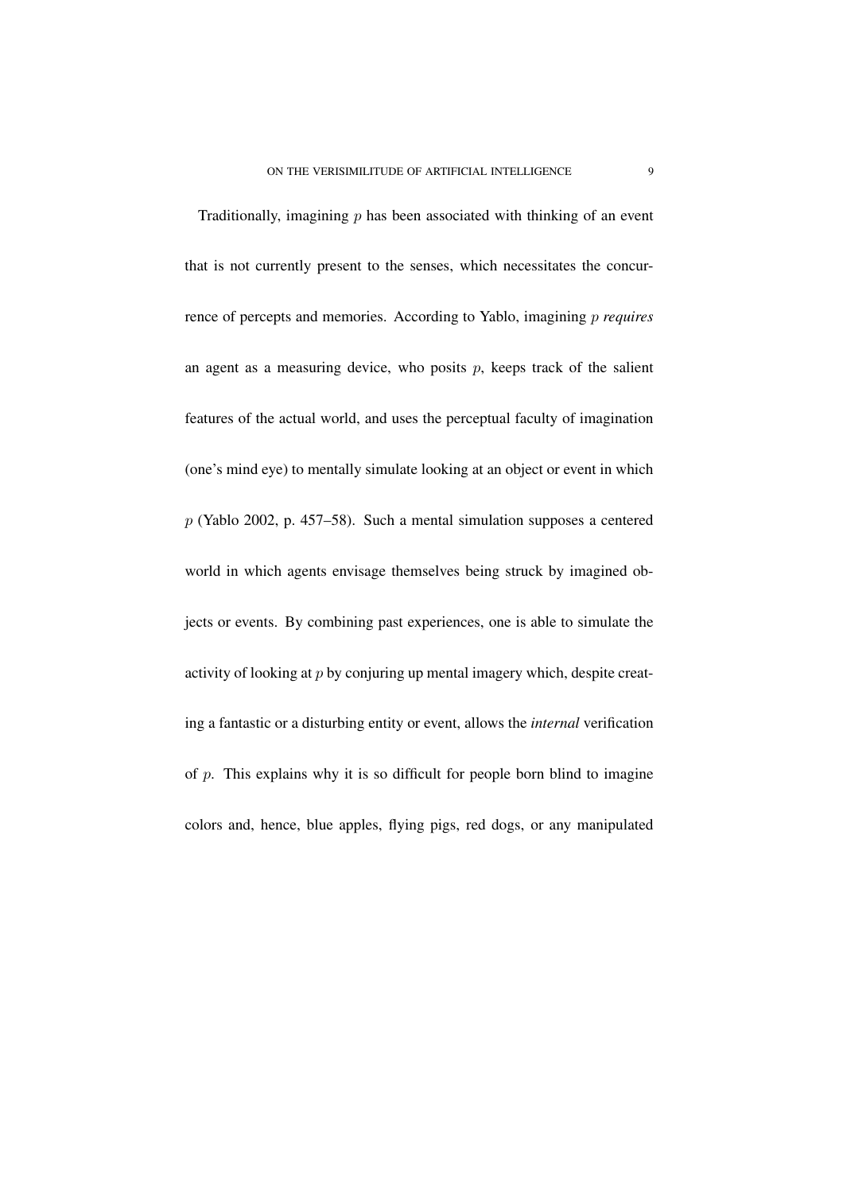Traditionally, imagining  $p$  has been associated with thinking of an event that is not currently present to the senses, which necessitates the concurrence of percepts and memories. According to Yablo, imagining p *requires* an agent as a measuring device, who posits  $p$ , keeps track of the salient features of the actual world, and uses the perceptual faculty of imagination (one's mind eye) to mentally simulate looking at an object or event in which p (Yablo 2002, p. 457–58). Such a mental simulation supposes a centered world in which agents envisage themselves being struck by imagined objects or events. By combining past experiences, one is able to simulate the activity of looking at  $p$  by conjuring up mental imagery which, despite creating a fantastic or a disturbing entity or event, allows the *internal* verification of  $p$ . This explains why it is so difficult for people born blind to imagine colors and, hence, blue apples, flying pigs, red dogs, or any manipulated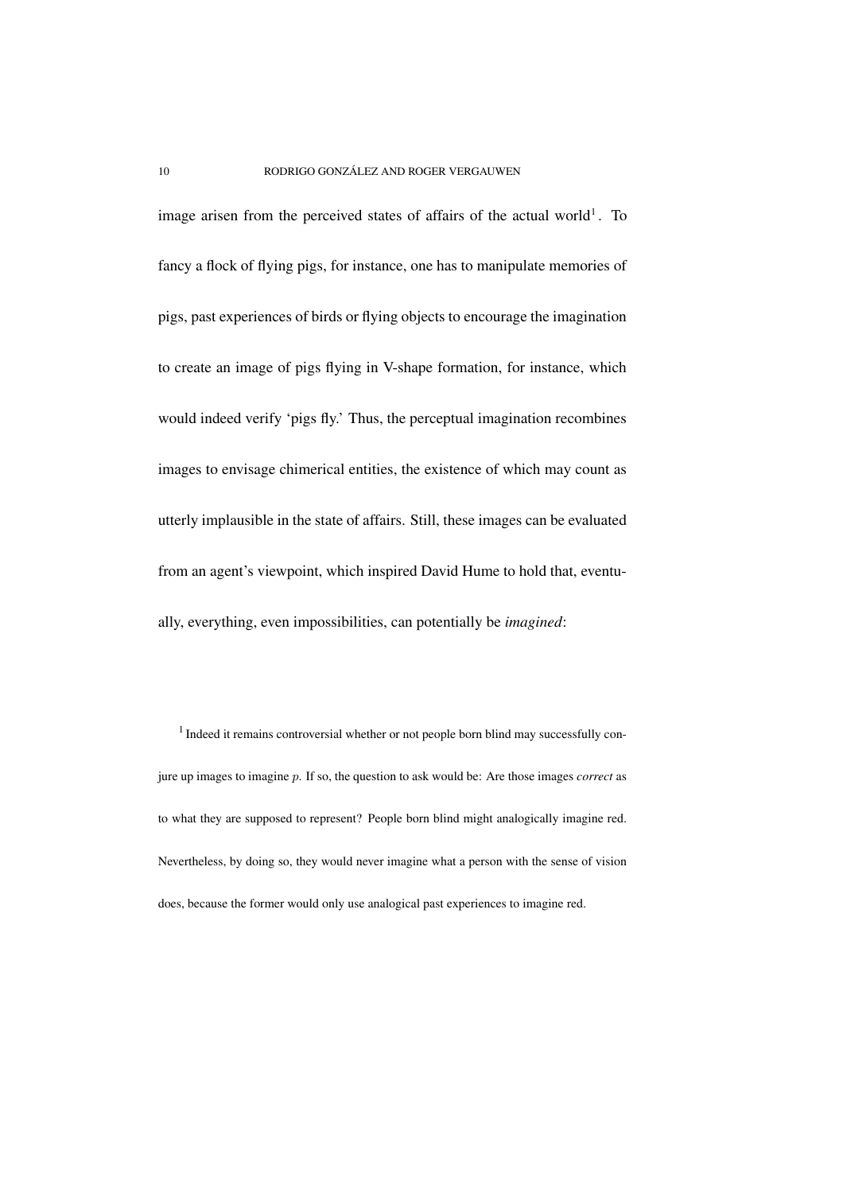image arisen from the perceived states of affairs of the actual world<sup>1</sup>. To fancy a flock of flying pigs, for instance, one has to manipulate memories of pigs, past experiences of birds or flying objects to encourage the imagination to create an image of pigs flying in V-shape formation, for instance, which would indeed verify 'pigs fly.' Thus, the perceptual imagination recombines images to envisage chimerical entities, the existence of which may count as utterly implausible in the state of affairs. Still, these images can be evaluated from an agent's viewpoint, which inspired David Hume to hold that, eventually, everything, even impossibilities, can potentially be *imagined*:

<sup>1</sup> Indeed it remains controversial whether or not people born blind may successfully conjure up images to imagine p. If so, the question to ask would be: Are those images *correct* as to what they are supposed to represent? People born blind might analogically imagine red. Nevertheless, by doing so, they would never imagine what a person with the sense of vision does, because the former would only use analogical past experiences to imagine red.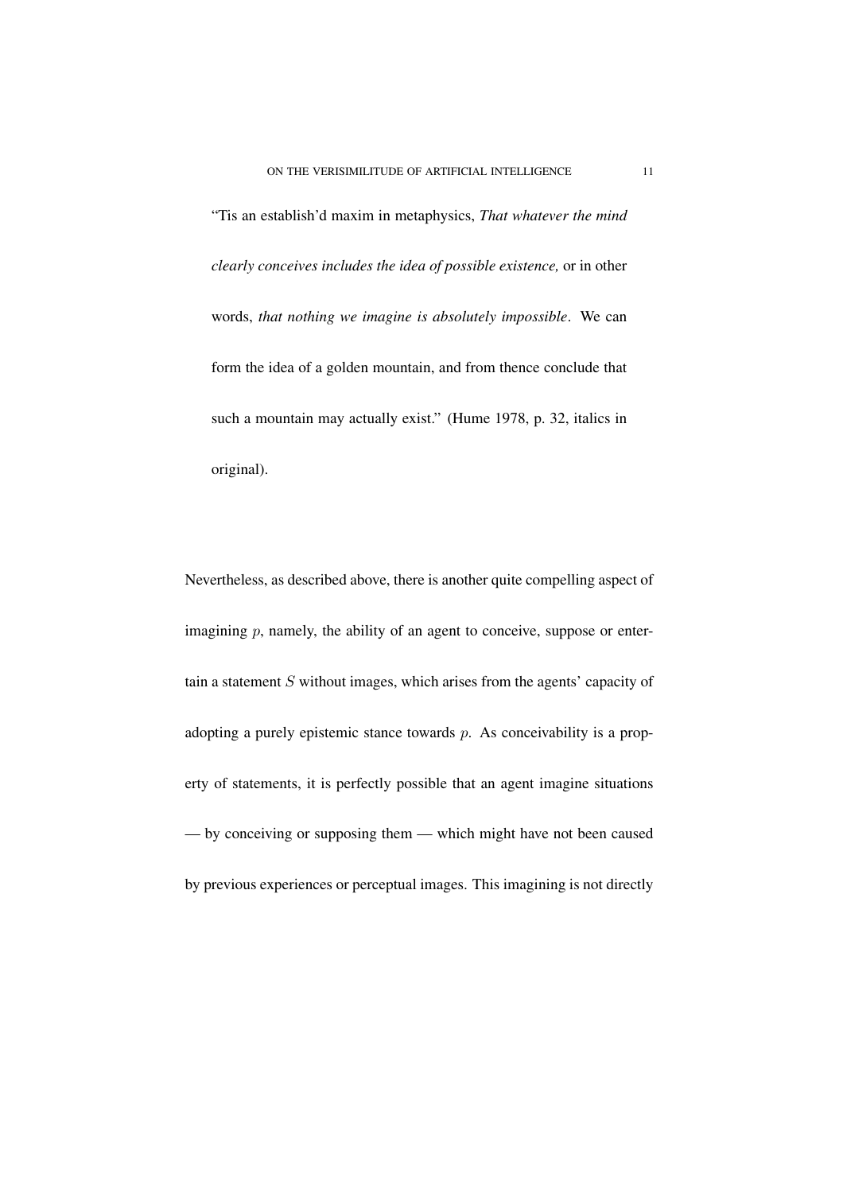"Tis an establish'd maxim in metaphysics, *That whatever the mind clearly conceives includes the idea of possible existence,* or in other words, *that nothing we imagine is absolutely impossible*. We can form the idea of a golden mountain, and from thence conclude that such a mountain may actually exist." (Hume 1978, p. 32, italics in original).

Nevertheless, as described above, there is another quite compelling aspect of imagining  $p$ , namely, the ability of an agent to conceive, suppose or entertain a statement S without images, which arises from the agents' capacity of adopting a purely epistemic stance towards  $p$ . As conceivability is a property of statements, it is perfectly possible that an agent imagine situations — by conceiving or supposing them — which might have not been caused by previous experiences or perceptual images. This imagining is not directly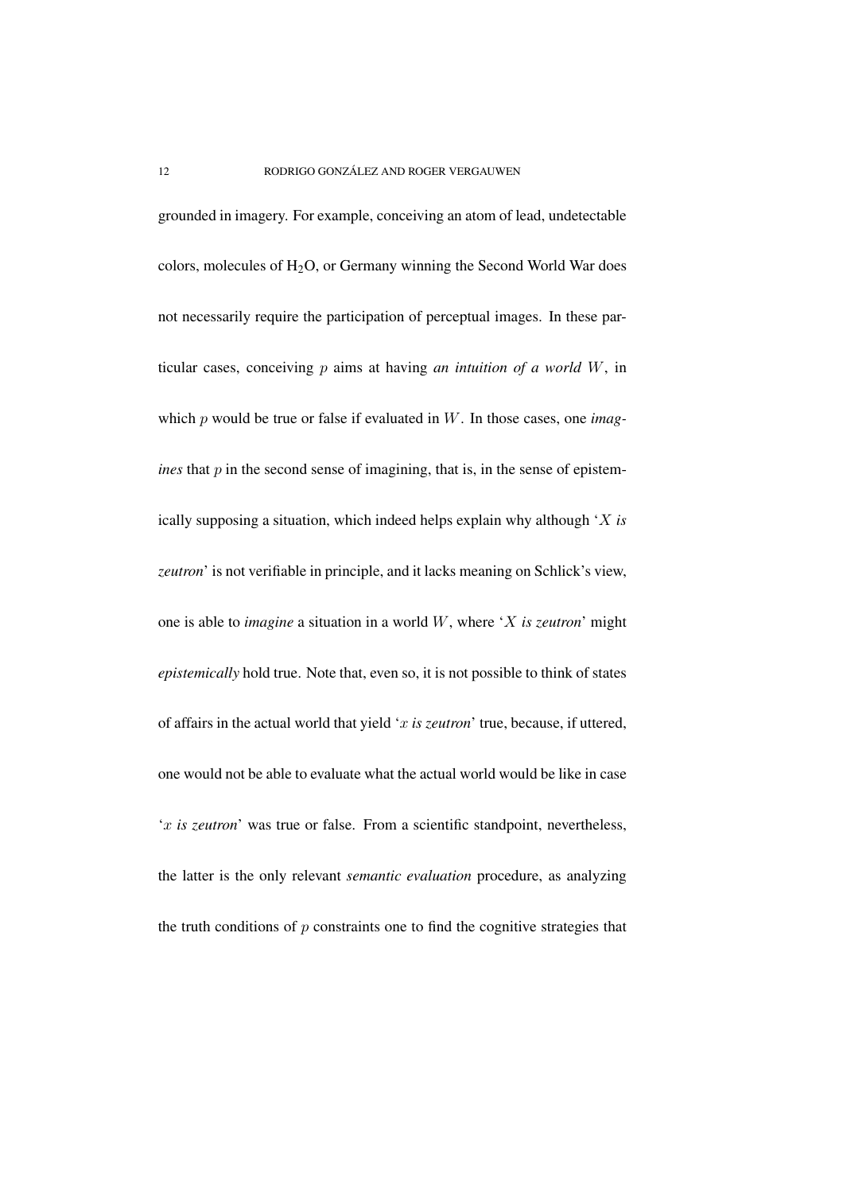grounded in imagery. For example, conceiving an atom of lead, undetectable colors, molecules of  $H_2O$ , or Germany winning the Second World War does not necessarily require the participation of perceptual images. In these particular cases, conceiving p aims at having *an intuition of a world* W, in which p would be true or false if evaluated in W. In those cases, one *imagines* that  $p$  in the second sense of imagining, that is, in the sense of epistemically supposing a situation, which indeed helps explain why although 'X *is zeutron*' is not verifiable in principle, and it lacks meaning on Schlick's view, one is able to *imagine* a situation in a world W, where 'X *is zeutron*' might *epistemically* hold true. Note that, even so, it is not possible to think of states of affairs in the actual world that yield 'x *is zeutron*' true, because, if uttered, one would not be able to evaluate what the actual world would be like in case 'x *is zeutron*' was true or false. From a scientific standpoint, nevertheless, the latter is the only relevant *semantic evaluation* procedure, as analyzing the truth conditions of  $p$  constraints one to find the cognitive strategies that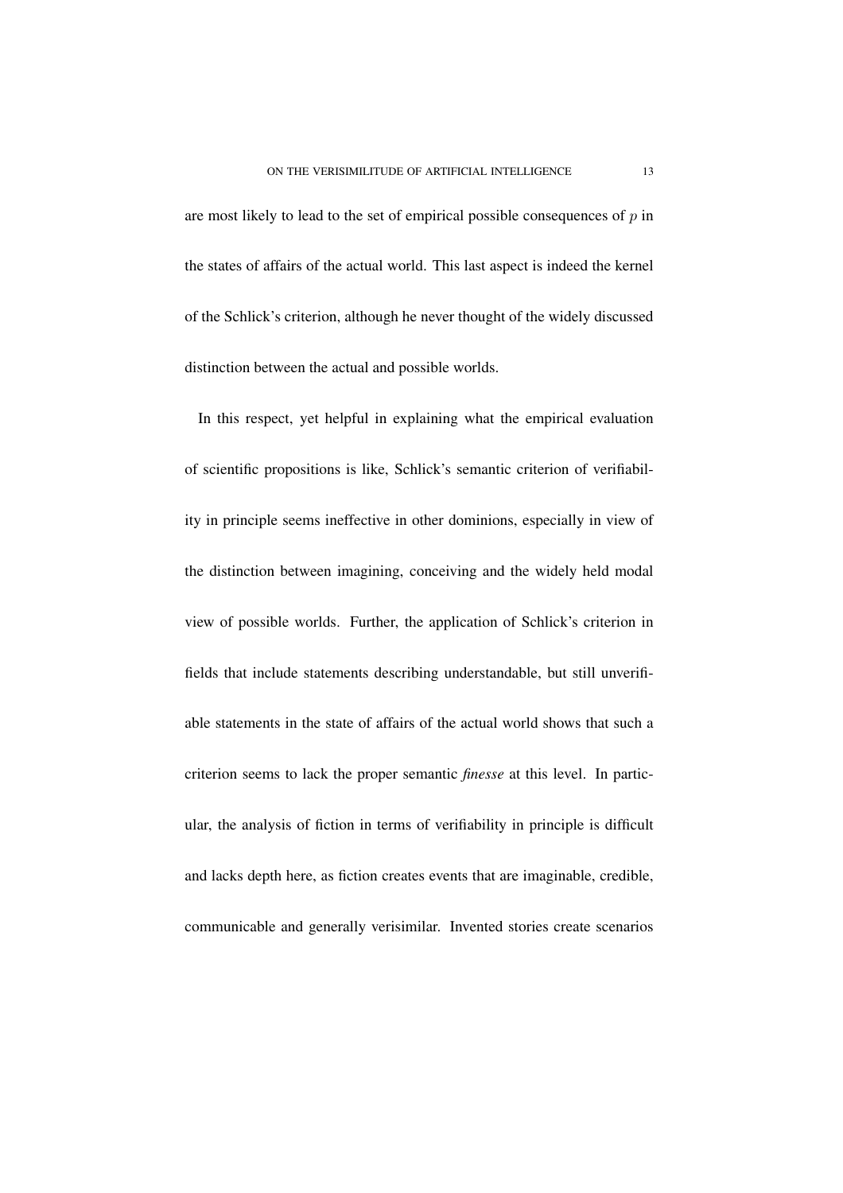are most likely to lead to the set of empirical possible consequences of  $p$  in the states of affairs of the actual world. This last aspect is indeed the kernel of the Schlick's criterion, although he never thought of the widely discussed distinction between the actual and possible worlds.

In this respect, yet helpful in explaining what the empirical evaluation of scientific propositions is like, Schlick's semantic criterion of verifiability in principle seems ineffective in other dominions, especially in view of the distinction between imagining, conceiving and the widely held modal view of possible worlds. Further, the application of Schlick's criterion in fields that include statements describing understandable, but still unverifiable statements in the state of affairs of the actual world shows that such a criterion seems to lack the proper semantic *finesse* at this level. In particular, the analysis of fiction in terms of verifiability in principle is difficult and lacks depth here, as fiction creates events that are imaginable, credible, communicable and generally verisimilar. Invented stories create scenarios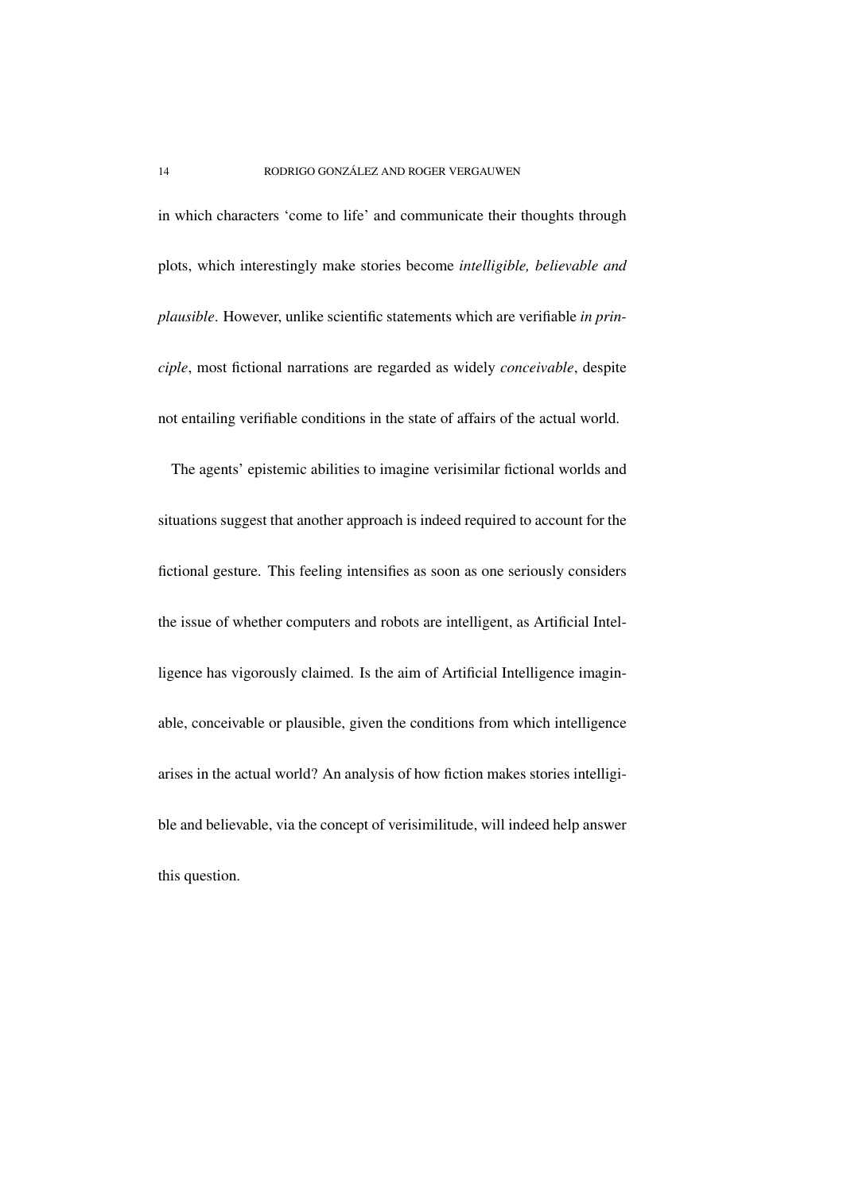in which characters 'come to life' and communicate their thoughts through plots, which interestingly make stories become *intelligible, believable and plausible*. However, unlike scientific statements which are verifiable *in principle*, most fictional narrations are regarded as widely *conceivable*, despite not entailing verifiable conditions in the state of affairs of the actual world.

The agents' epistemic abilities to imagine verisimilar fictional worlds and situations suggest that another approach is indeed required to account for the fictional gesture. This feeling intensifies as soon as one seriously considers the issue of whether computers and robots are intelligent, as Artificial Intelligence has vigorously claimed. Is the aim of Artificial Intelligence imaginable, conceivable or plausible, given the conditions from which intelligence arises in the actual world? An analysis of how fiction makes stories intelligible and believable, via the concept of verisimilitude, will indeed help answer this question.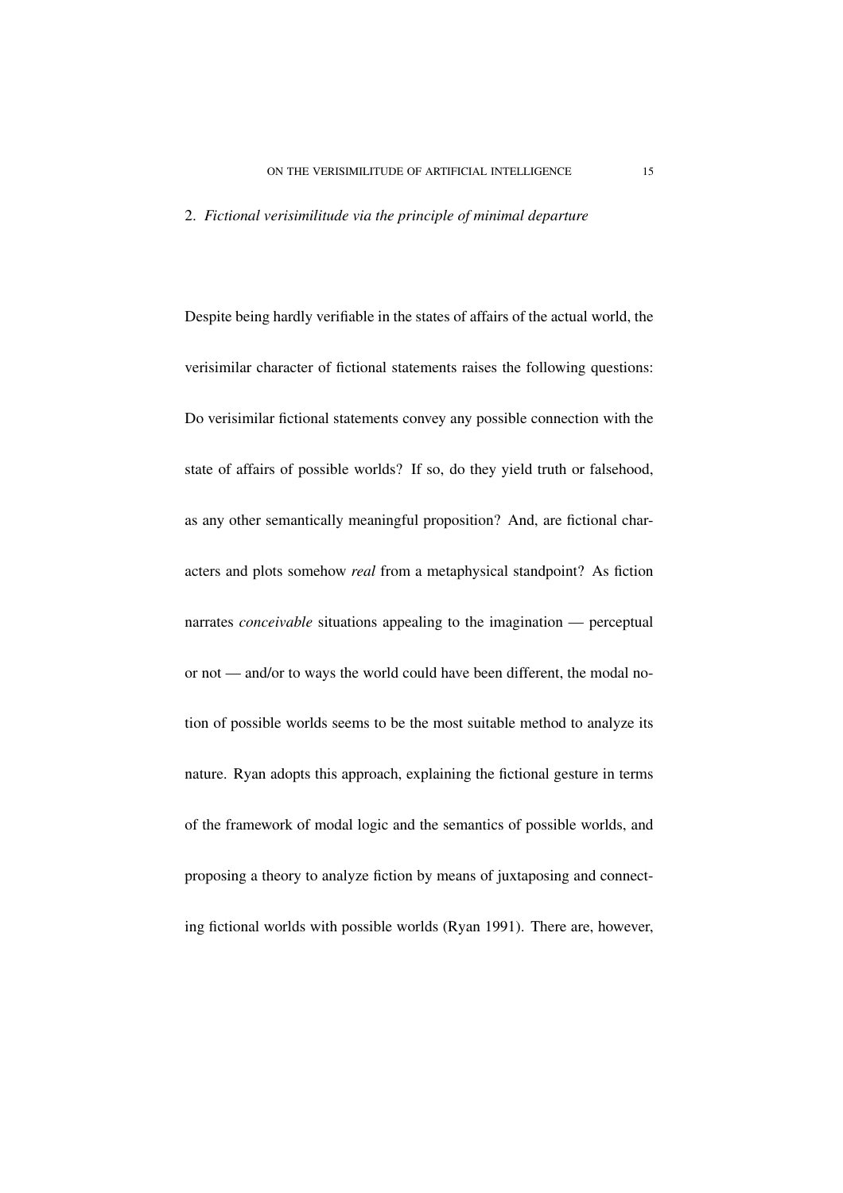#### 2. *Fictional verisimilitude via the principle of minimal departure*

Despite being hardly verifiable in the states of affairs of the actual world, the verisimilar character of fictional statements raises the following questions: Do verisimilar fictional statements convey any possible connection with the state of affairs of possible worlds? If so, do they yield truth or falsehood, as any other semantically meaningful proposition? And, are fictional characters and plots somehow *real* from a metaphysical standpoint? As fiction narrates *conceivable* situations appealing to the imagination — perceptual or not — and/or to ways the world could have been different, the modal notion of possible worlds seems to be the most suitable method to analyze its nature. Ryan adopts this approach, explaining the fictional gesture in terms of the framework of modal logic and the semantics of possible worlds, and proposing a theory to analyze fiction by means of juxtaposing and connecting fictional worlds with possible worlds (Ryan 1991). There are, however,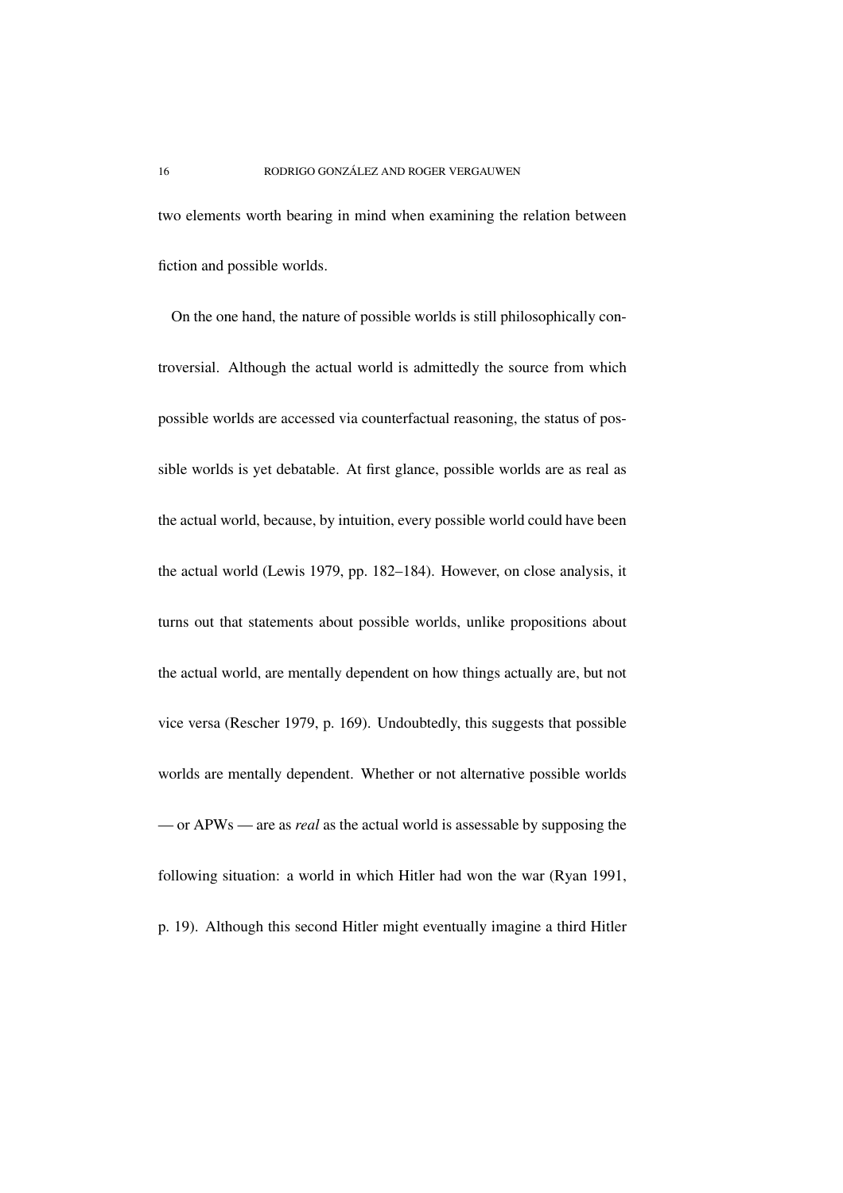two elements worth bearing in mind when examining the relation between fiction and possible worlds.

On the one hand, the nature of possible worlds is still philosophically controversial. Although the actual world is admittedly the source from which possible worlds are accessed via counterfactual reasoning, the status of possible worlds is yet debatable. At first glance, possible worlds are as real as the actual world, because, by intuition, every possible world could have been the actual world (Lewis 1979, pp. 182–184). However, on close analysis, it turns out that statements about possible worlds, unlike propositions about the actual world, are mentally dependent on how things actually are, but not vice versa (Rescher 1979, p. 169). Undoubtedly, this suggests that possible worlds are mentally dependent. Whether or not alternative possible worlds — or APWs — are as *real* as the actual world is assessable by supposing the following situation: a world in which Hitler had won the war (Ryan 1991, p. 19). Although this second Hitler might eventually imagine a third Hitler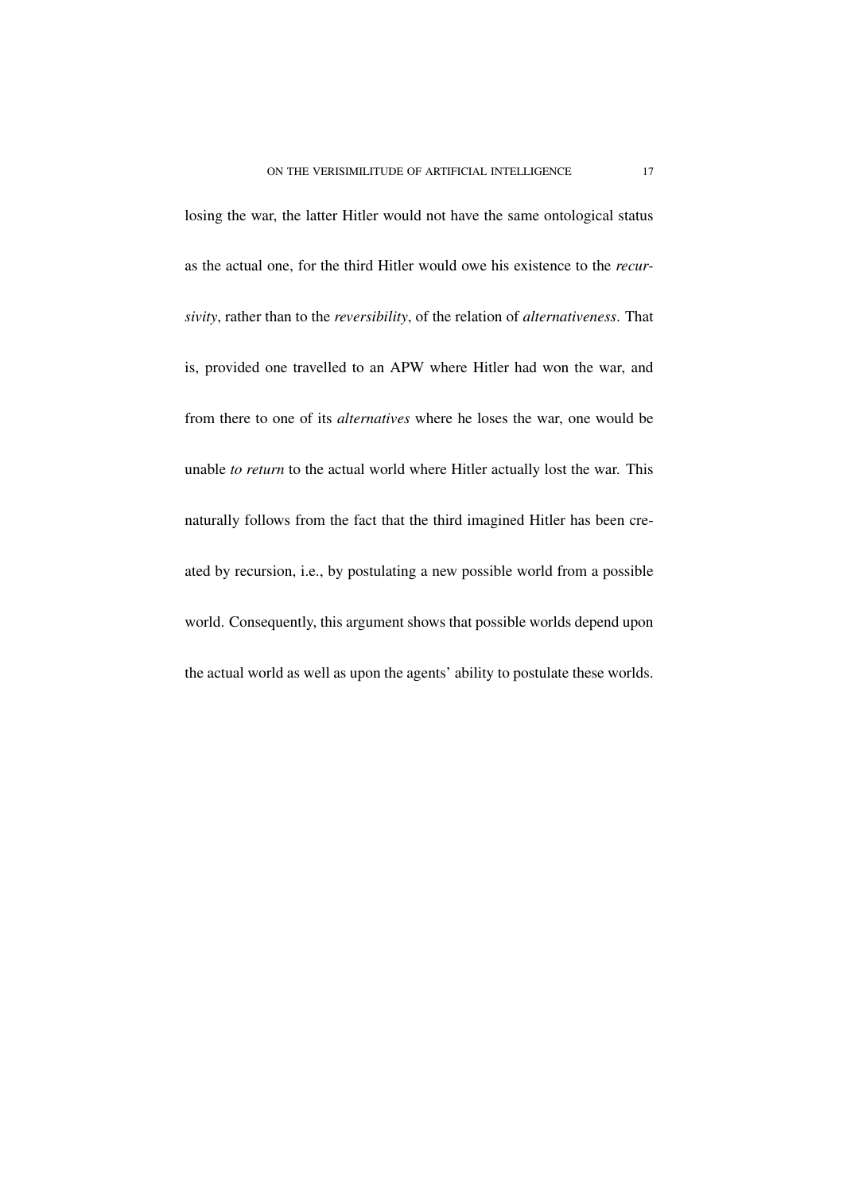losing the war, the latter Hitler would not have the same ontological status as the actual one, for the third Hitler would owe his existence to the *recursivity*, rather than to the *reversibility*, of the relation of *alternativeness*. That is, provided one travelled to an APW where Hitler had won the war, and from there to one of its *alternatives* where he loses the war, one would be unable *to return* to the actual world where Hitler actually lost the war. This naturally follows from the fact that the third imagined Hitler has been created by recursion, i.e., by postulating a new possible world from a possible world. Consequently, this argument shows that possible worlds depend upon the actual world as well as upon the agents' ability to postulate these worlds.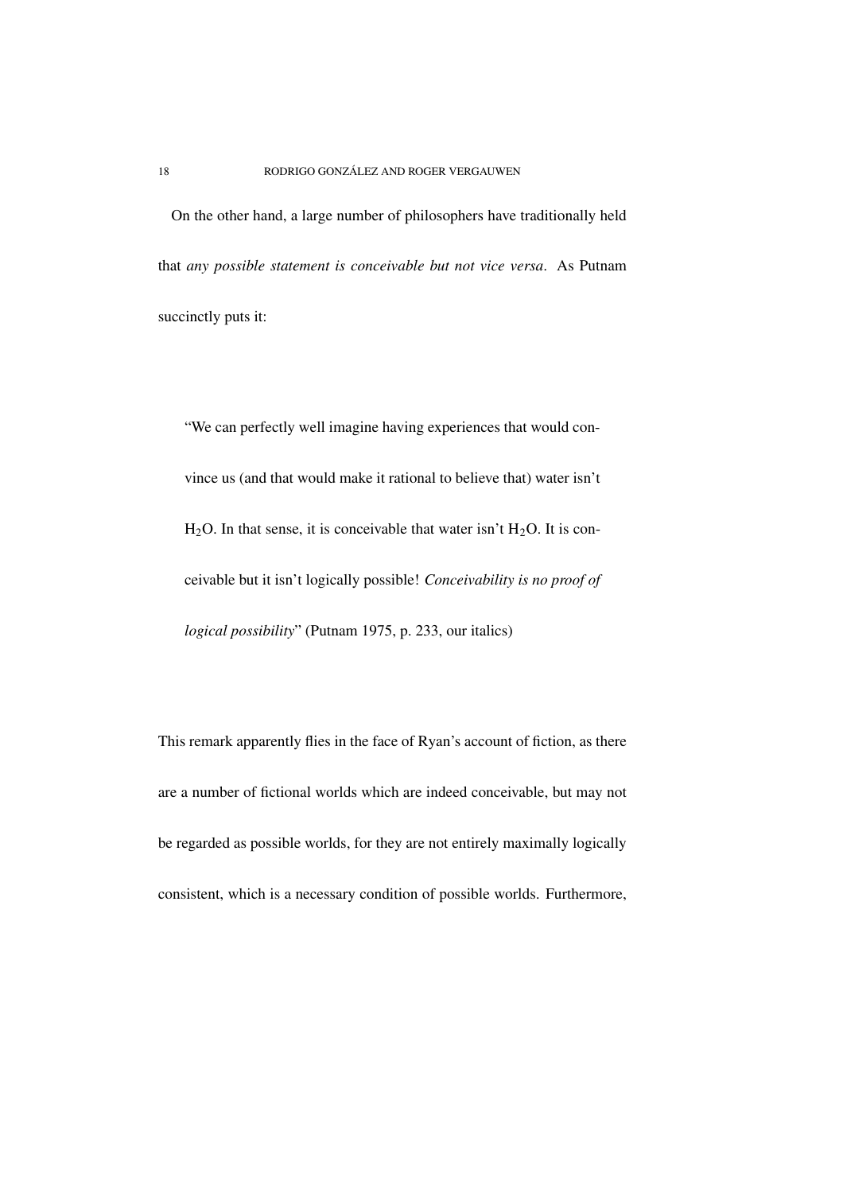On the other hand, a large number of philosophers have traditionally held that *any possible statement is conceivable but not vice versa*. As Putnam succinctly puts it:

"We can perfectly well imagine having experiences that would convince us (and that would make it rational to believe that) water isn't  $H<sub>2</sub>O$ . In that sense, it is conceivable that water isn't  $H<sub>2</sub>O$ . It is conceivable but it isn't logically possible! *Conceivability is no proof of logical possibility*" (Putnam 1975, p. 233, our italics)

This remark apparently flies in the face of Ryan's account of fiction, as there are a number of fictional worlds which are indeed conceivable, but may not be regarded as possible worlds, for they are not entirely maximally logically consistent, which is a necessary condition of possible worlds. Furthermore,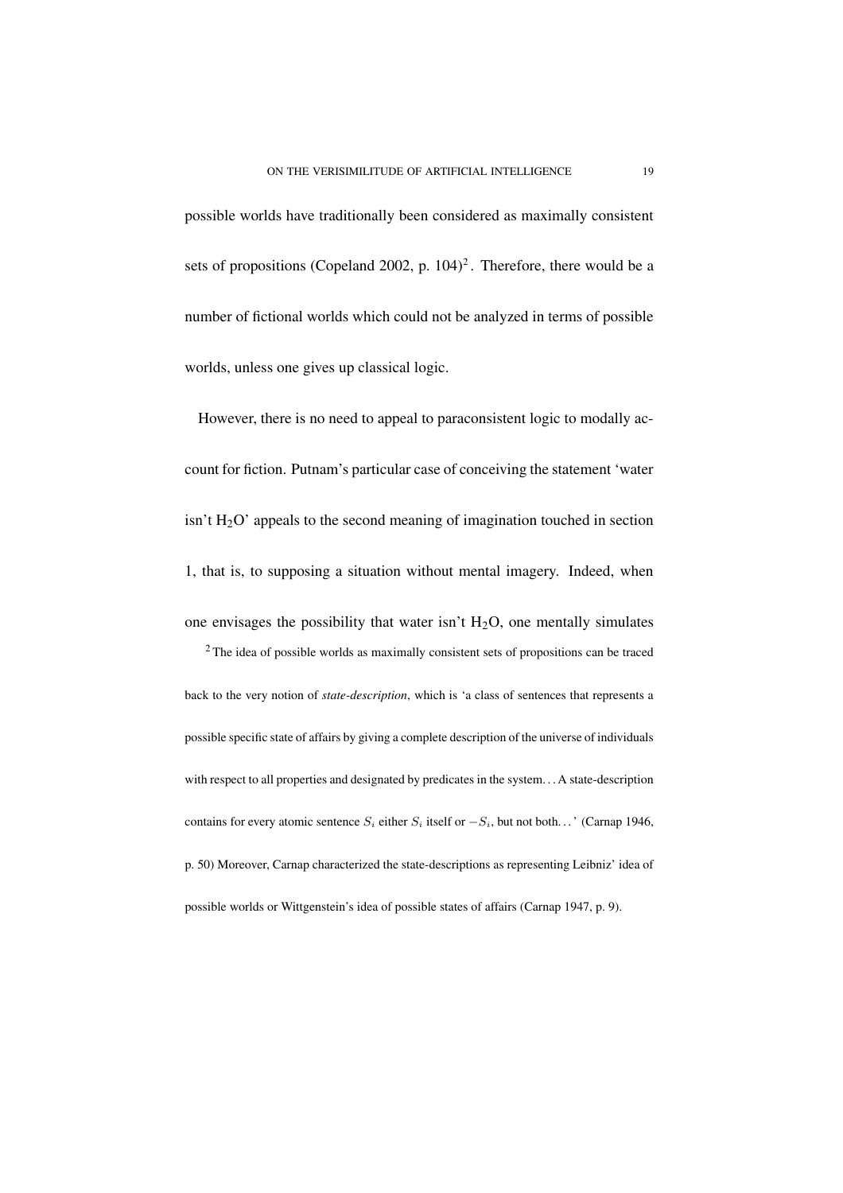possible worlds have traditionally been considered as maximally consistent sets of propositions (Copeland 2002, p.  $104$ )<sup>2</sup>. Therefore, there would be a number of fictional worlds which could not be analyzed in terms of possible worlds, unless one gives up classical logic.

However, there is no need to appeal to paraconsistent logic to modally account for fiction. Putnam's particular case of conceiving the statement 'water  $\sin^2(H_2O)$  appeals to the second meaning of imagination touched in section 1, that is, to supposing a situation without mental imagery. Indeed, when one envisages the possibility that water isn't  $H_2O$ , one mentally simulates

<sup>2</sup> The idea of possible worlds as maximally consistent sets of propositions can be traced back to the very notion of *state-description*, which is 'a class of sentences that represents a possible specific state of affairs by giving a complete description of the universe of individuals with respect to all properties and designated by predicates in the system. . . A state-description contains for every atomic sentence  $S_i$  either  $S_i$  itself or  $-S_i$ , but not both...' (Carnap 1946, p. 50) Moreover, Carnap characterized the state-descriptions as representing Leibniz' idea of possible worlds or Wittgenstein's idea of possible states of affairs (Carnap 1947, p. 9).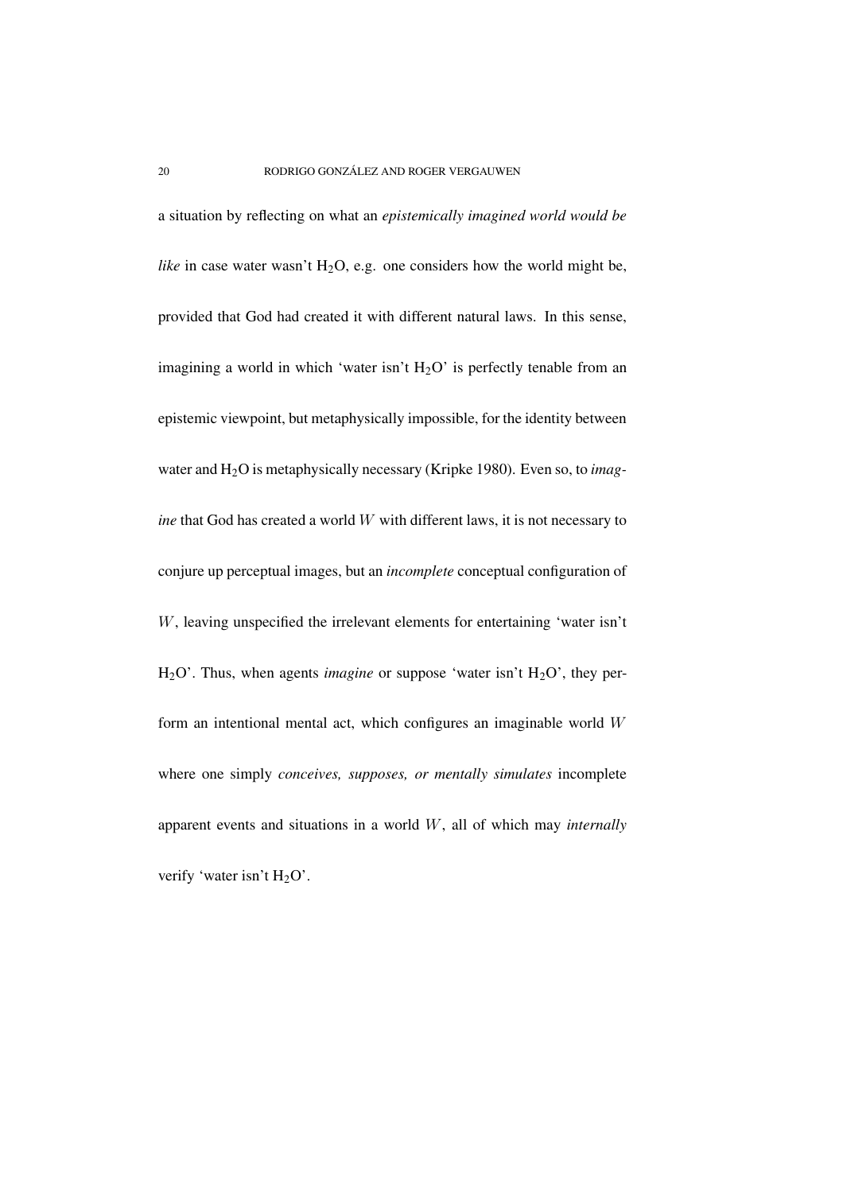a situation by reflecting on what an *epistemically imagined world would be like* in case water wasn't  $H_2O$ , e.g. one considers how the world might be, provided that God had created it with different natural laws. In this sense, imagining a world in which 'water isn't  $H_2O$ ' is perfectly tenable from an epistemic viewpoint, but metaphysically impossible, for the identity between water and H2O is metaphysically necessary (Kripke 1980). Even so, to *imagine* that God has created a world W with different laws, it is not necessary to conjure up perceptual images, but an *incomplete* conceptual configuration of W, leaving unspecified the irrelevant elements for entertaining 'water isn't H<sub>2</sub>O'. Thus, when agents *imagine* or suppose 'water isn't H<sub>2</sub>O', they perform an intentional mental act, which configures an imaginable world  $W$ where one simply *conceives, supposes, or mentally simulates* incomplete apparent events and situations in a world W, all of which may *internally* verify 'water isn't  $H_2O'$ .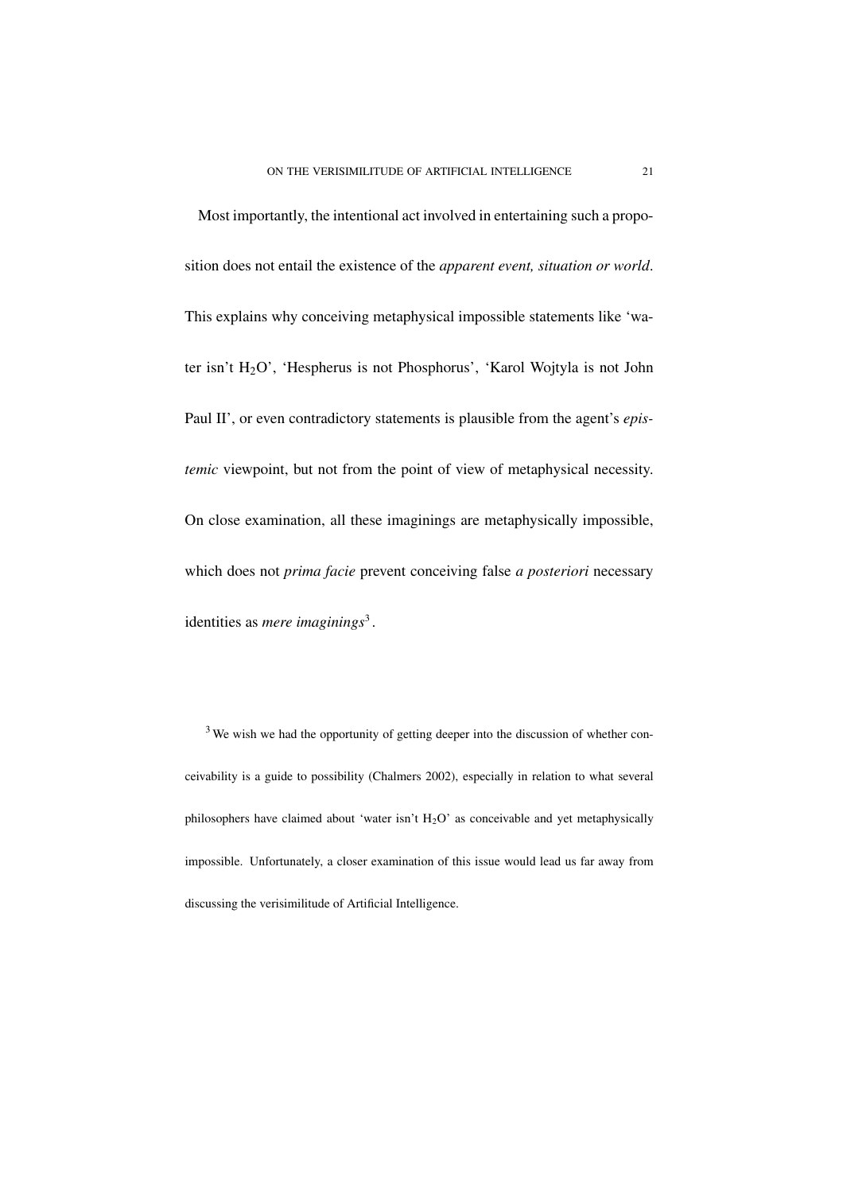Most importantly, the intentional act involved in entertaining such a proposition does not entail the existence of the *apparent event, situation or world*. This explains why conceiving metaphysical impossible statements like 'water isn't H2O', 'Hespherus is not Phosphorus', 'Karol Wojtyla is not John Paul II', or even contradictory statements is plausible from the agent's *epistemic* viewpoint, but not from the point of view of metaphysical necessity. On close examination, all these imaginings are metaphysically impossible, which does not *prima facie* prevent conceiving false *a posteriori* necessary identities as *mere imaginings*<sup>3</sup> .

<sup>3</sup> We wish we had the opportunity of getting deeper into the discussion of whether conceivability is a guide to possibility (Chalmers 2002), especially in relation to what several philosophers have claimed about 'water isn't  $H_2O'$  as conceivable and yet metaphysically impossible. Unfortunately, a closer examination of this issue would lead us far away from discussing the verisimilitude of Artificial Intelligence.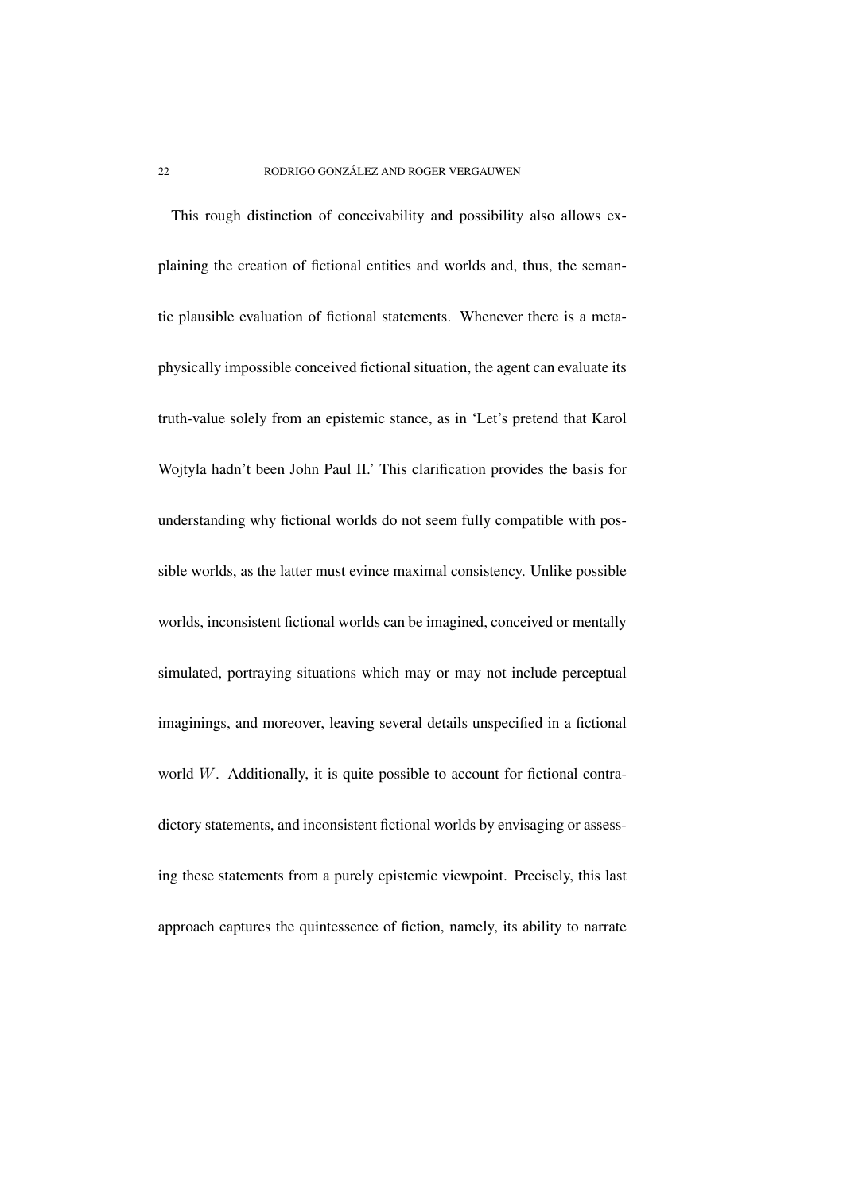This rough distinction of conceivability and possibility also allows explaining the creation of fictional entities and worlds and, thus, the semantic plausible evaluation of fictional statements. Whenever there is a metaphysically impossible conceived fictional situation, the agent can evaluate its truth-value solely from an epistemic stance, as in 'Let's pretend that Karol Wojtyla hadn't been John Paul II.' This clarification provides the basis for understanding why fictional worlds do not seem fully compatible with possible worlds, as the latter must evince maximal consistency. Unlike possible worlds, inconsistent fictional worlds can be imagined, conceived or mentally simulated, portraying situations which may or may not include perceptual imaginings, and moreover, leaving several details unspecified in a fictional world W. Additionally, it is quite possible to account for fictional contradictory statements, and inconsistent fictional worlds by envisaging or assessing these statements from a purely epistemic viewpoint. Precisely, this last approach captures the quintessence of fiction, namely, its ability to narrate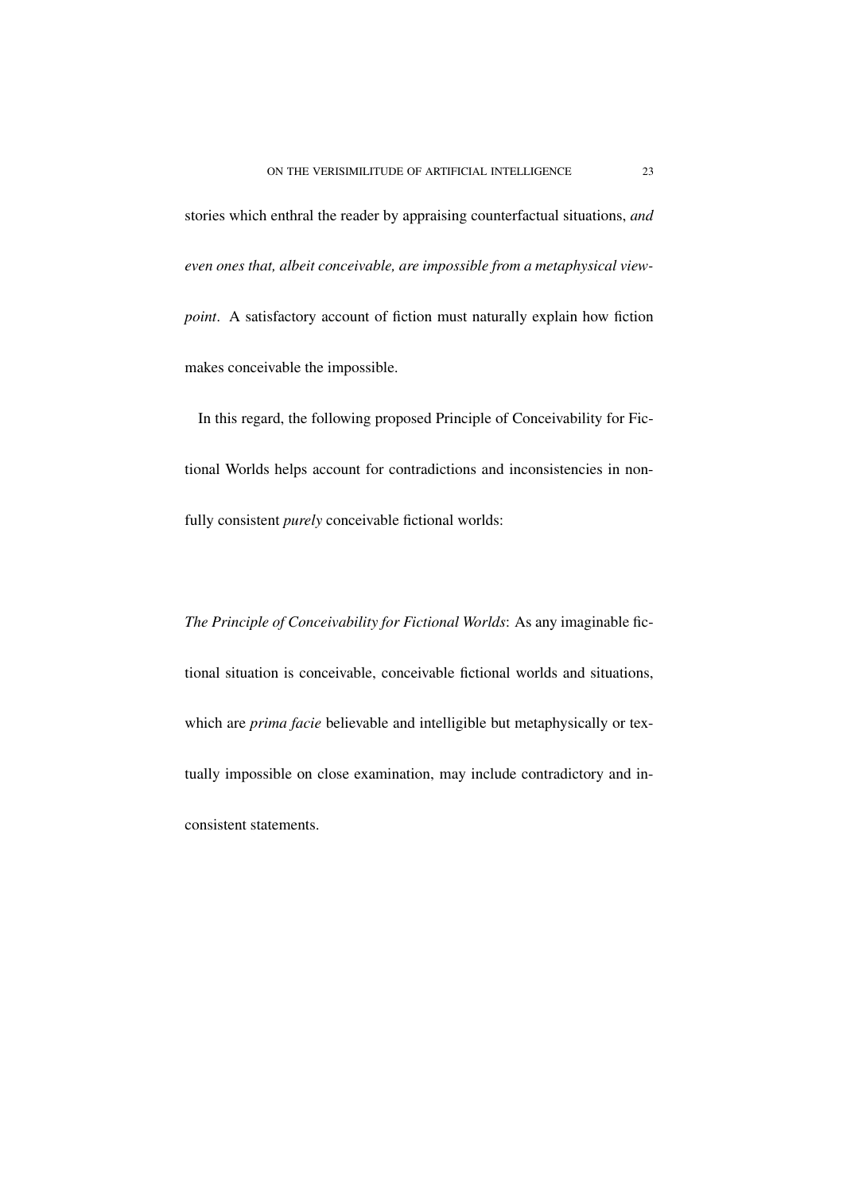stories which enthral the reader by appraising counterfactual situations, *and even ones that, albeit conceivable, are impossible from a metaphysical viewpoint*. A satisfactory account of fiction must naturally explain how fiction makes conceivable the impossible.

In this regard, the following proposed Principle of Conceivability for Fictional Worlds helps account for contradictions and inconsistencies in nonfully consistent *purely* conceivable fictional worlds:

*The Principle of Conceivability for Fictional Worlds*: As any imaginable fictional situation is conceivable, conceivable fictional worlds and situations, which are *prima facie* believable and intelligible but metaphysically or textually impossible on close examination, may include contradictory and inconsistent statements.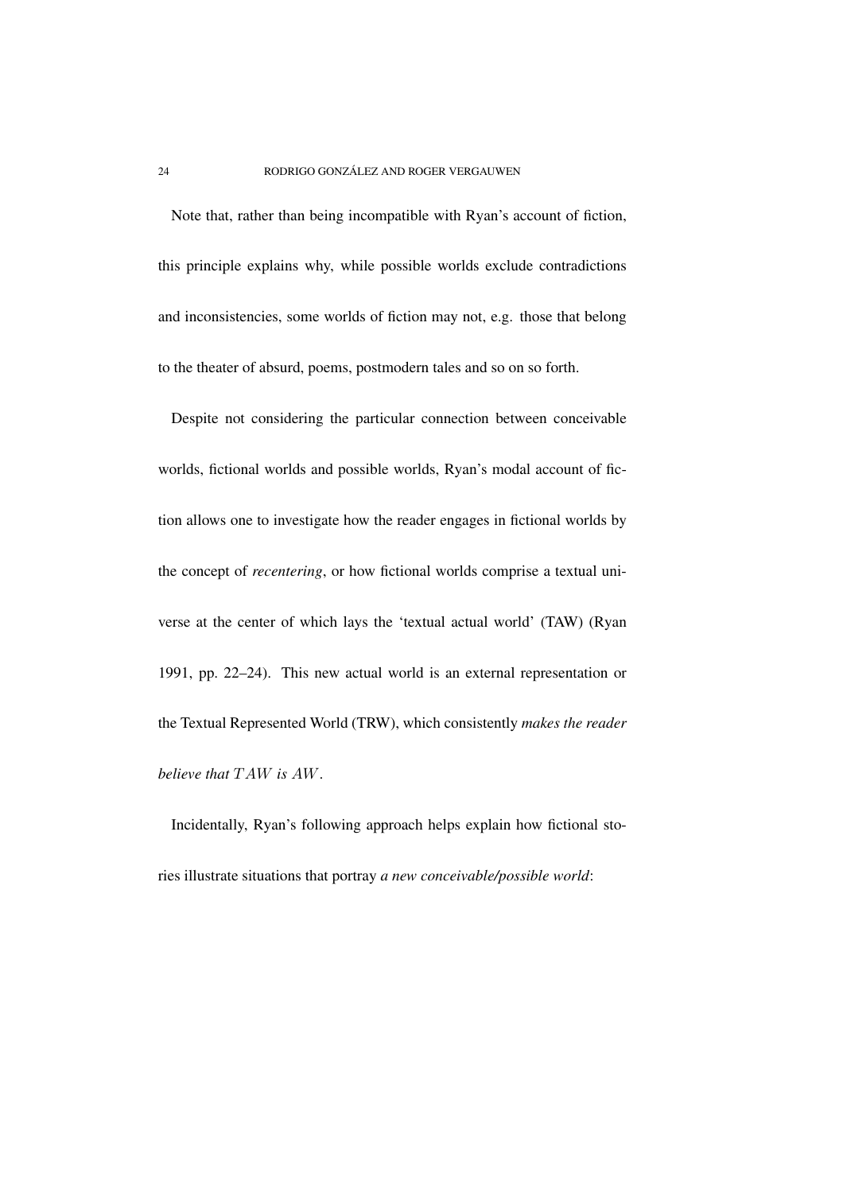Note that, rather than being incompatible with Ryan's account of fiction, this principle explains why, while possible worlds exclude contradictions and inconsistencies, some worlds of fiction may not, e.g. those that belong to the theater of absurd, poems, postmodern tales and so on so forth.

Despite not considering the particular connection between conceivable worlds, fictional worlds and possible worlds, Ryan's modal account of fiction allows one to investigate how the reader engages in fictional worlds by the concept of *recentering*, or how fictional worlds comprise a textual universe at the center of which lays the 'textual actual world' (TAW) (Ryan 1991, pp. 22–24). This new actual world is an external representation or the Textual Represented World (TRW), which consistently *makes the reader believe that* TAW *is* AW.

Incidentally, Ryan's following approach helps explain how fictional stories illustrate situations that portray *a new conceivable/possible world*: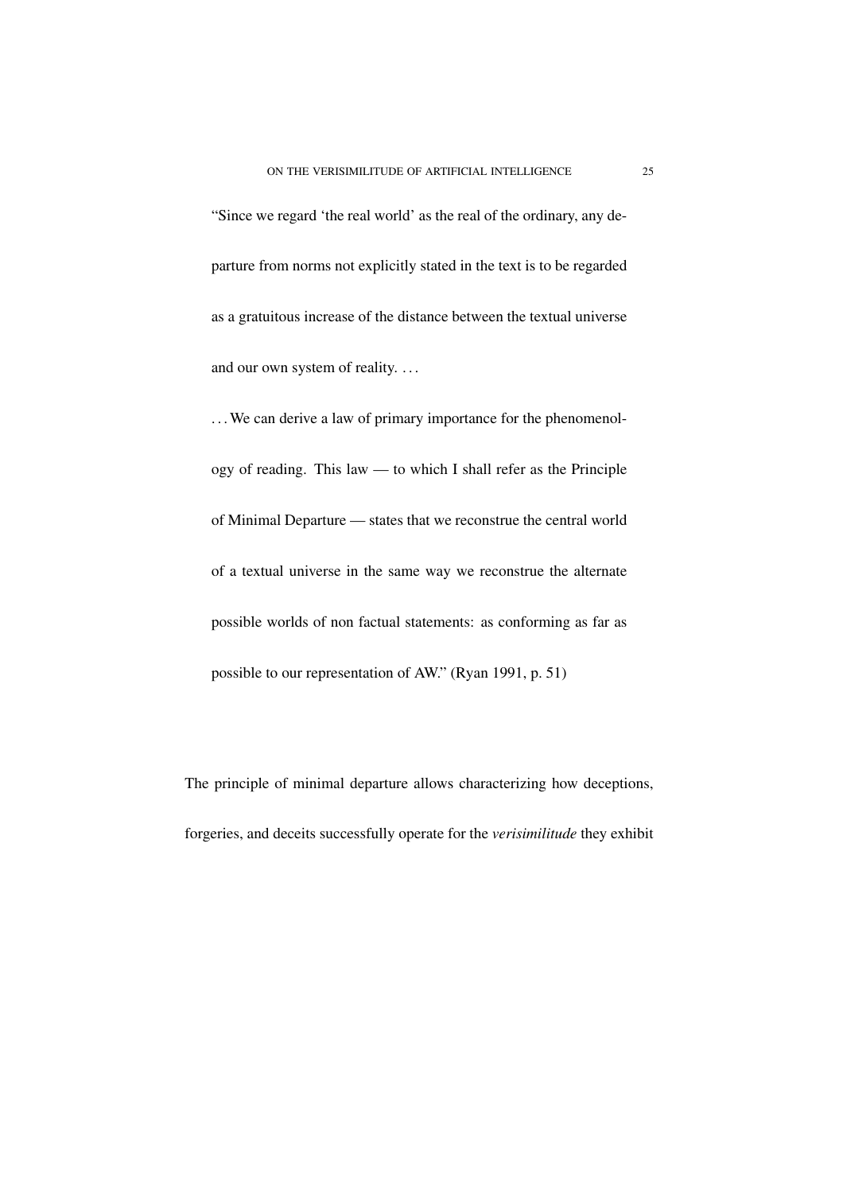"Since we regard 'the real world' as the real of the ordinary, any departure from norms not explicitly stated in the text is to be regarded as a gratuitous increase of the distance between the textual universe and our own system of reality. . . .

... We can derive a law of primary importance for the phenomenology of reading. This law — to which I shall refer as the Principle of Minimal Departure — states that we reconstrue the central world of a textual universe in the same way we reconstrue the alternate possible worlds of non factual statements: as conforming as far as possible to our representation of AW." (Ryan 1991, p. 51)

The principle of minimal departure allows characterizing how deceptions, forgeries, and deceits successfully operate for the *verisimilitude* they exhibit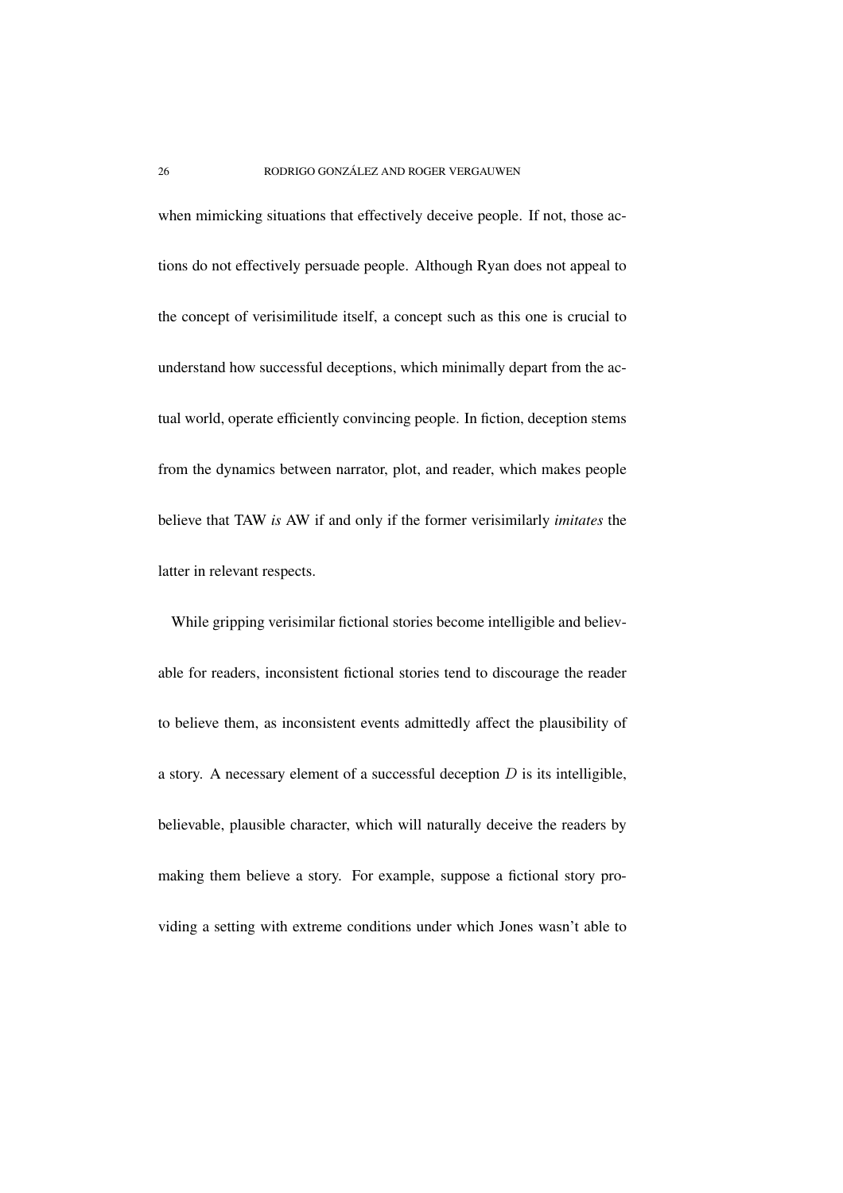when mimicking situations that effectively deceive people. If not, those actions do not effectively persuade people. Although Ryan does not appeal to the concept of verisimilitude itself, a concept such as this one is crucial to understand how successful deceptions, which minimally depart from the actual world, operate efficiently convincing people. In fiction, deception stems from the dynamics between narrator, plot, and reader, which makes people believe that TAW *is* AW if and only if the former verisimilarly *imitates* the latter in relevant respects.

While gripping verisimilar fictional stories become intelligible and believable for readers, inconsistent fictional stories tend to discourage the reader to believe them, as inconsistent events admittedly affect the plausibility of a story. A necessary element of a successful deception  $D$  is its intelligible, believable, plausible character, which will naturally deceive the readers by making them believe a story. For example, suppose a fictional story providing a setting with extreme conditions under which Jones wasn't able to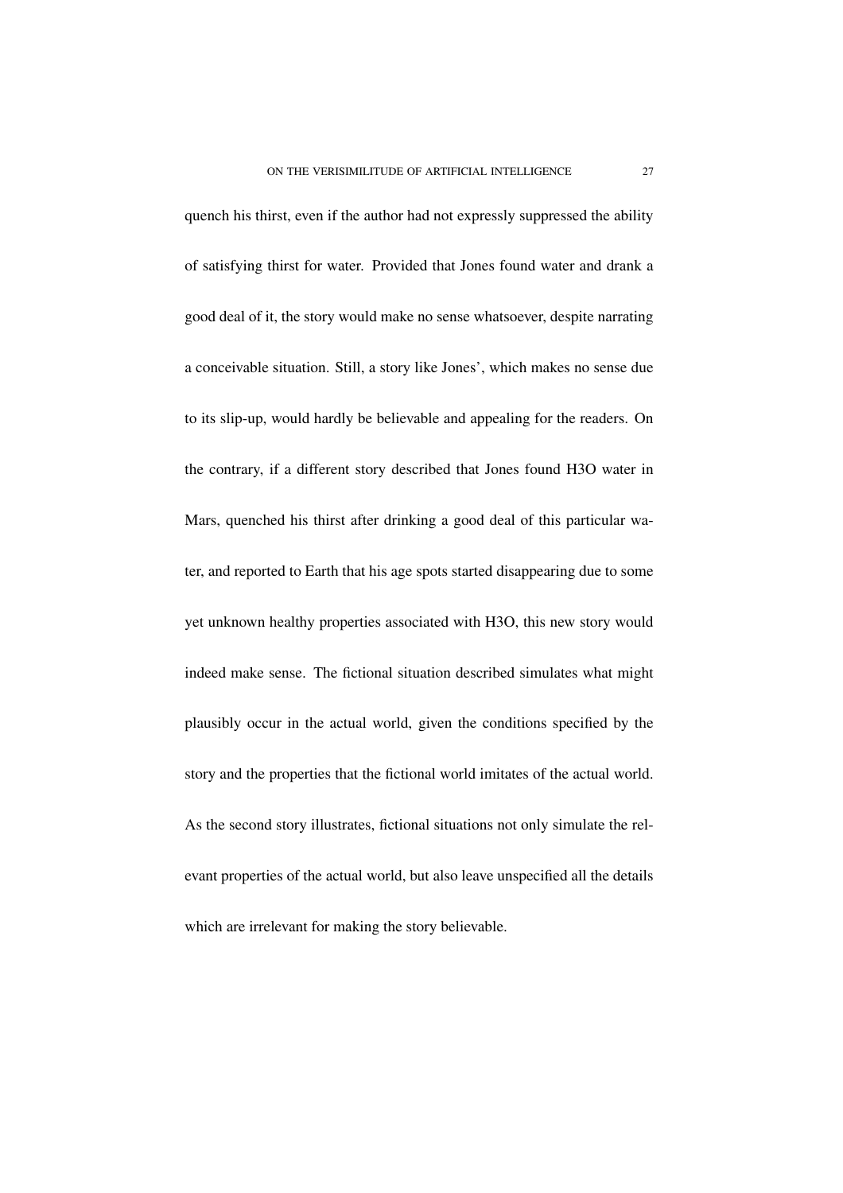quench his thirst, even if the author had not expressly suppressed the ability of satisfying thirst for water. Provided that Jones found water and drank a good deal of it, the story would make no sense whatsoever, despite narrating a conceivable situation. Still, a story like Jones', which makes no sense due to its slip-up, would hardly be believable and appealing for the readers. On the contrary, if a different story described that Jones found H3O water in Mars, quenched his thirst after drinking a good deal of this particular water, and reported to Earth that his age spots started disappearing due to some yet unknown healthy properties associated with H3O, this new story would indeed make sense. The fictional situation described simulates what might plausibly occur in the actual world, given the conditions specified by the story and the properties that the fictional world imitates of the actual world. As the second story illustrates, fictional situations not only simulate the relevant properties of the actual world, but also leave unspecified all the details which are irrelevant for making the story believable.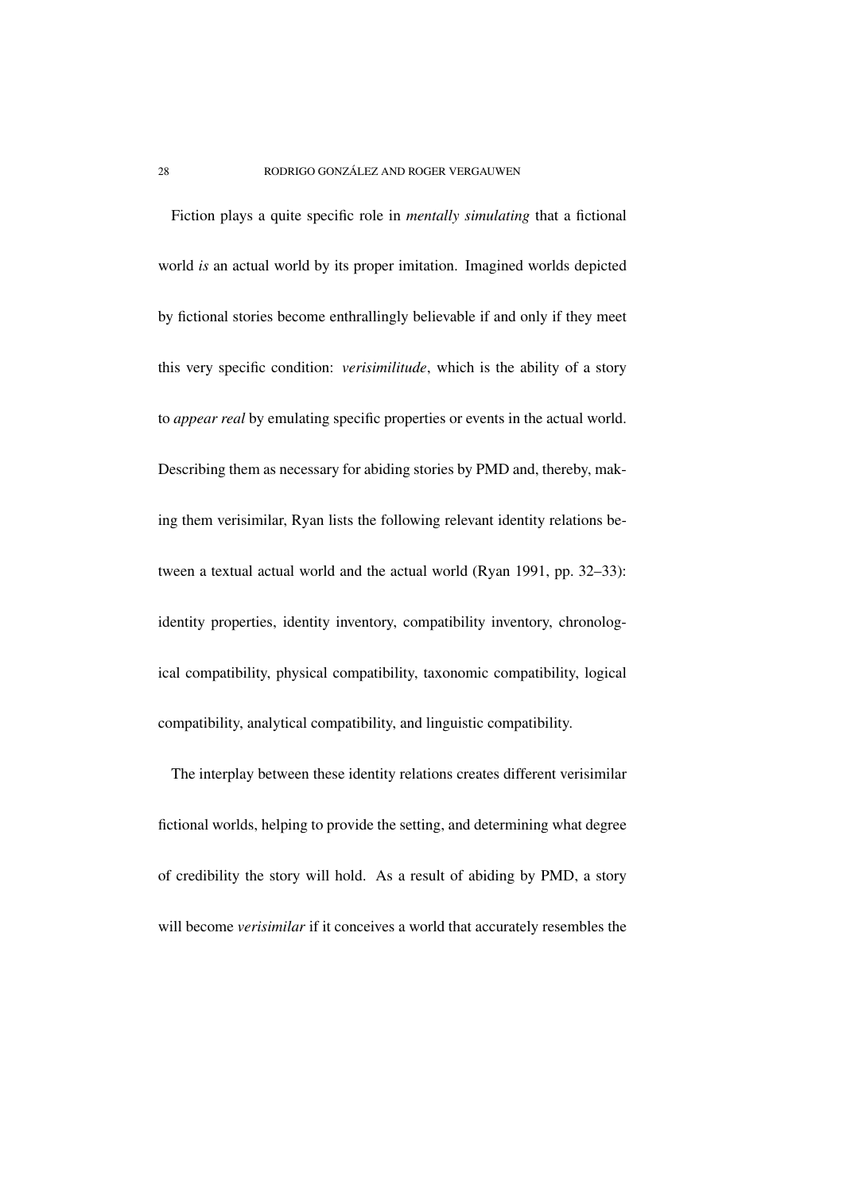Fiction plays a quite specific role in *mentally simulating* that a fictional world *is* an actual world by its proper imitation. Imagined worlds depicted by fictional stories become enthrallingly believable if and only if they meet this very specific condition: *verisimilitude*, which is the ability of a story to *appear real* by emulating specific properties or events in the actual world. Describing them as necessary for abiding stories by PMD and, thereby, making them verisimilar, Ryan lists the following relevant identity relations between a textual actual world and the actual world (Ryan 1991, pp. 32–33): identity properties, identity inventory, compatibility inventory, chronological compatibility, physical compatibility, taxonomic compatibility, logical compatibility, analytical compatibility, and linguistic compatibility.

The interplay between these identity relations creates different verisimilar fictional worlds, helping to provide the setting, and determining what degree of credibility the story will hold. As a result of abiding by PMD, a story will become *verisimilar* if it conceives a world that accurately resembles the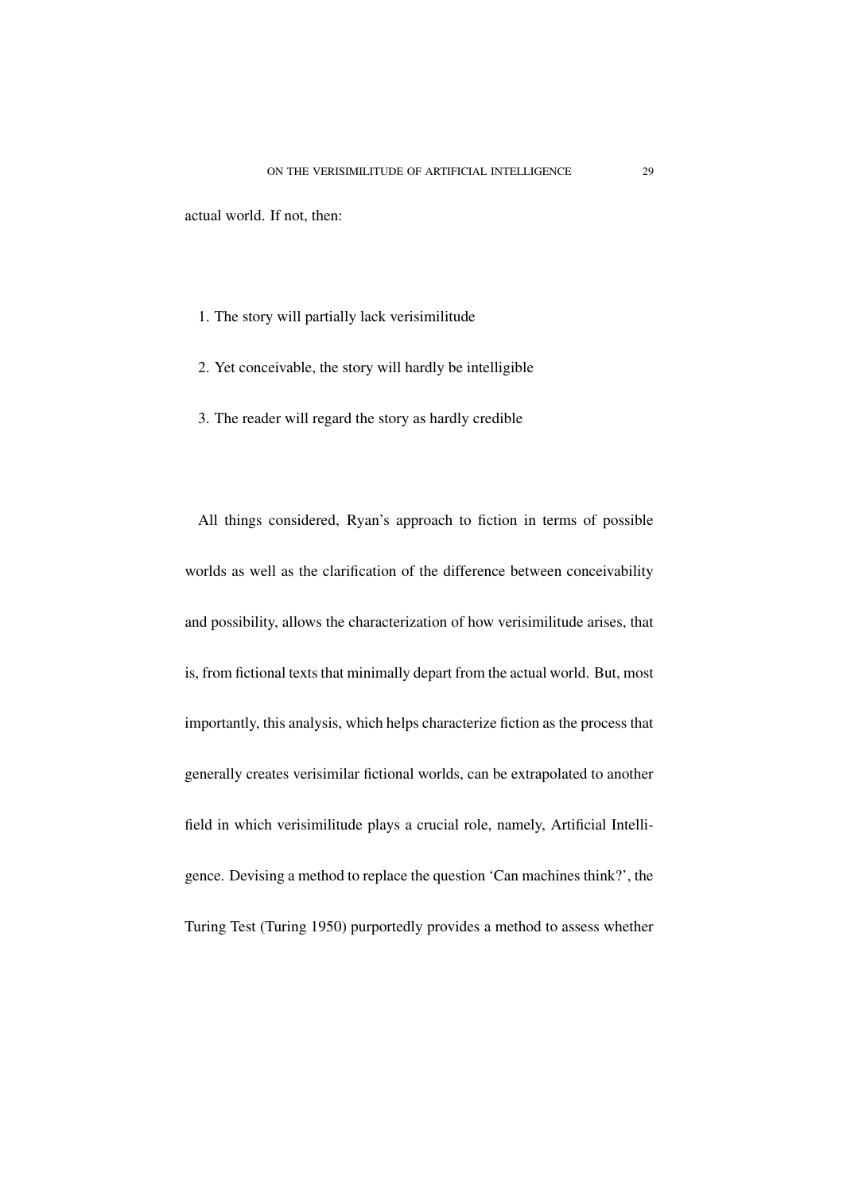actual world. If not, then:

- 1. The story will partially lack verisimilitude
- 2. Yet conceivable, the story will hardly be intelligible
- 3. The reader will regard the story as hardly credible

All things considered, Ryan's approach to fiction in terms of possible worlds as well as the clarification of the difference between conceivability and possibility, allows the characterization of how verisimilitude arises, that is, from fictional texts that minimally depart from the actual world. But, most importantly, this analysis, which helps characterize fiction as the process that generally creates verisimilar fictional worlds, can be extrapolated to another field in which verisimilitude plays a crucial role, namely, Artificial Intelligence. Devising a method to replace the question 'Can machines think?', the Turing Test (Turing 1950) purportedly provides a method to assess whether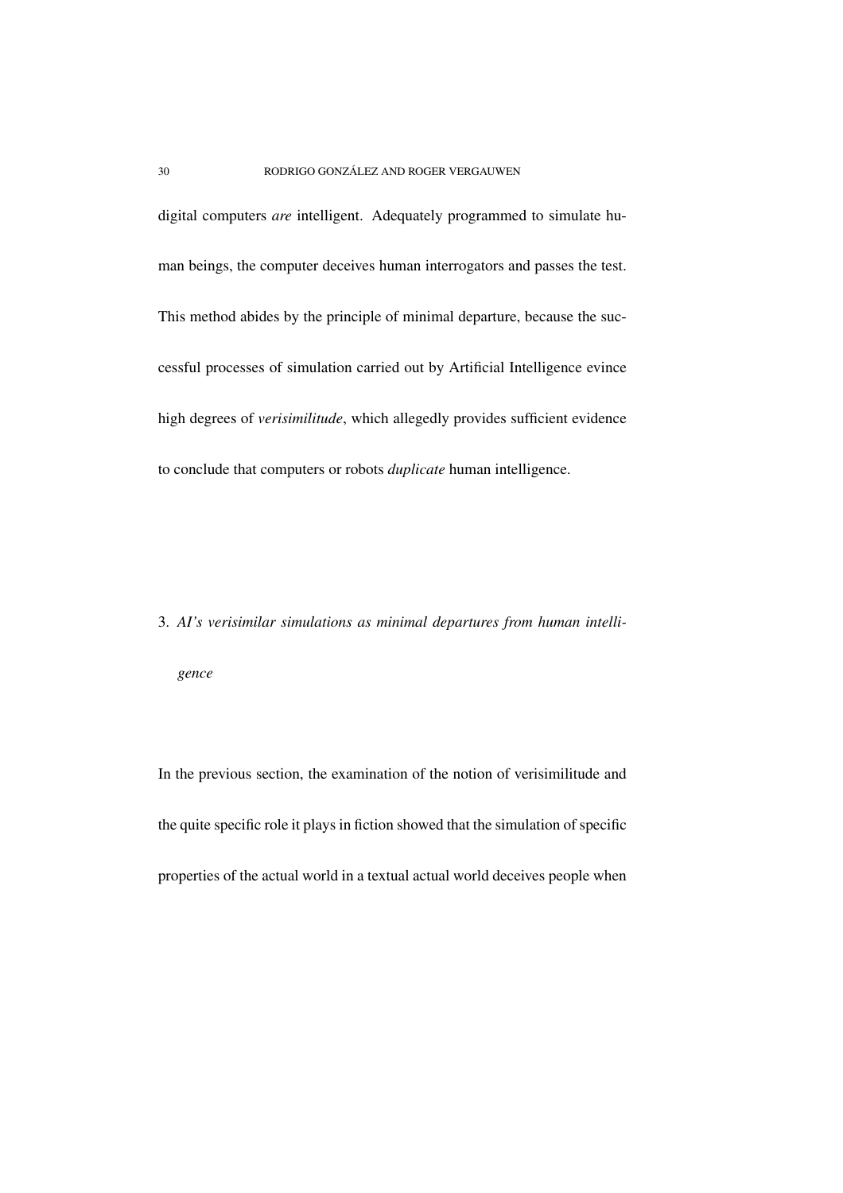digital computers *are* intelligent. Adequately programmed to simulate human beings, the computer deceives human interrogators and passes the test. This method abides by the principle of minimal departure, because the successful processes of simulation carried out by Artificial Intelligence evince high degrees of *verisimilitude*, which allegedly provides sufficient evidence to conclude that computers or robots *duplicate* human intelligence.

3. *AI's verisimilar simulations as minimal departures from human intelligence*

In the previous section, the examination of the notion of verisimilitude and the quite specific role it plays in fiction showed that the simulation of specific properties of the actual world in a textual actual world deceives people when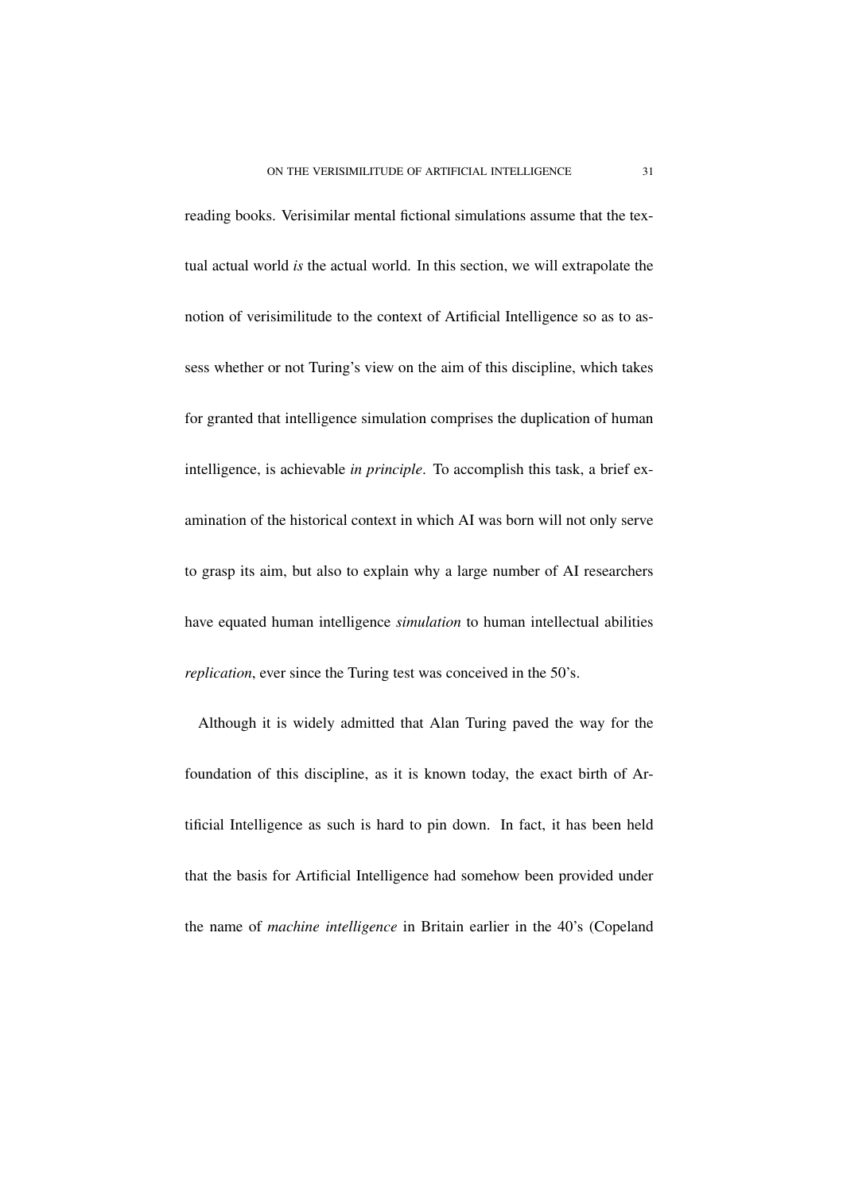reading books. Verisimilar mental fictional simulations assume that the textual actual world *is* the actual world. In this section, we will extrapolate the notion of verisimilitude to the context of Artificial Intelligence so as to assess whether or not Turing's view on the aim of this discipline, which takes for granted that intelligence simulation comprises the duplication of human intelligence, is achievable *in principle*. To accomplish this task, a brief examination of the historical context in which AI was born will not only serve to grasp its aim, but also to explain why a large number of AI researchers have equated human intelligence *simulation* to human intellectual abilities *replication*, ever since the Turing test was conceived in the 50's.

Although it is widely admitted that Alan Turing paved the way for the foundation of this discipline, as it is known today, the exact birth of Artificial Intelligence as such is hard to pin down. In fact, it has been held that the basis for Artificial Intelligence had somehow been provided under the name of *machine intelligence* in Britain earlier in the 40's (Copeland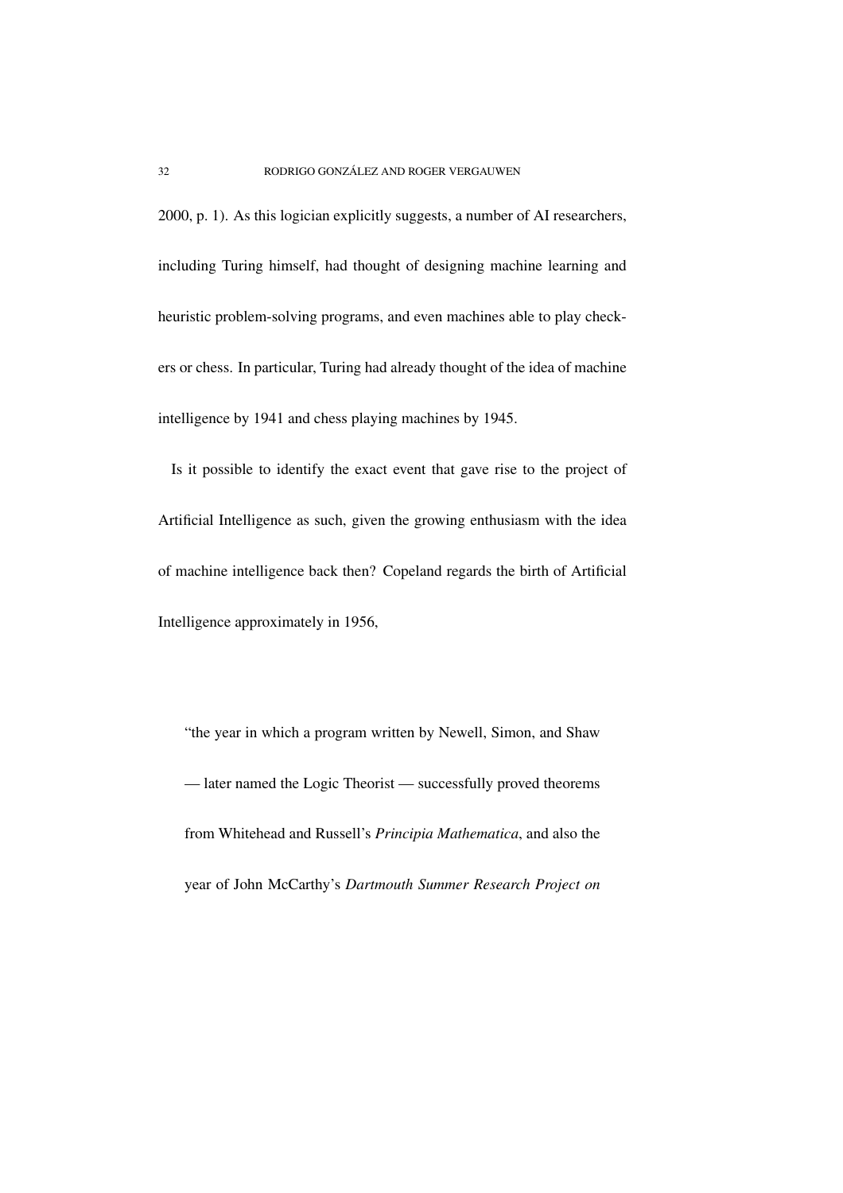2000, p. 1). As this logician explicitly suggests, a number of AI researchers, including Turing himself, had thought of designing machine learning and heuristic problem-solving programs, and even machines able to play checkers or chess. In particular, Turing had already thought of the idea of machine intelligence by 1941 and chess playing machines by 1945.

Is it possible to identify the exact event that gave rise to the project of Artificial Intelligence as such, given the growing enthusiasm with the idea of machine intelligence back then? Copeland regards the birth of Artificial Intelligence approximately in 1956,

"the year in which a program written by Newell, Simon, and Shaw — later named the Logic Theorist — successfully proved theorems from Whitehead and Russell's *Principia Mathematica*, and also the year of John McCarthy's *Dartmouth Summer Research Project on*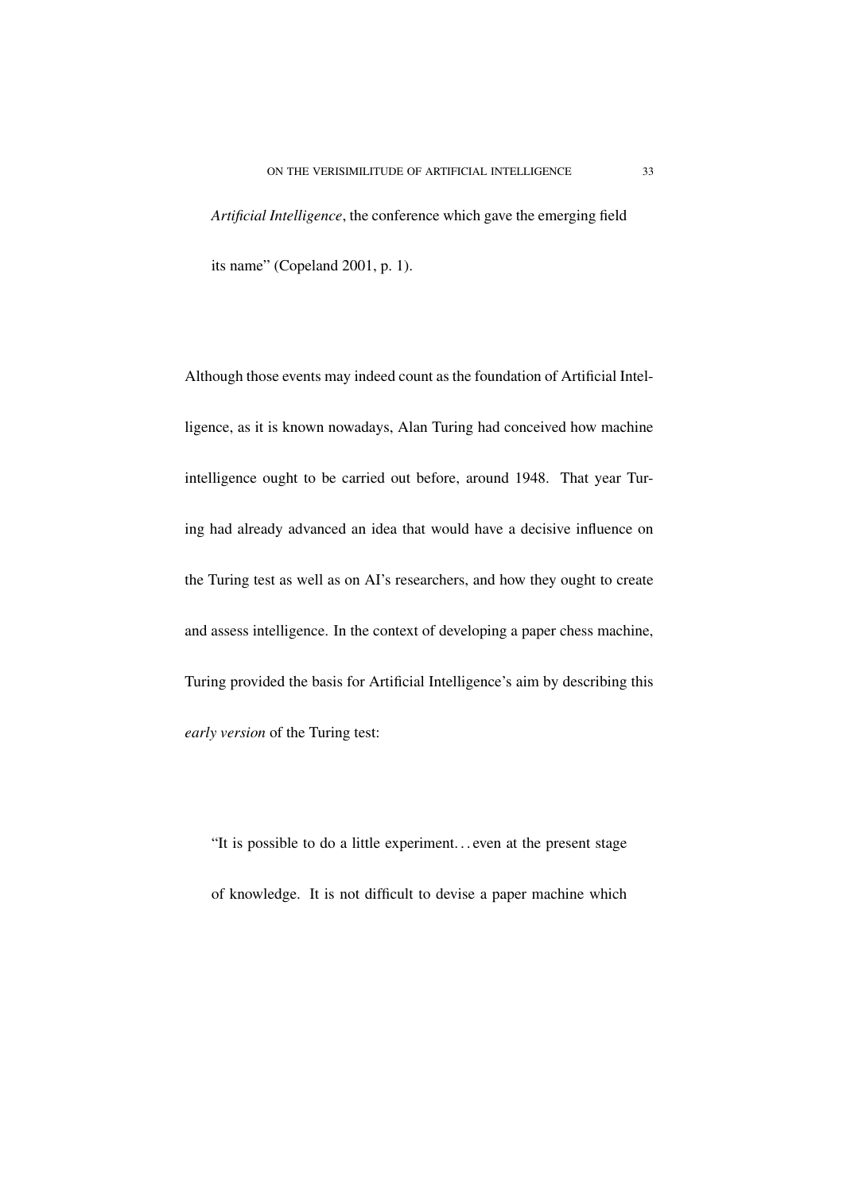*Artificial Intelligence*, the conference which gave the emerging field its name" (Copeland 2001, p. 1).

Although those events may indeed count as the foundation of Artificial Intelligence, as it is known nowadays, Alan Turing had conceived how machine intelligence ought to be carried out before, around 1948. That year Turing had already advanced an idea that would have a decisive influence on the Turing test as well as on AI's researchers, and how they ought to create and assess intelligence. In the context of developing a paper chess machine, Turing provided the basis for Artificial Intelligence's aim by describing this *early version* of the Turing test:

"It is possible to do a little experiment. . . even at the present stage of knowledge. It is not difficult to devise a paper machine which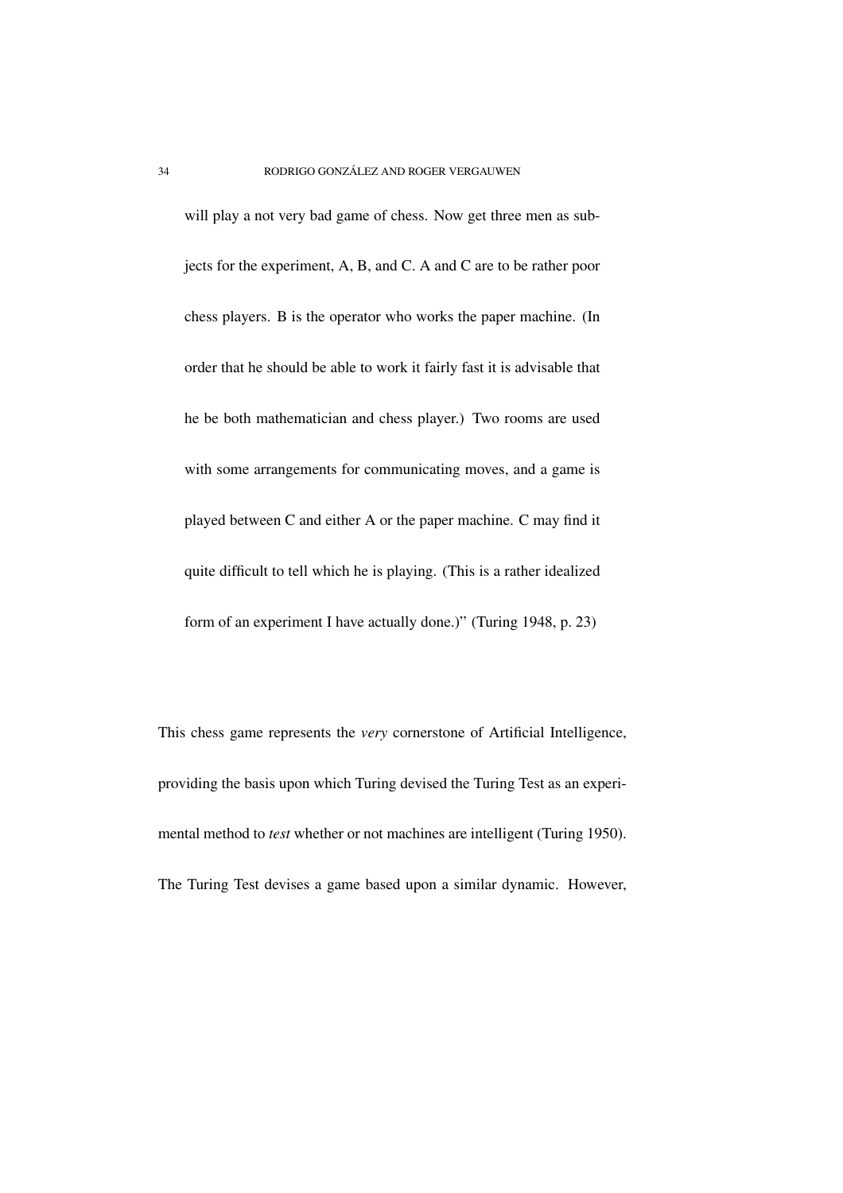will play a not very bad game of chess. Now get three men as subjects for the experiment, A, B, and C. A and C are to be rather poor chess players. B is the operator who works the paper machine. (In order that he should be able to work it fairly fast it is advisable that he be both mathematician and chess player.) Two rooms are used with some arrangements for communicating moves, and a game is played between C and either A or the paper machine. C may find it quite difficult to tell which he is playing. (This is a rather idealized form of an experiment I have actually done.)" (Turing 1948, p. 23)

This chess game represents the *very* cornerstone of Artificial Intelligence, providing the basis upon which Turing devised the Turing Test as an experimental method to *test* whether or not machines are intelligent (Turing 1950). The Turing Test devises a game based upon a similar dynamic. However,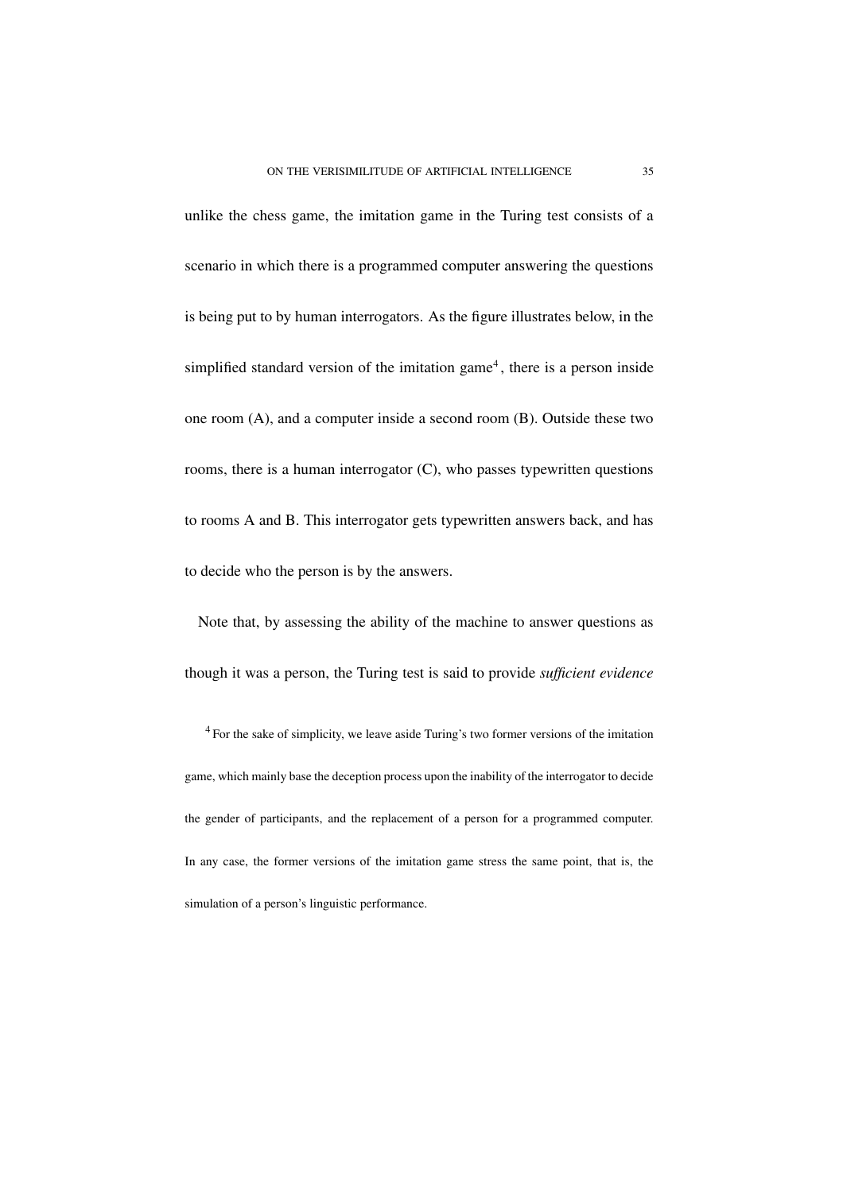unlike the chess game, the imitation game in the Turing test consists of a scenario in which there is a programmed computer answering the questions is being put to by human interrogators. As the figure illustrates below, in the simplified standard version of the imitation game<sup>4</sup>, there is a person inside one room (A), and a computer inside a second room (B). Outside these two rooms, there is a human interrogator (C), who passes typewritten questions to rooms A and B. This interrogator gets typewritten answers back, and has to decide who the person is by the answers.

Note that, by assessing the ability of the machine to answer questions as though it was a person, the Turing test is said to provide *sufficient evidence*

<sup>4</sup> For the sake of simplicity, we leave aside Turing's two former versions of the imitation game, which mainly base the deception process upon the inability of the interrogator to decide the gender of participants, and the replacement of a person for a programmed computer. In any case, the former versions of the imitation game stress the same point, that is, the simulation of a person's linguistic performance.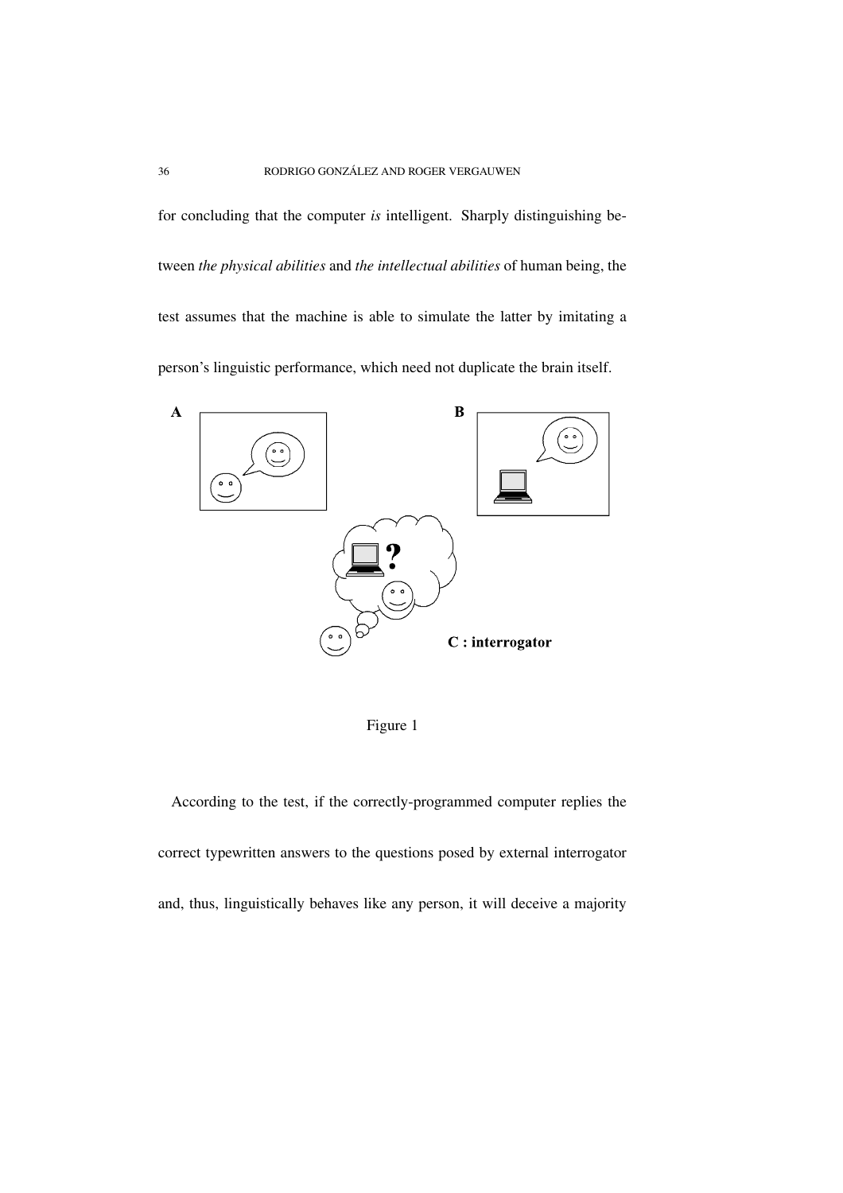for concluding that the computer *is* intelligent. Sharply distinguishing between *the physical abilities* and *the intellectual abilities* of human being, the test assumes that the machine is able to simulate the latter by imitating a person's linguistic performance, which need not duplicate the brain itself.



Figure 1

According to the test, if the correctly-programmed computer replies the correct typewritten answers to the questions posed by external interrogator and, thus, linguistically behaves like any person, it will deceive a majority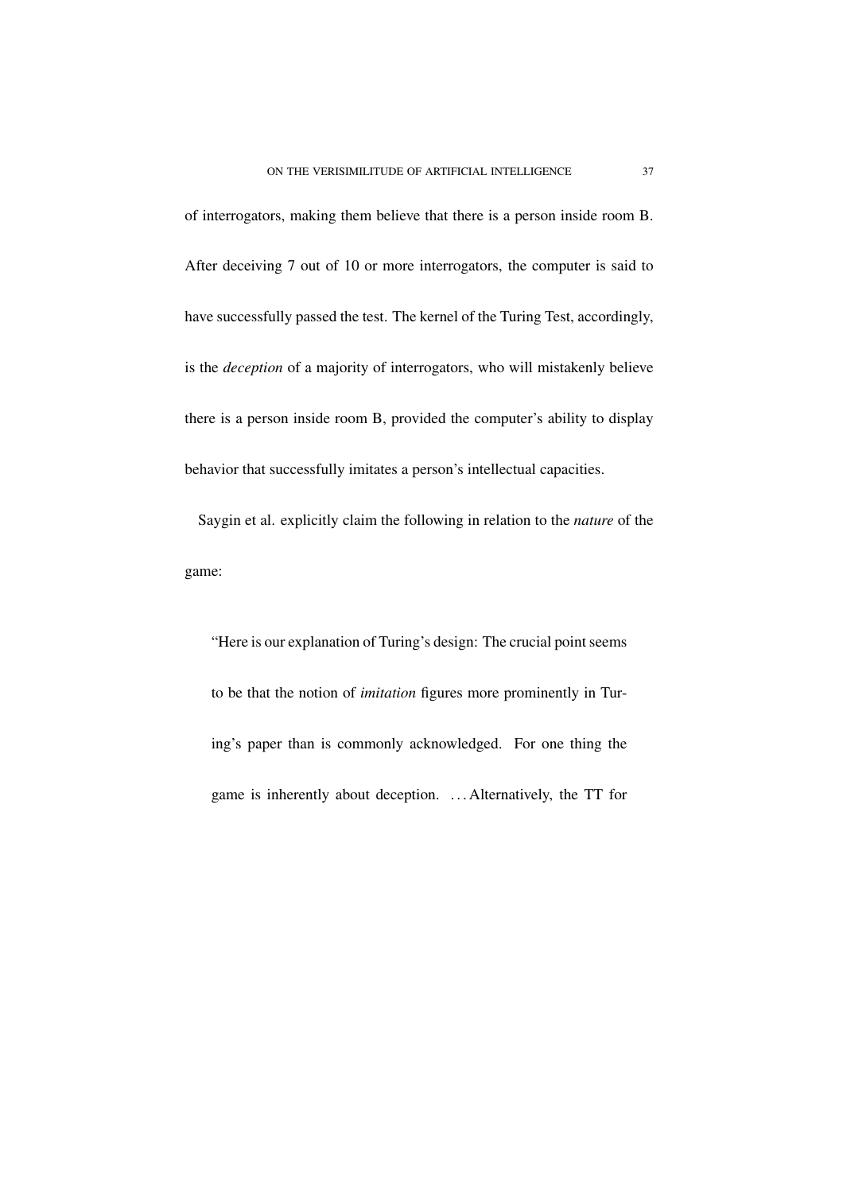of interrogators, making them believe that there is a person inside room B. After deceiving 7 out of 10 or more interrogators, the computer is said to have successfully passed the test. The kernel of the Turing Test, accordingly, is the *deception* of a majority of interrogators, who will mistakenly believe there is a person inside room B, provided the computer's ability to display behavior that successfully imitates a person's intellectual capacities.

Saygin et al. explicitly claim the following in relation to the *nature* of the game:

"Here is our explanation of Turing's design: The crucial point seems to be that the notion of *imitation* figures more prominently in Turing's paper than is commonly acknowledged. For one thing the game is inherently about deception. . . . Alternatively, the TT for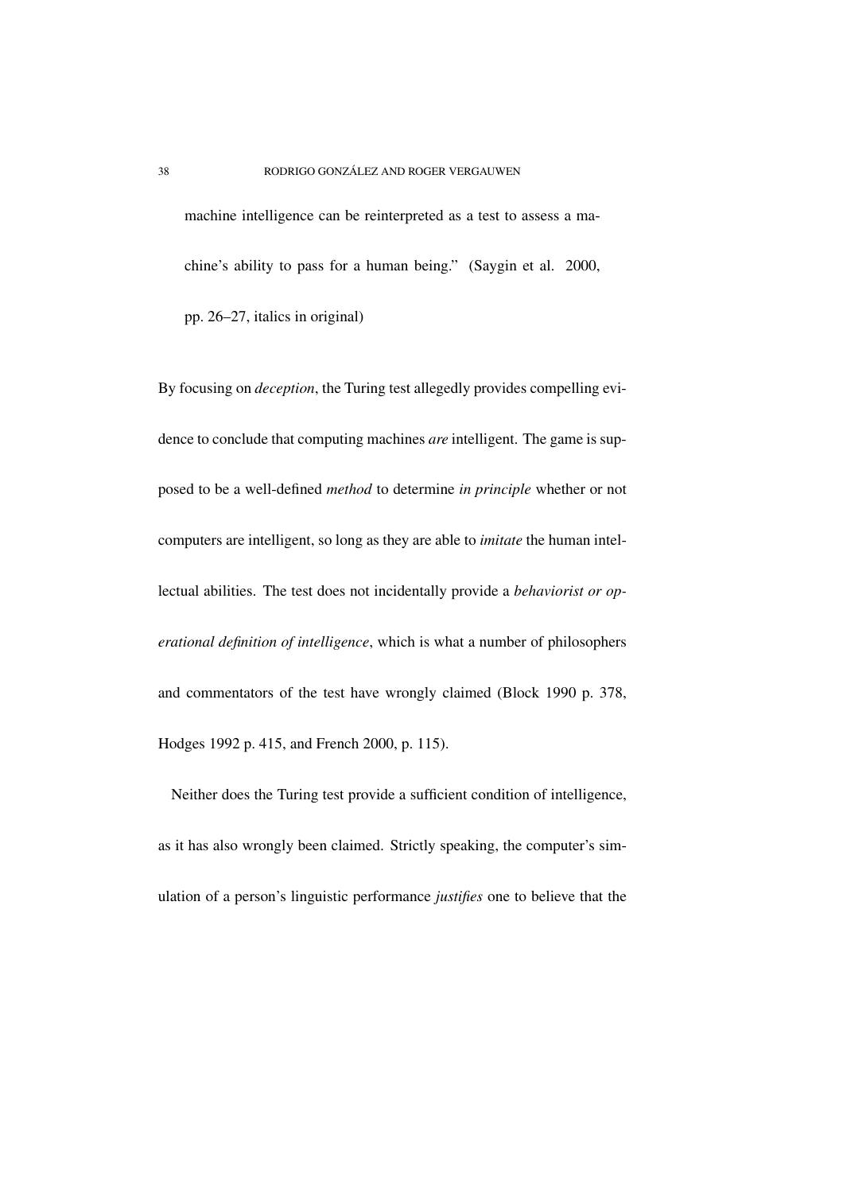machine intelligence can be reinterpreted as a test to assess a machine's ability to pass for a human being." (Saygin et al. 2000, pp. 26–27, italics in original)

By focusing on *deception*, the Turing test allegedly provides compelling evidence to conclude that computing machines *are* intelligent. The game is supposed to be a well-defined *method* to determine *in principle* whether or not computers are intelligent, so long as they are able to *imitate* the human intellectual abilities. The test does not incidentally provide a *behaviorist or operational definition of intelligence*, which is what a number of philosophers and commentators of the test have wrongly claimed (Block 1990 p. 378, Hodges 1992 p. 415, and French 2000, p. 115).

Neither does the Turing test provide a sufficient condition of intelligence, as it has also wrongly been claimed. Strictly speaking, the computer's simulation of a person's linguistic performance *justifies* one to believe that the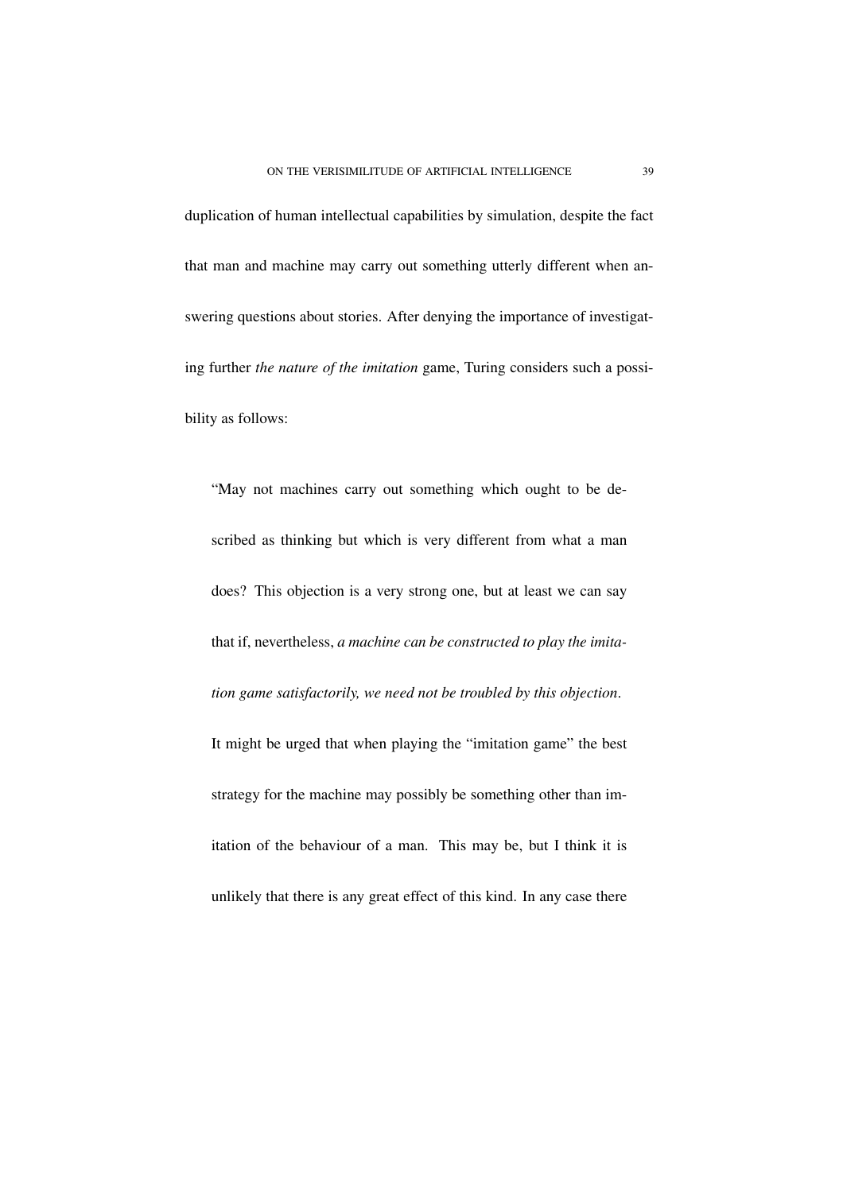duplication of human intellectual capabilities by simulation, despite the fact that man and machine may carry out something utterly different when answering questions about stories. After denying the importance of investigating further *the nature of the imitation* game, Turing considers such a possibility as follows:

"May not machines carry out something which ought to be described as thinking but which is very different from what a man does? This objection is a very strong one, but at least we can say that if, nevertheless, *a machine can be constructed to play the imitation game satisfactorily, we need not be troubled by this objection*. It might be urged that when playing the "imitation game" the best strategy for the machine may possibly be something other than imitation of the behaviour of a man. This may be, but I think it is unlikely that there is any great effect of this kind. In any case there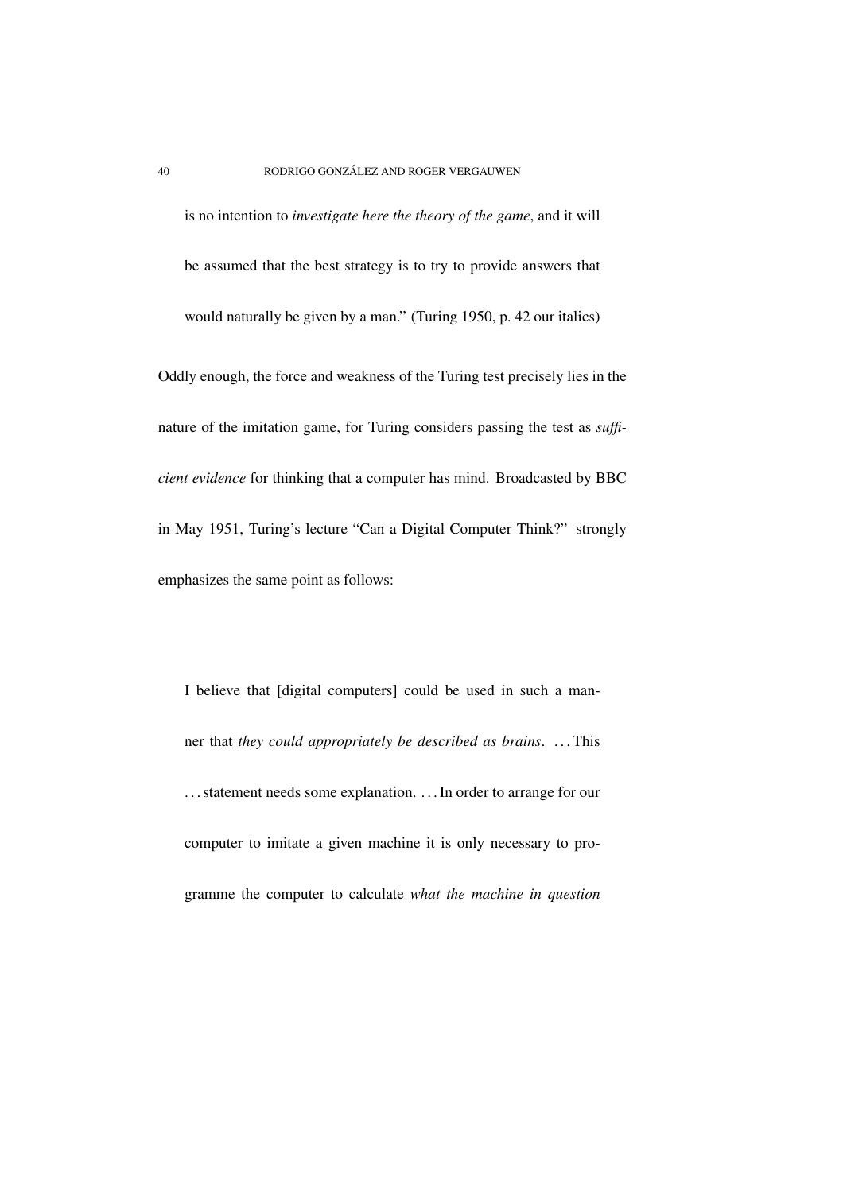is no intention to *investigate here the theory of the game*, and it will be assumed that the best strategy is to try to provide answers that would naturally be given by a man." (Turing 1950, p. 42 our italics) Oddly enough, the force and weakness of the Turing test precisely lies in the nature of the imitation game, for Turing considers passing the test as *sufficient evidence* for thinking that a computer has mind. Broadcasted by BBC

in May 1951, Turing's lecture "Can a Digital Computer Think?" strongly emphasizes the same point as follows:

I believe that [digital computers] could be used in such a manner that *they could appropriately be described as brains*. . . .This ... statement needs some explanation. ... In order to arrange for our computer to imitate a given machine it is only necessary to programme the computer to calculate *what the machine in question*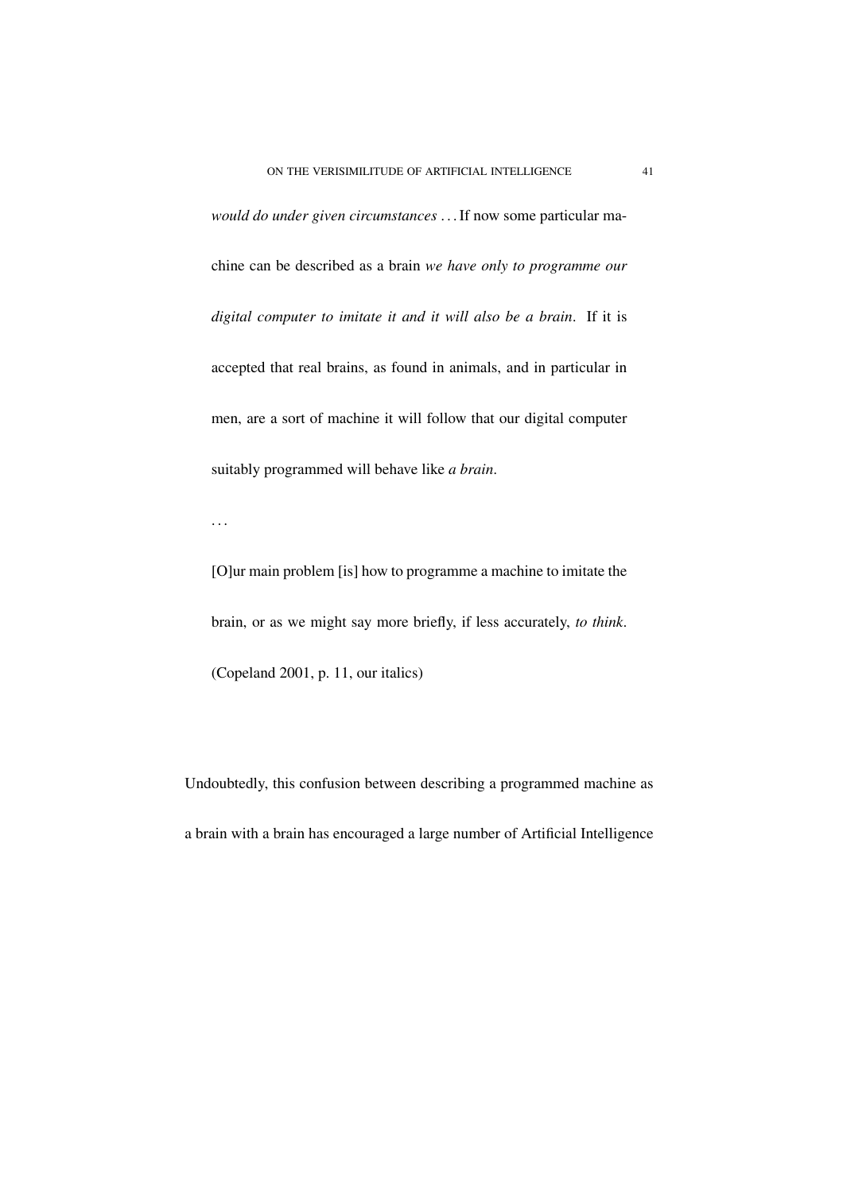*would do under given circumstances* . . .If now some particular machine can be described as a brain *we have only to programme our digital computer to imitate it and it will also be a brain*. If it is accepted that real brains, as found in animals, and in particular in men, are a sort of machine it will follow that our digital computer suitably programmed will behave like *a brain*.

. . .

[O]ur main problem [is] how to programme a machine to imitate the brain, or as we might say more briefly, if less accurately, *to think*. (Copeland 2001, p. 11, our italics)

Undoubtedly, this confusion between describing a programmed machine as a brain with a brain has encouraged a large number of Artificial Intelligence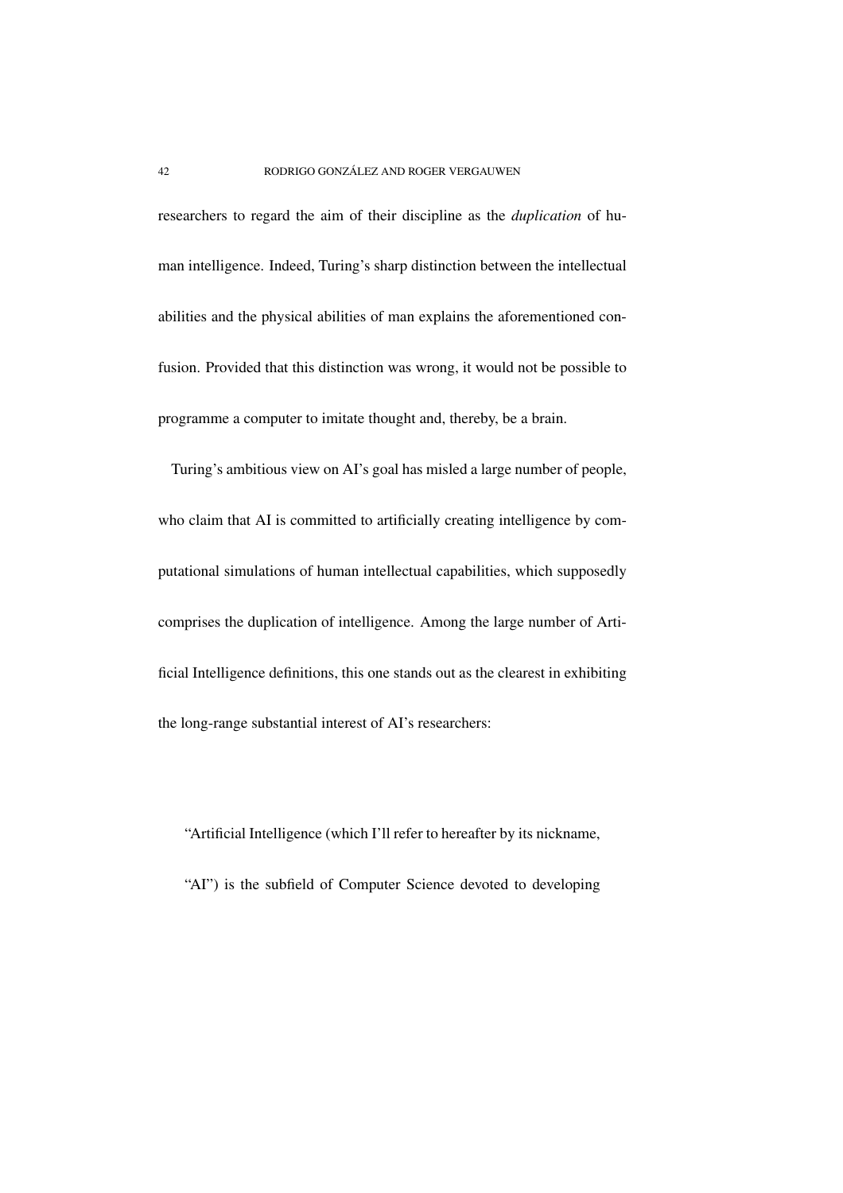researchers to regard the aim of their discipline as the *duplication* of human intelligence. Indeed, Turing's sharp distinction between the intellectual abilities and the physical abilities of man explains the aforementioned confusion. Provided that this distinction was wrong, it would not be possible to programme a computer to imitate thought and, thereby, be a brain.

Turing's ambitious view on AI's goal has misled a large number of people, who claim that AI is committed to artificially creating intelligence by computational simulations of human intellectual capabilities, which supposedly comprises the duplication of intelligence. Among the large number of Artificial Intelligence definitions, this one stands out as the clearest in exhibiting the long-range substantial interest of AI's researchers:

"Artificial Intelligence (which I'll refer to hereafter by its nickname, "AI") is the subfield of Computer Science devoted to developing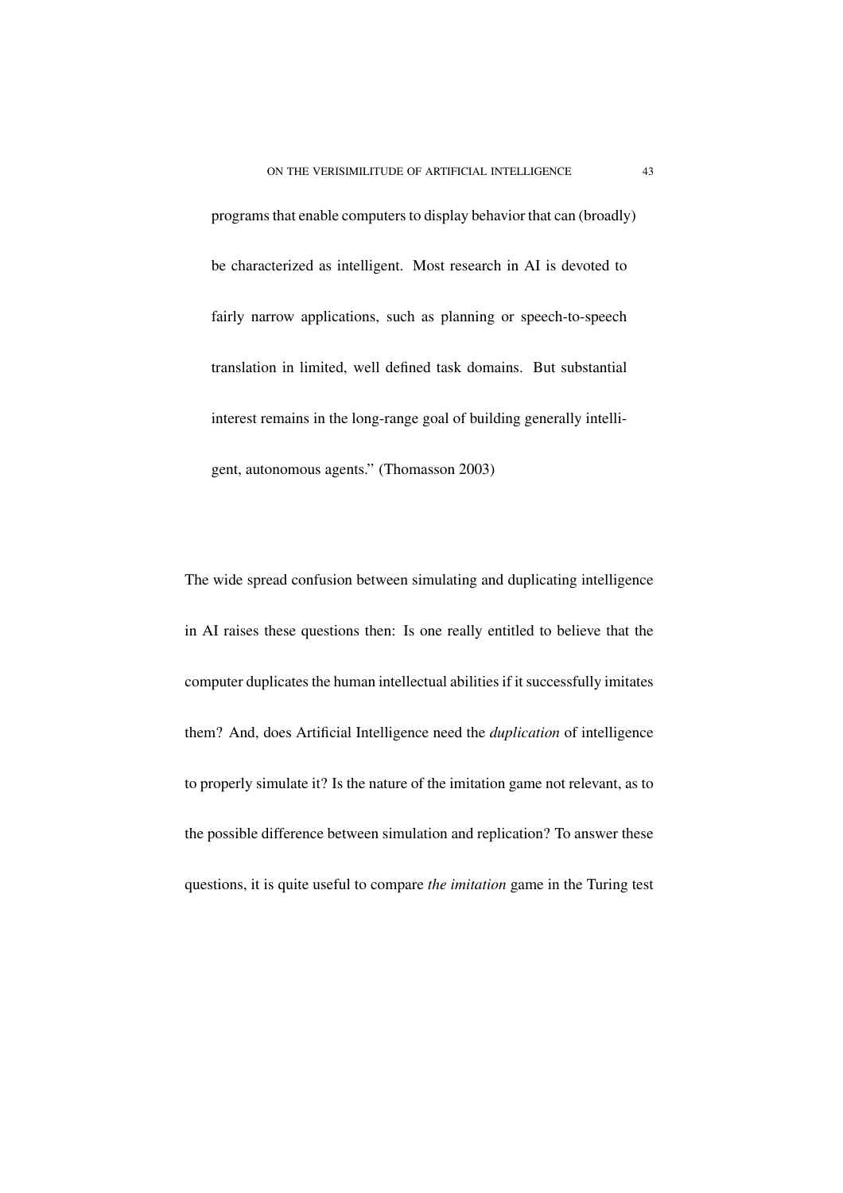programs that enable computers to display behavior that can (broadly) be characterized as intelligent. Most research in AI is devoted to fairly narrow applications, such as planning or speech-to-speech translation in limited, well defined task domains. But substantial interest remains in the long-range goal of building generally intelligent, autonomous agents." (Thomasson 2003)

The wide spread confusion between simulating and duplicating intelligence in AI raises these questions then: Is one really entitled to believe that the computer duplicates the human intellectual abilities if it successfully imitates them? And, does Artificial Intelligence need the *duplication* of intelligence to properly simulate it? Is the nature of the imitation game not relevant, as to the possible difference between simulation and replication? To answer these questions, it is quite useful to compare *the imitation* game in the Turing test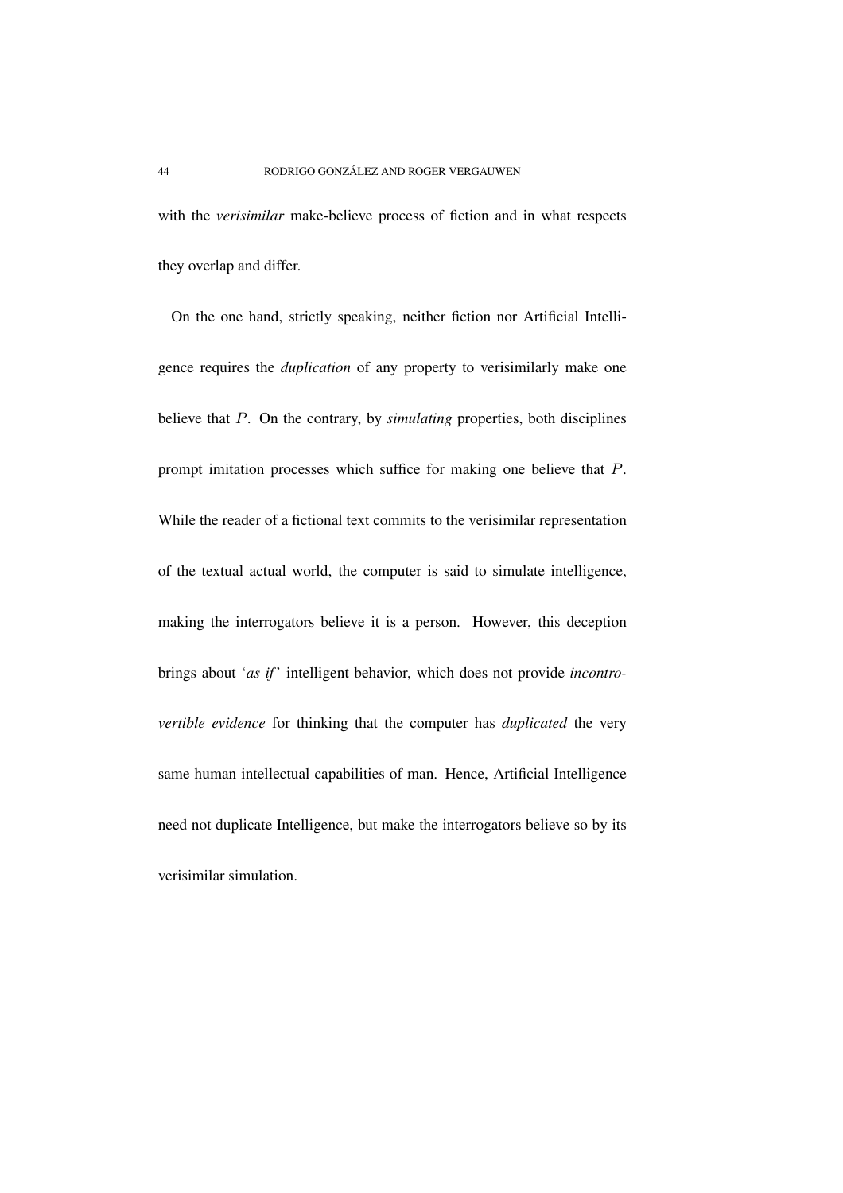with the *verisimilar* make-believe process of fiction and in what respects they overlap and differ.

On the one hand, strictly speaking, neither fiction nor Artificial Intelligence requires the *duplication* of any property to verisimilarly make one believe that P. On the contrary, by *simulating* properties, both disciplines prompt imitation processes which suffice for making one believe that P. While the reader of a fictional text commits to the verisimilar representation of the textual actual world, the computer is said to simulate intelligence, making the interrogators believe it is a person. However, this deception brings about '*as if*' intelligent behavior, which does not provide *incontrovertible evidence* for thinking that the computer has *duplicated* the very same human intellectual capabilities of man. Hence, Artificial Intelligence need not duplicate Intelligence, but make the interrogators believe so by its verisimilar simulation.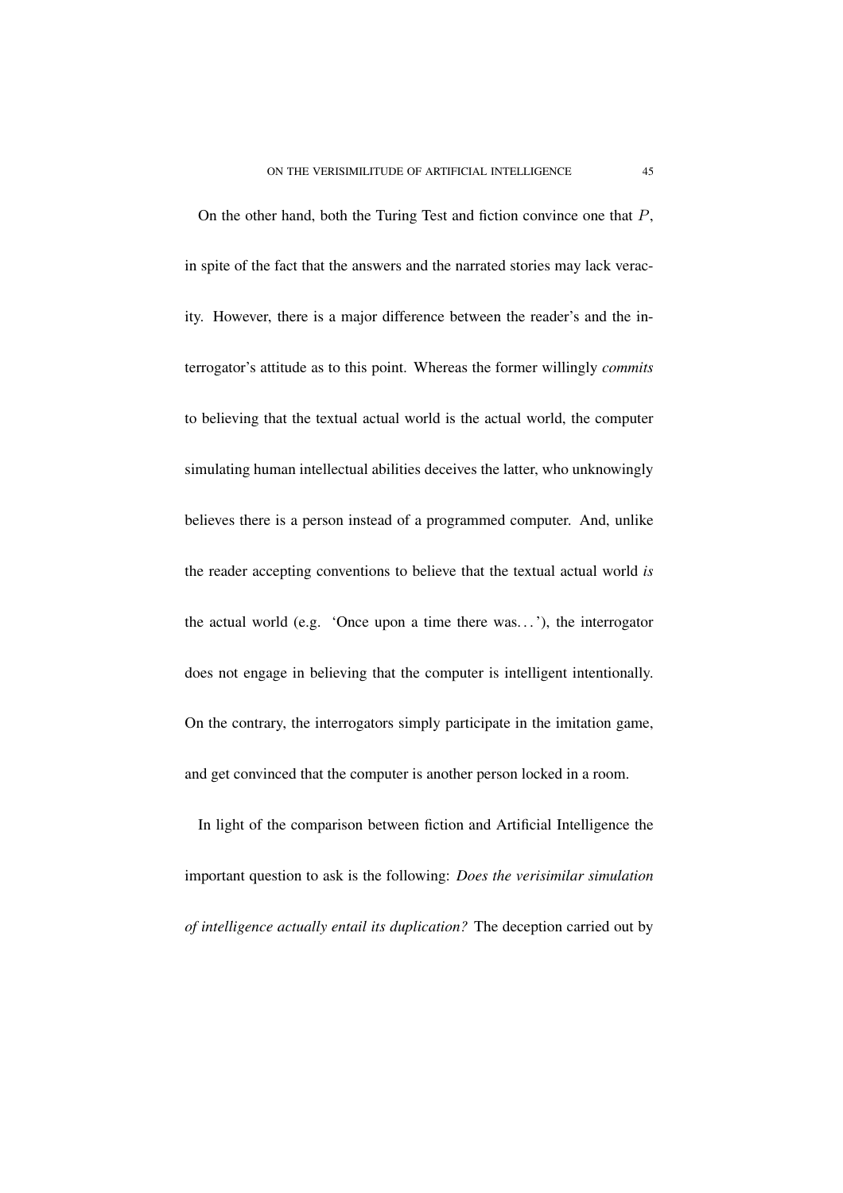On the other hand, both the Turing Test and fiction convince one that P, in spite of the fact that the answers and the narrated stories may lack veracity. However, there is a major difference between the reader's and the interrogator's attitude as to this point. Whereas the former willingly *commits* to believing that the textual actual world is the actual world, the computer simulating human intellectual abilities deceives the latter, who unknowingly believes there is a person instead of a programmed computer. And, unlike the reader accepting conventions to believe that the textual actual world *is* the actual world (e.g. 'Once upon a time there was. . .'), the interrogator does not engage in believing that the computer is intelligent intentionally. On the contrary, the interrogators simply participate in the imitation game, and get convinced that the computer is another person locked in a room.

In light of the comparison between fiction and Artificial Intelligence the important question to ask is the following: *Does the verisimilar simulation of intelligence actually entail its duplication?* The deception carried out by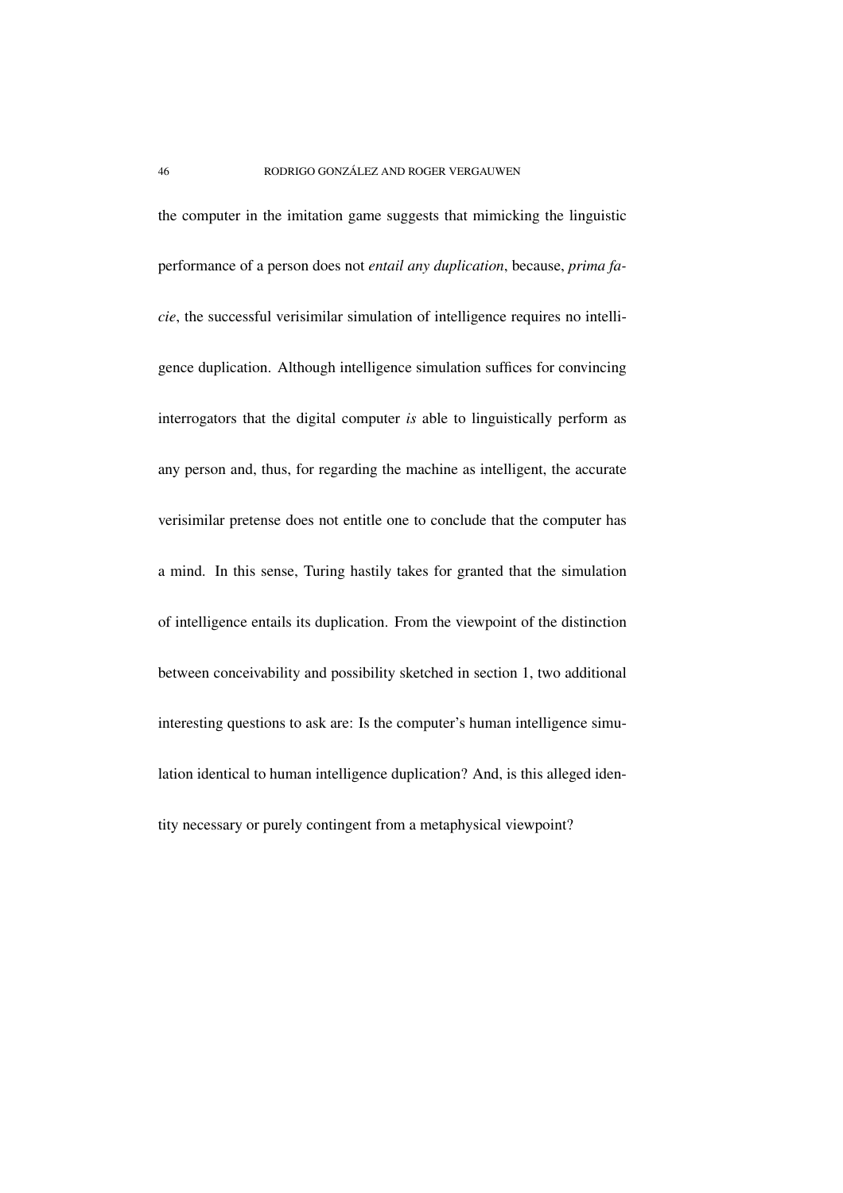the computer in the imitation game suggests that mimicking the linguistic performance of a person does not *entail any duplication*, because, *prima facie*, the successful verisimilar simulation of intelligence requires no intelligence duplication. Although intelligence simulation suffices for convincing interrogators that the digital computer *is* able to linguistically perform as any person and, thus, for regarding the machine as intelligent, the accurate verisimilar pretense does not entitle one to conclude that the computer has a mind. In this sense, Turing hastily takes for granted that the simulation of intelligence entails its duplication. From the viewpoint of the distinction between conceivability and possibility sketched in section 1, two additional interesting questions to ask are: Is the computer's human intelligence simulation identical to human intelligence duplication? And, is this alleged identity necessary or purely contingent from a metaphysical viewpoint?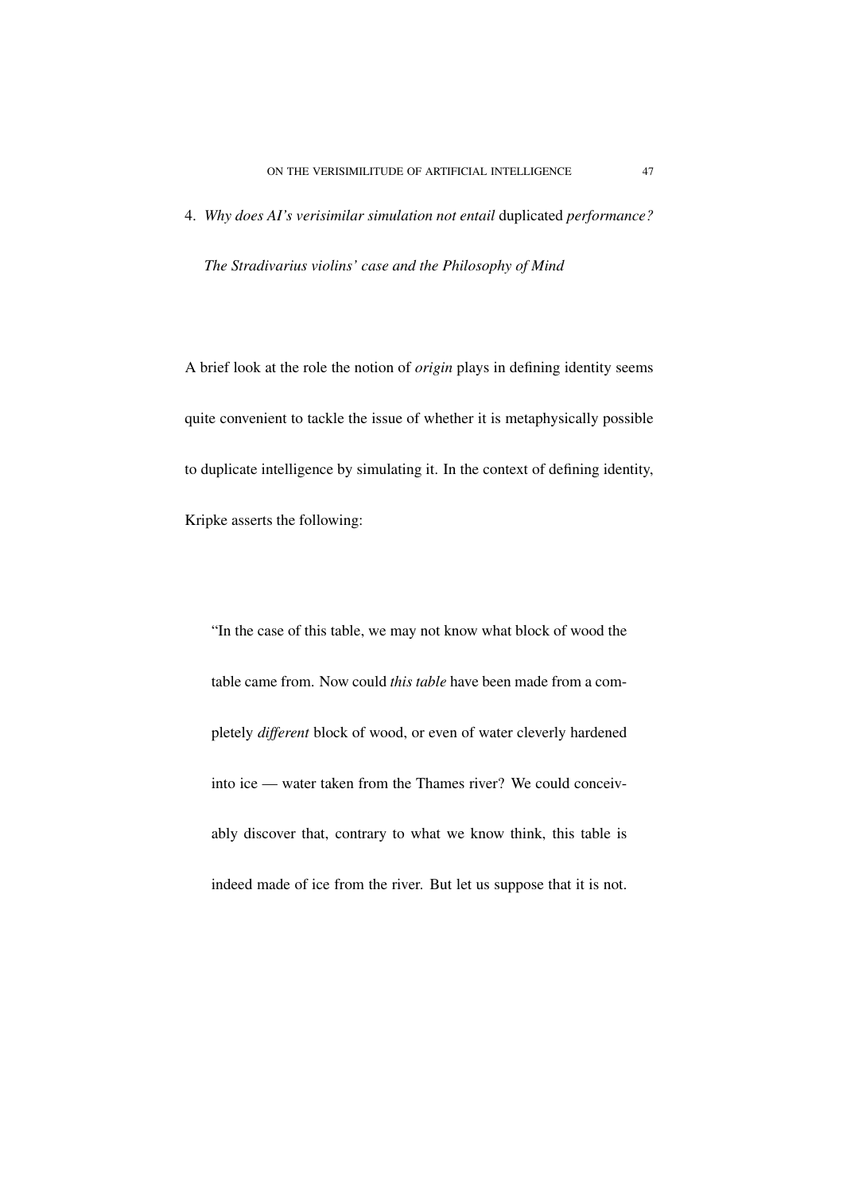4. *Why does AI's verisimilar simulation not entail* duplicated *performance? The Stradivarius violins' case and the Philosophy of Mind*

A brief look at the role the notion of *origin* plays in defining identity seems quite convenient to tackle the issue of whether it is metaphysically possible to duplicate intelligence by simulating it. In the context of defining identity, Kripke asserts the following:

"In the case of this table, we may not know what block of wood the table came from. Now could *this table* have been made from a completely *different* block of wood, or even of water cleverly hardened into ice — water taken from the Thames river? We could conceivably discover that, contrary to what we know think, this table is indeed made of ice from the river. But let us suppose that it is not.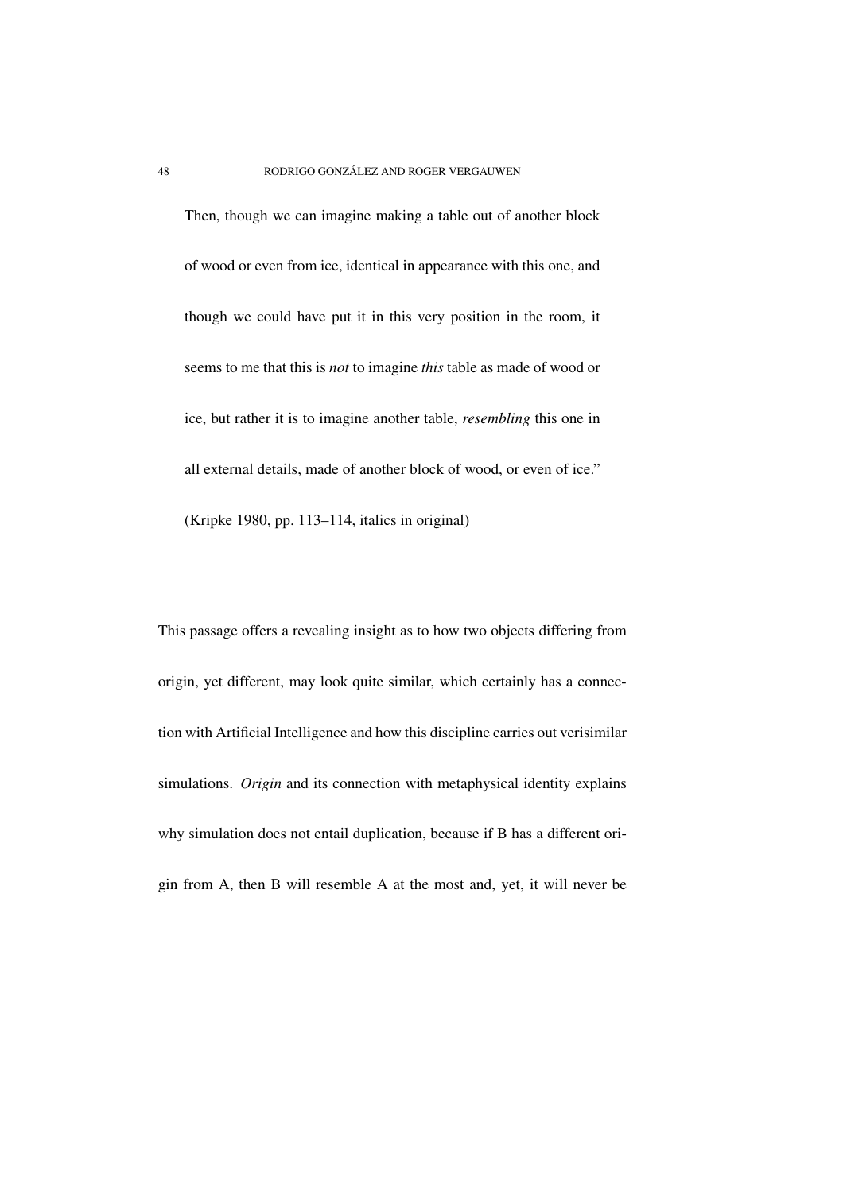Then, though we can imagine making a table out of another block of wood or even from ice, identical in appearance with this one, and though we could have put it in this very position in the room, it seems to me that this is *not* to imagine *this* table as made of wood or ice, but rather it is to imagine another table, *resembling* this one in all external details, made of another block of wood, or even of ice." (Kripke 1980, pp. 113–114, italics in original)

This passage offers a revealing insight as to how two objects differing from origin, yet different, may look quite similar, which certainly has a connection with Artificial Intelligence and how this discipline carries out verisimilar simulations. *Origin* and its connection with metaphysical identity explains why simulation does not entail duplication, because if B has a different origin from A, then B will resemble A at the most and, yet, it will never be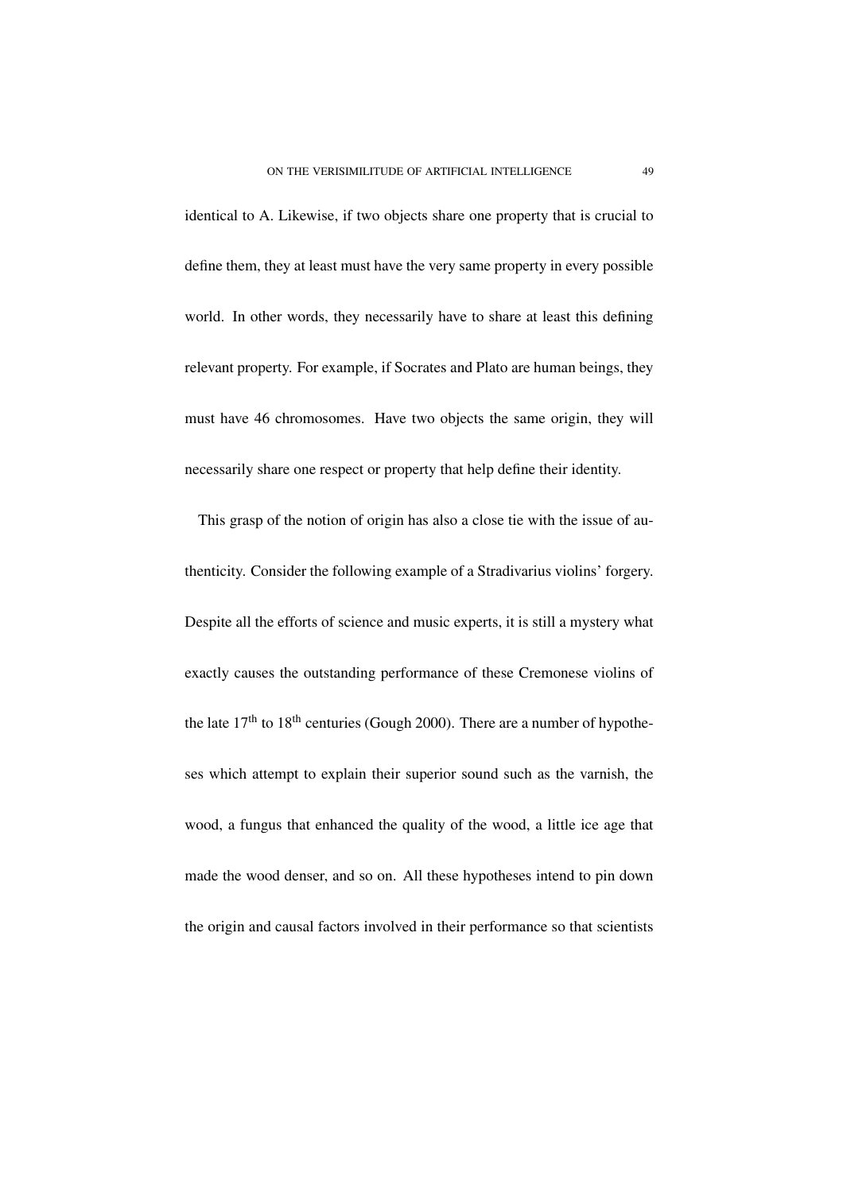identical to A. Likewise, if two objects share one property that is crucial to define them, they at least must have the very same property in every possible world. In other words, they necessarily have to share at least this defining relevant property. For example, if Socrates and Plato are human beings, they must have 46 chromosomes. Have two objects the same origin, they will necessarily share one respect or property that help define their identity.

This grasp of the notion of origin has also a close tie with the issue of authenticity. Consider the following example of a Stradivarius violins' forgery. Despite all the efforts of science and music experts, it is still a mystery what exactly causes the outstanding performance of these Cremonese violins of the late  $17<sup>th</sup>$  to  $18<sup>th</sup>$  centuries (Gough 2000). There are a number of hypotheses which attempt to explain their superior sound such as the varnish, the wood, a fungus that enhanced the quality of the wood, a little ice age that made the wood denser, and so on. All these hypotheses intend to pin down the origin and causal factors involved in their performance so that scientists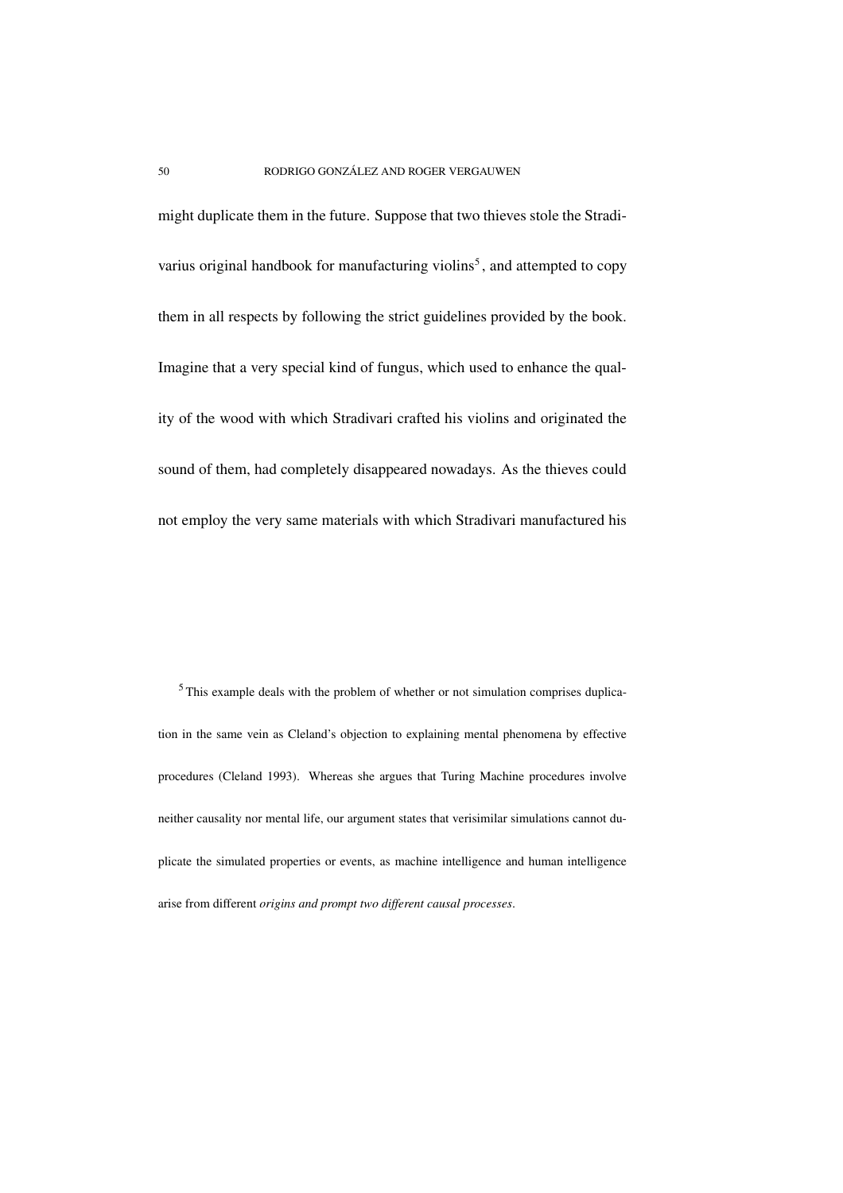might duplicate them in the future. Suppose that two thieves stole the Stradivarius original handbook for manufacturing violins<sup>5</sup>, and attempted to copy them in all respects by following the strict guidelines provided by the book. Imagine that a very special kind of fungus, which used to enhance the quality of the wood with which Stradivari crafted his violins and originated the sound of them, had completely disappeared nowadays. As the thieves could not employ the very same materials with which Stradivari manufactured his

<sup>5</sup> This example deals with the problem of whether or not simulation comprises duplication in the same vein as Cleland's objection to explaining mental phenomena by effective procedures (Cleland 1993). Whereas she argues that Turing Machine procedures involve neither causality nor mental life, our argument states that verisimilar simulations cannot duplicate the simulated properties or events, as machine intelligence and human intelligence arise from different *origins and prompt two different causal processes*.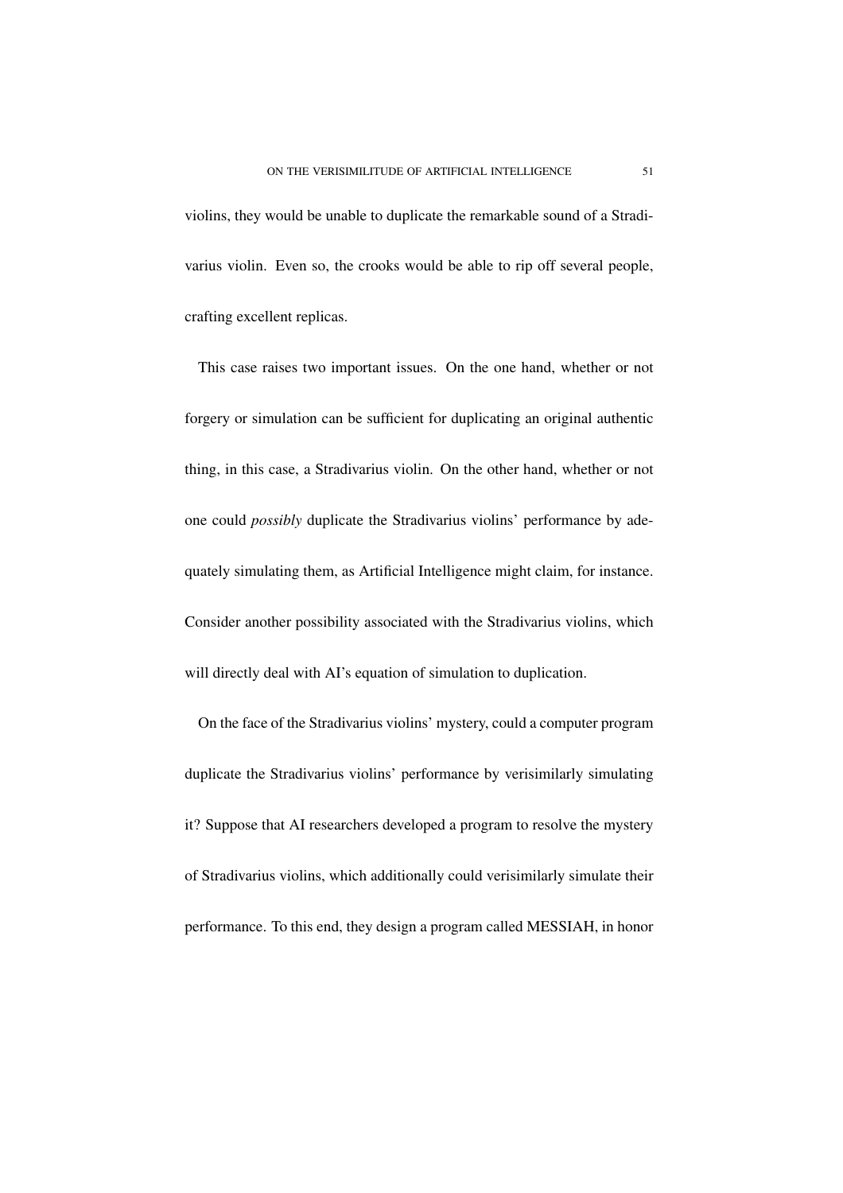violins, they would be unable to duplicate the remarkable sound of a Stradivarius violin. Even so, the crooks would be able to rip off several people, crafting excellent replicas.

This case raises two important issues. On the one hand, whether or not forgery or simulation can be sufficient for duplicating an original authentic thing, in this case, a Stradivarius violin. On the other hand, whether or not one could *possibly* duplicate the Stradivarius violins' performance by adequately simulating them, as Artificial Intelligence might claim, for instance. Consider another possibility associated with the Stradivarius violins, which will directly deal with AI's equation of simulation to duplication.

On the face of the Stradivarius violins' mystery, could a computer program duplicate the Stradivarius violins' performance by verisimilarly simulating it? Suppose that AI researchers developed a program to resolve the mystery of Stradivarius violins, which additionally could verisimilarly simulate their performance. To this end, they design a program called MESSIAH, in honor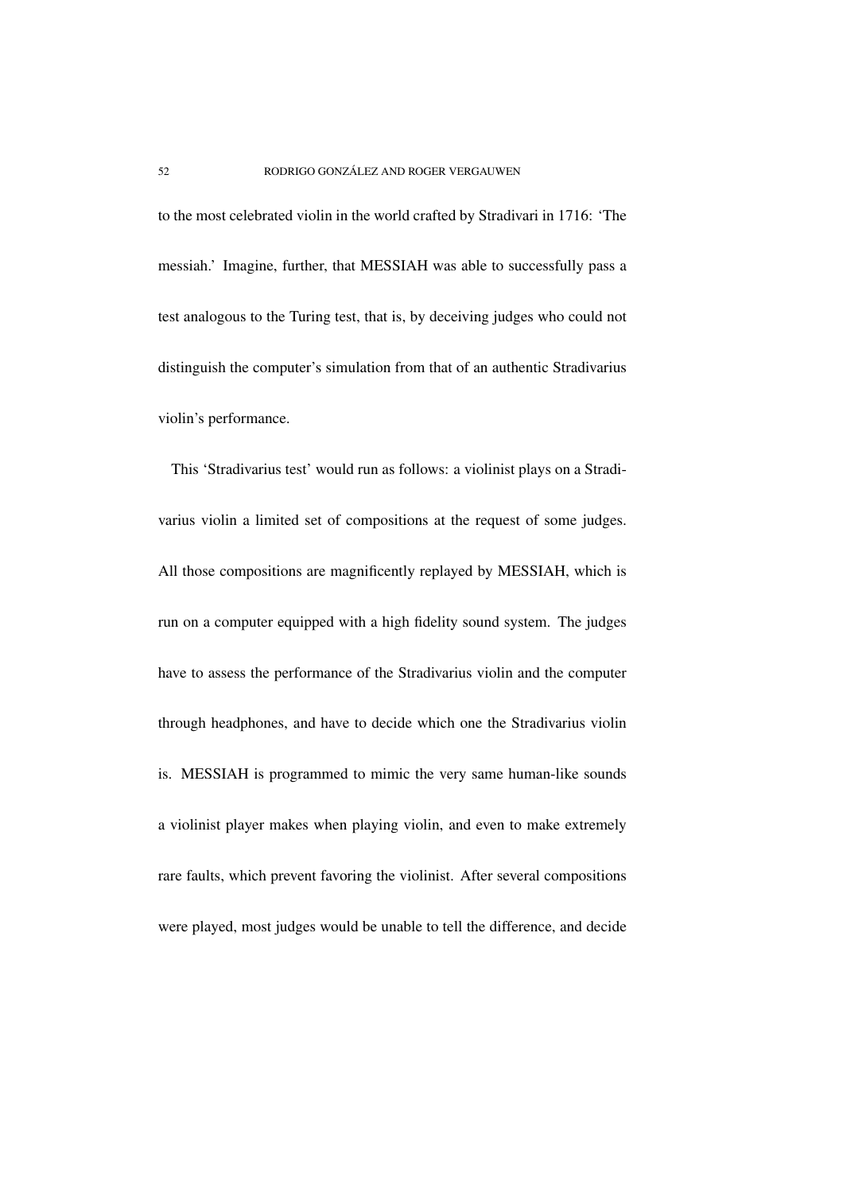to the most celebrated violin in the world crafted by Stradivari in 1716: 'The messiah.' Imagine, further, that MESSIAH was able to successfully pass a test analogous to the Turing test, that is, by deceiving judges who could not distinguish the computer's simulation from that of an authentic Stradivarius violin's performance.

This 'Stradivarius test' would run as follows: a violinist plays on a Stradivarius violin a limited set of compositions at the request of some judges. All those compositions are magnificently replayed by MESSIAH, which is run on a computer equipped with a high fidelity sound system. The judges have to assess the performance of the Stradivarius violin and the computer through headphones, and have to decide which one the Stradivarius violin is. MESSIAH is programmed to mimic the very same human-like sounds a violinist player makes when playing violin, and even to make extremely rare faults, which prevent favoring the violinist. After several compositions were played, most judges would be unable to tell the difference, and decide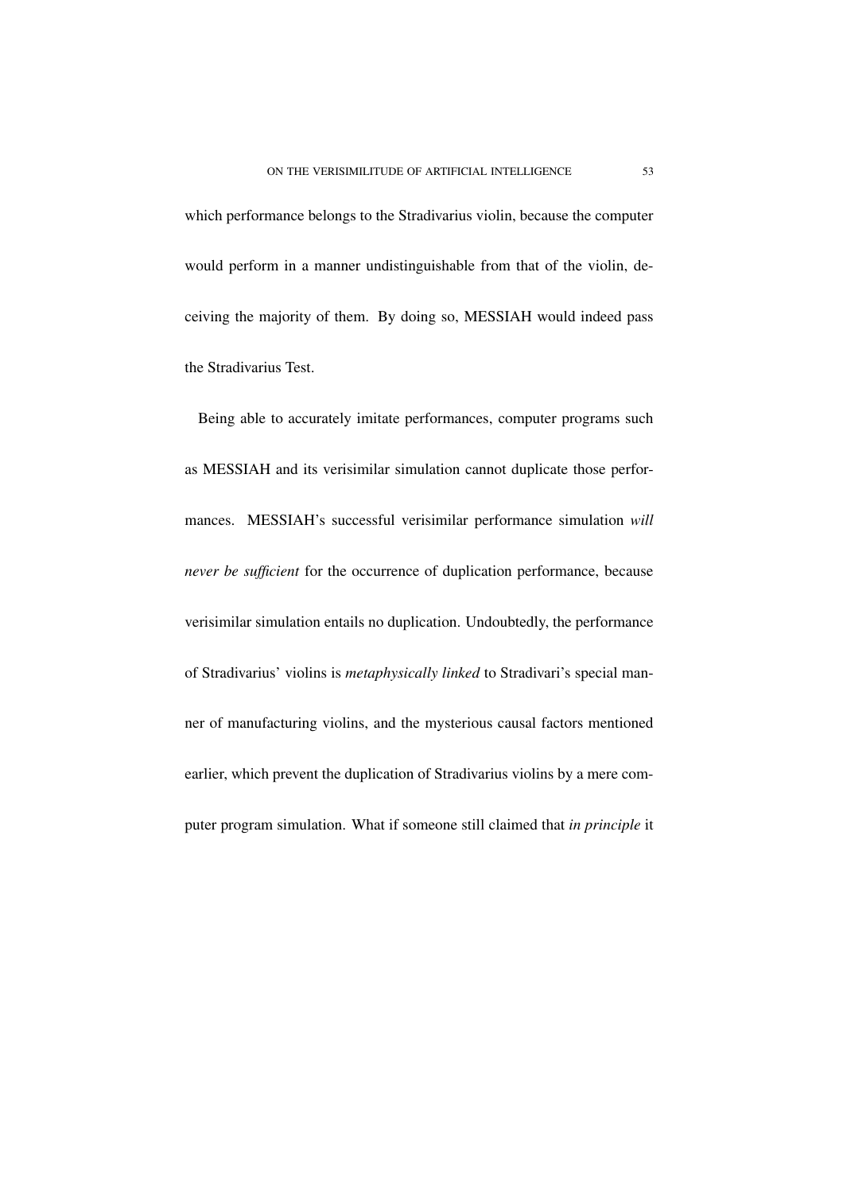which performance belongs to the Stradivarius violin, because the computer would perform in a manner undistinguishable from that of the violin, deceiving the majority of them. By doing so, MESSIAH would indeed pass the Stradivarius Test.

Being able to accurately imitate performances, computer programs such as MESSIAH and its verisimilar simulation cannot duplicate those performances. MESSIAH's successful verisimilar performance simulation *will never be sufficient* for the occurrence of duplication performance, because verisimilar simulation entails no duplication. Undoubtedly, the performance of Stradivarius' violins is *metaphysically linked* to Stradivari's special manner of manufacturing violins, and the mysterious causal factors mentioned earlier, which prevent the duplication of Stradivarius violins by a mere computer program simulation. What if someone still claimed that *in principle* it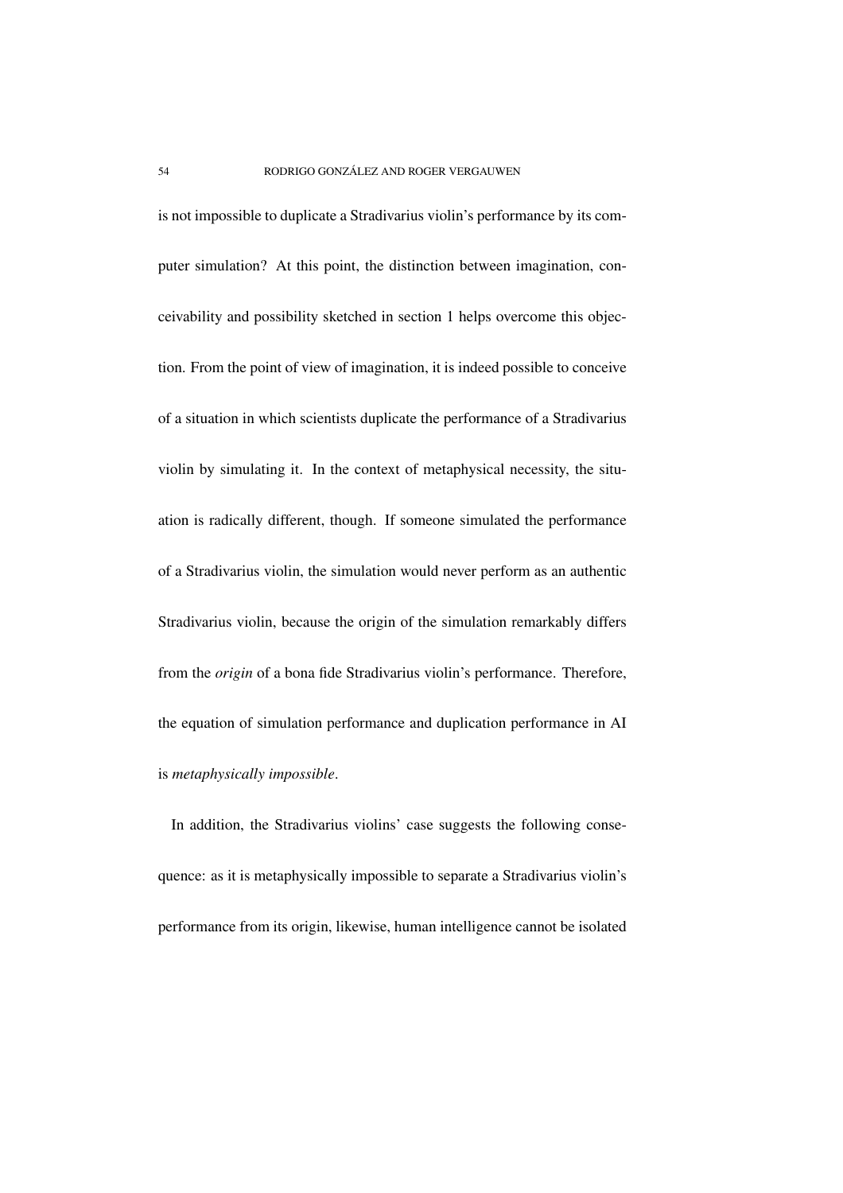is not impossible to duplicate a Stradivarius violin's performance by its computer simulation? At this point, the distinction between imagination, conceivability and possibility sketched in section 1 helps overcome this objection. From the point of view of imagination, it is indeed possible to conceive of a situation in which scientists duplicate the performance of a Stradivarius violin by simulating it. In the context of metaphysical necessity, the situation is radically different, though. If someone simulated the performance of a Stradivarius violin, the simulation would never perform as an authentic Stradivarius violin, because the origin of the simulation remarkably differs from the *origin* of a bona fide Stradivarius violin's performance. Therefore, the equation of simulation performance and duplication performance in AI is *metaphysically impossible*.

In addition, the Stradivarius violins' case suggests the following consequence: as it is metaphysically impossible to separate a Stradivarius violin's performance from its origin, likewise, human intelligence cannot be isolated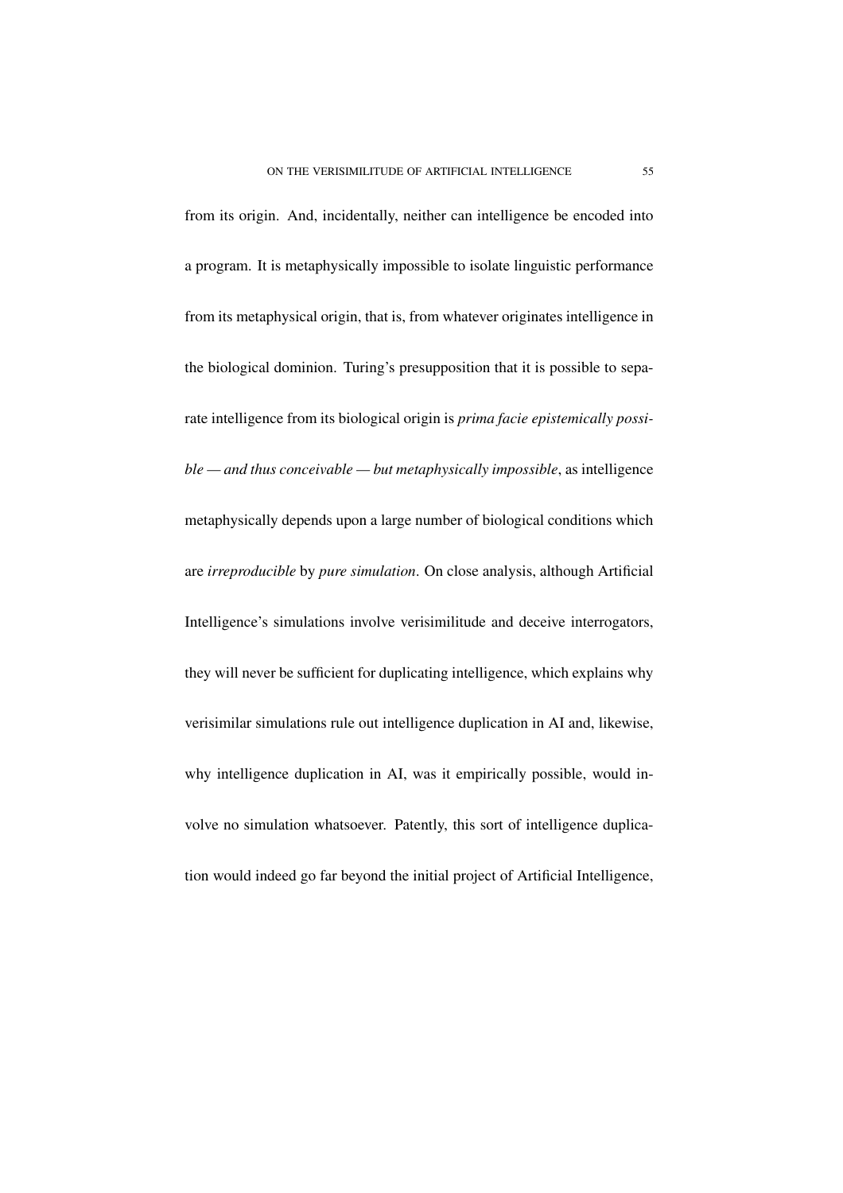from its origin. And, incidentally, neither can intelligence be encoded into a program. It is metaphysically impossible to isolate linguistic performance from its metaphysical origin, that is, from whatever originates intelligence in the biological dominion. Turing's presupposition that it is possible to separate intelligence from its biological origin is *prima facie epistemically possible — and thus conceivable — but metaphysically impossible*, as intelligence metaphysically depends upon a large number of biological conditions which are *irreproducible* by *pure simulation*. On close analysis, although Artificial Intelligence's simulations involve verisimilitude and deceive interrogators, they will never be sufficient for duplicating intelligence, which explains why verisimilar simulations rule out intelligence duplication in AI and, likewise, why intelligence duplication in AI, was it empirically possible, would involve no simulation whatsoever. Patently, this sort of intelligence duplication would indeed go far beyond the initial project of Artificial Intelligence,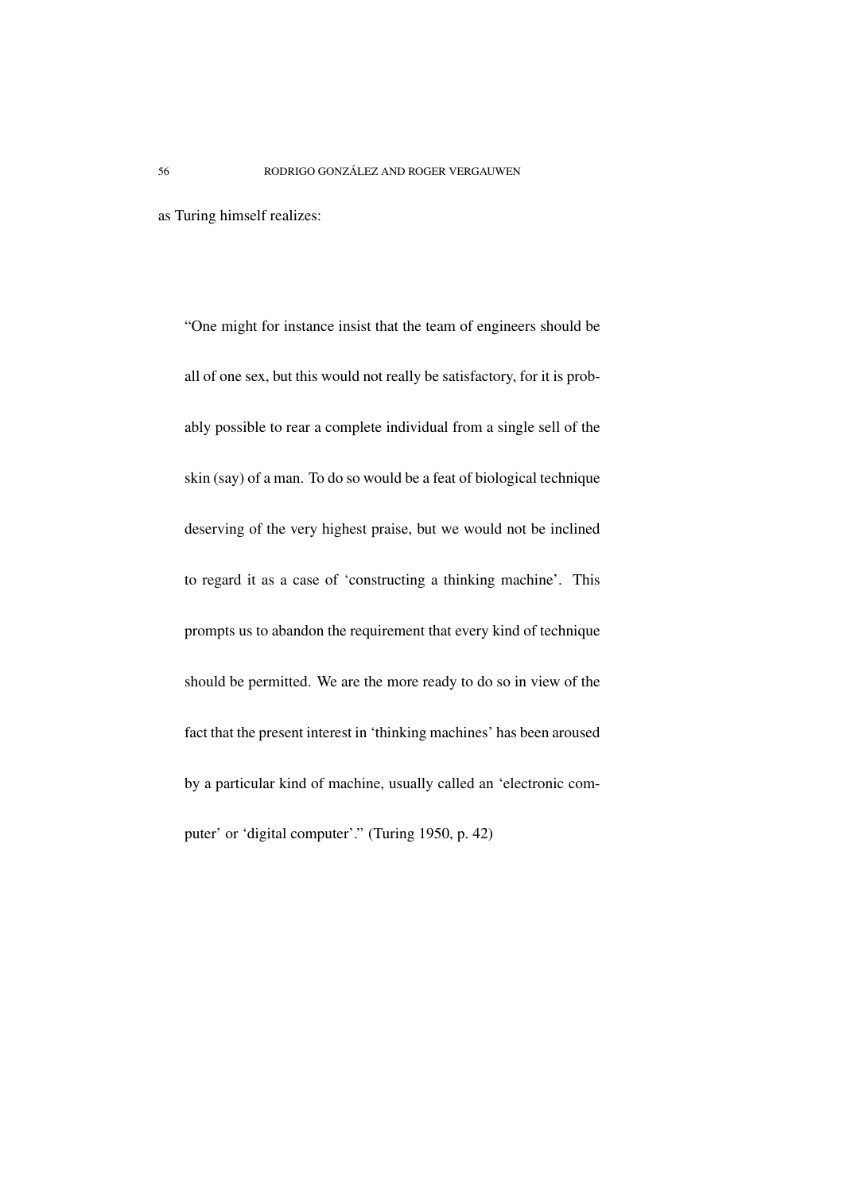as Turing himself realizes:

"One might for instance insist that the team of engineers should be all of one sex, but this would not really be satisfactory, for it is probably possible to rear a complete individual from a single sell of the skin (say) of a man. To do so would be a feat of biological technique deserving of the very highest praise, but we would not be inclined to regard it as a case of 'constructing a thinking machine'. This prompts us to abandon the requirement that every kind of technique should be permitted. We are the more ready to do so in view of the fact that the present interest in 'thinking machines' has been aroused by a particular kind of machine, usually called an 'electronic computer' or 'digital computer'." (Turing 1950, p. 42)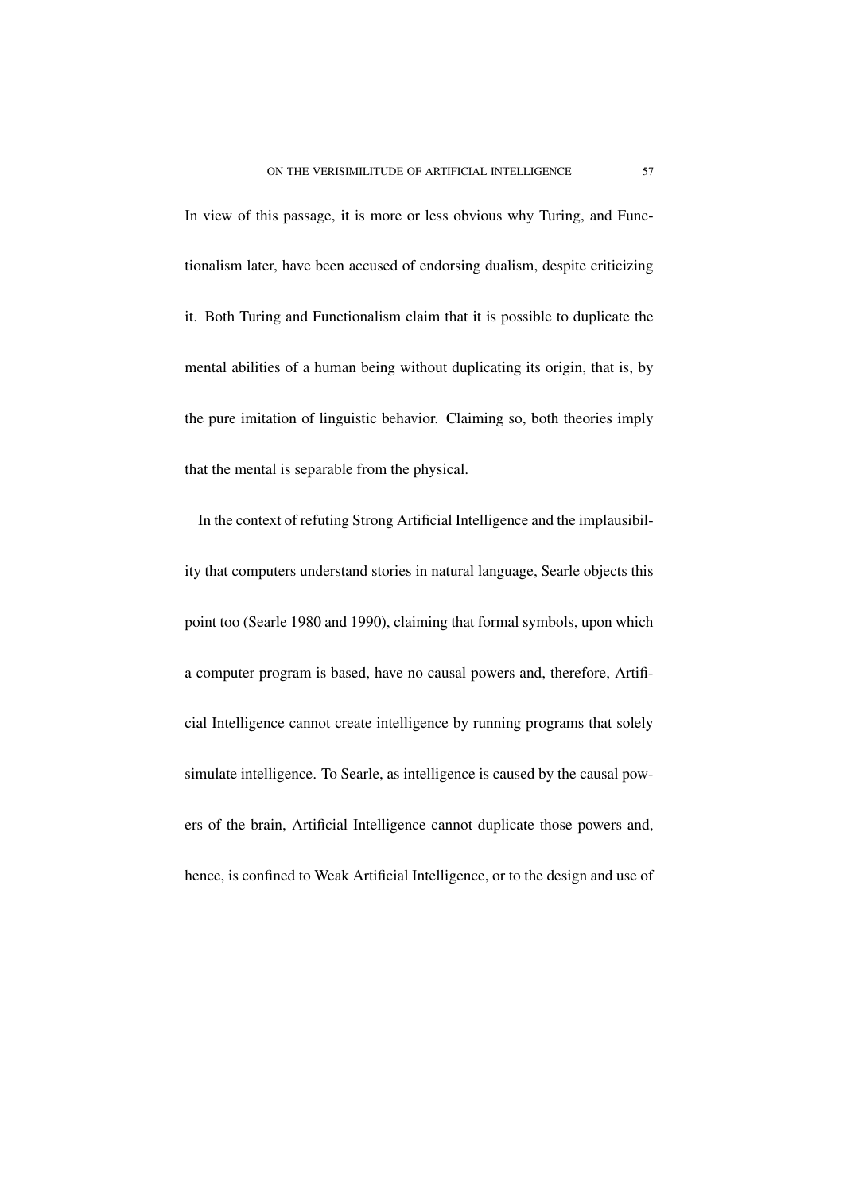In view of this passage, it is more or less obvious why Turing, and Functionalism later, have been accused of endorsing dualism, despite criticizing it. Both Turing and Functionalism claim that it is possible to duplicate the mental abilities of a human being without duplicating its origin, that is, by the pure imitation of linguistic behavior. Claiming so, both theories imply that the mental is separable from the physical.

In the context of refuting Strong Artificial Intelligence and the implausibility that computers understand stories in natural language, Searle objects this point too (Searle 1980 and 1990), claiming that formal symbols, upon which a computer program is based, have no causal powers and, therefore, Artificial Intelligence cannot create intelligence by running programs that solely simulate intelligence. To Searle, as intelligence is caused by the causal powers of the brain, Artificial Intelligence cannot duplicate those powers and, hence, is confined to Weak Artificial Intelligence, or to the design and use of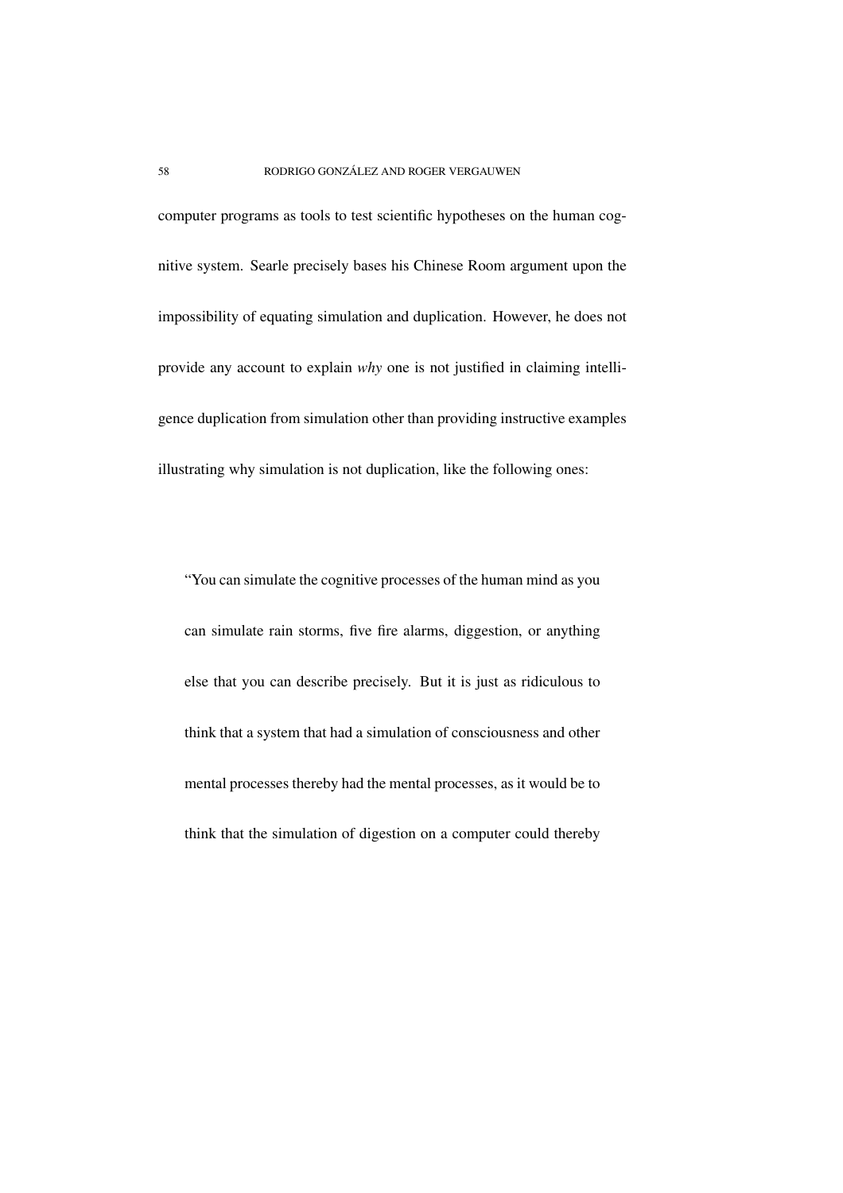computer programs as tools to test scientific hypotheses on the human cognitive system. Searle precisely bases his Chinese Room argument upon the impossibility of equating simulation and duplication. However, he does not provide any account to explain *why* one is not justified in claiming intelligence duplication from simulation other than providing instructive examples illustrating why simulation is not duplication, like the following ones:

"You can simulate the cognitive processes of the human mind as you can simulate rain storms, five fire alarms, diggestion, or anything else that you can describe precisely. But it is just as ridiculous to think that a system that had a simulation of consciousness and other mental processes thereby had the mental processes, as it would be to think that the simulation of digestion on a computer could thereby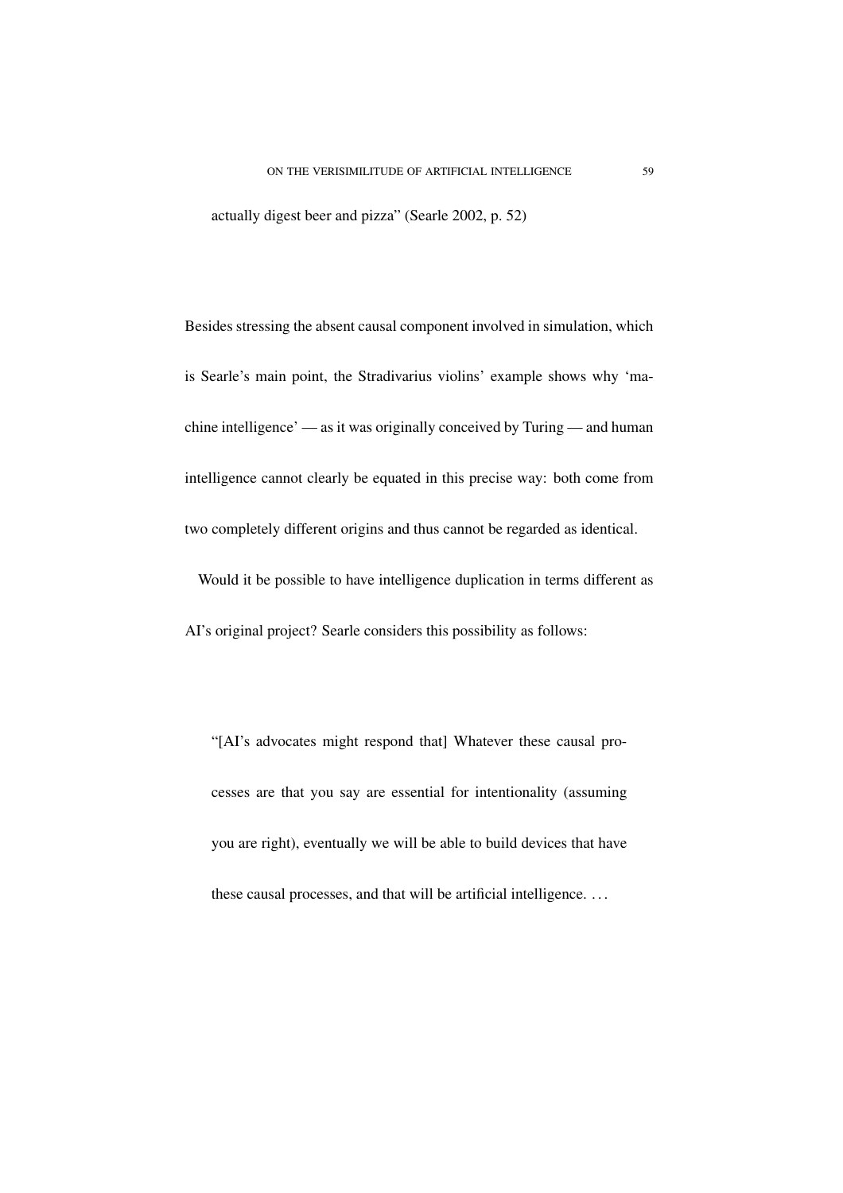actually digest beer and pizza" (Searle 2002, p. 52)

Besides stressing the absent causal component involved in simulation, which is Searle's main point, the Stradivarius violins' example shows why 'machine intelligence' — as it was originally conceived by Turing — and human intelligence cannot clearly be equated in this precise way: both come from two completely different origins and thus cannot be regarded as identical. Would it be possible to have intelligence duplication in terms different as

AI's original project? Searle considers this possibility as follows:

"[AI's advocates might respond that] Whatever these causal processes are that you say are essential for intentionality (assuming you are right), eventually we will be able to build devices that have these causal processes, and that will be artificial intelligence. . . .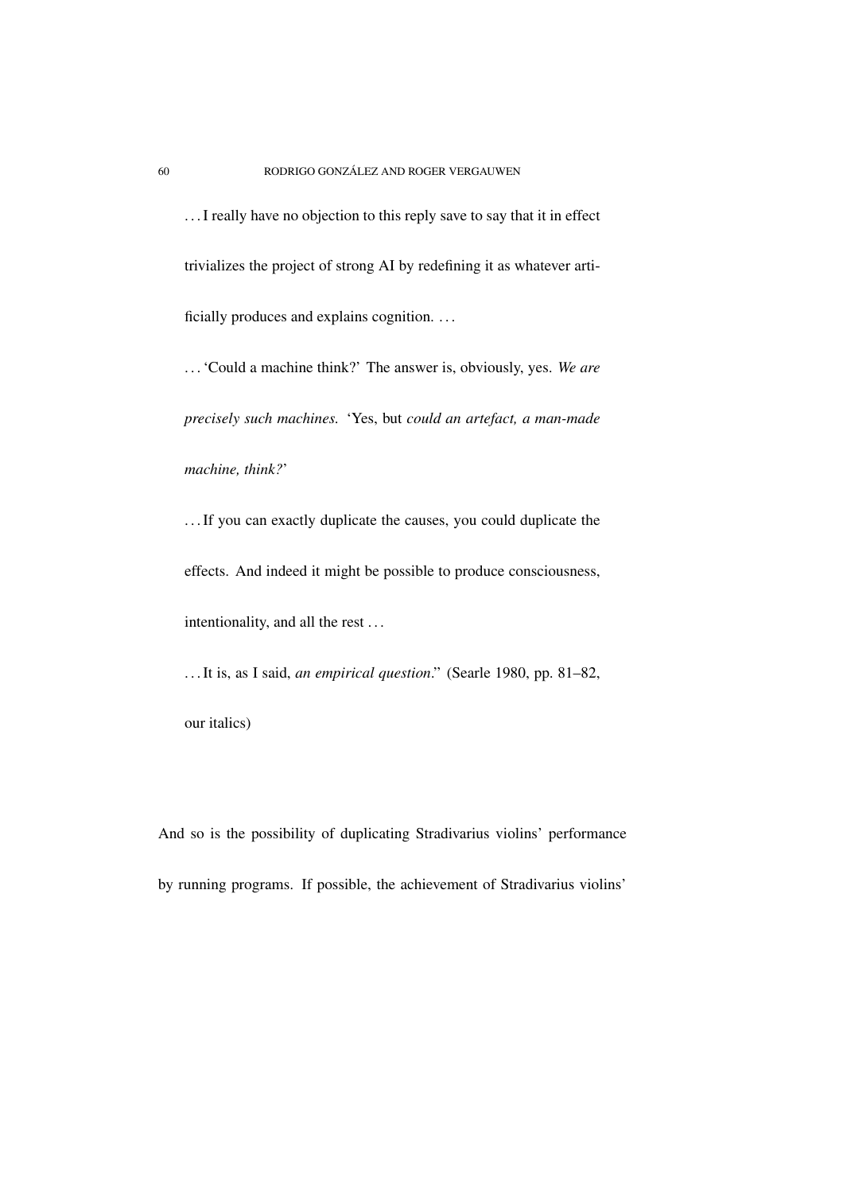. . .I really have no objection to this reply save to say that it in effect trivializes the project of strong AI by redefining it as whatever artificially produces and explains cognition. . . .

. . .'Could a machine think?' The answer is, obviously, yes. *We are precisely such machines.* 'Yes, but *could an artefact, a man-made machine, think?*'

. . .If you can exactly duplicate the causes, you could duplicate the effects. And indeed it might be possible to produce consciousness, intentionality, and all the rest . . .

. . .It is, as I said, *an empirical question*." (Searle 1980, pp. 81–82, our italics)

And so is the possibility of duplicating Stradivarius violins' performance by running programs. If possible, the achievement of Stradivarius violins'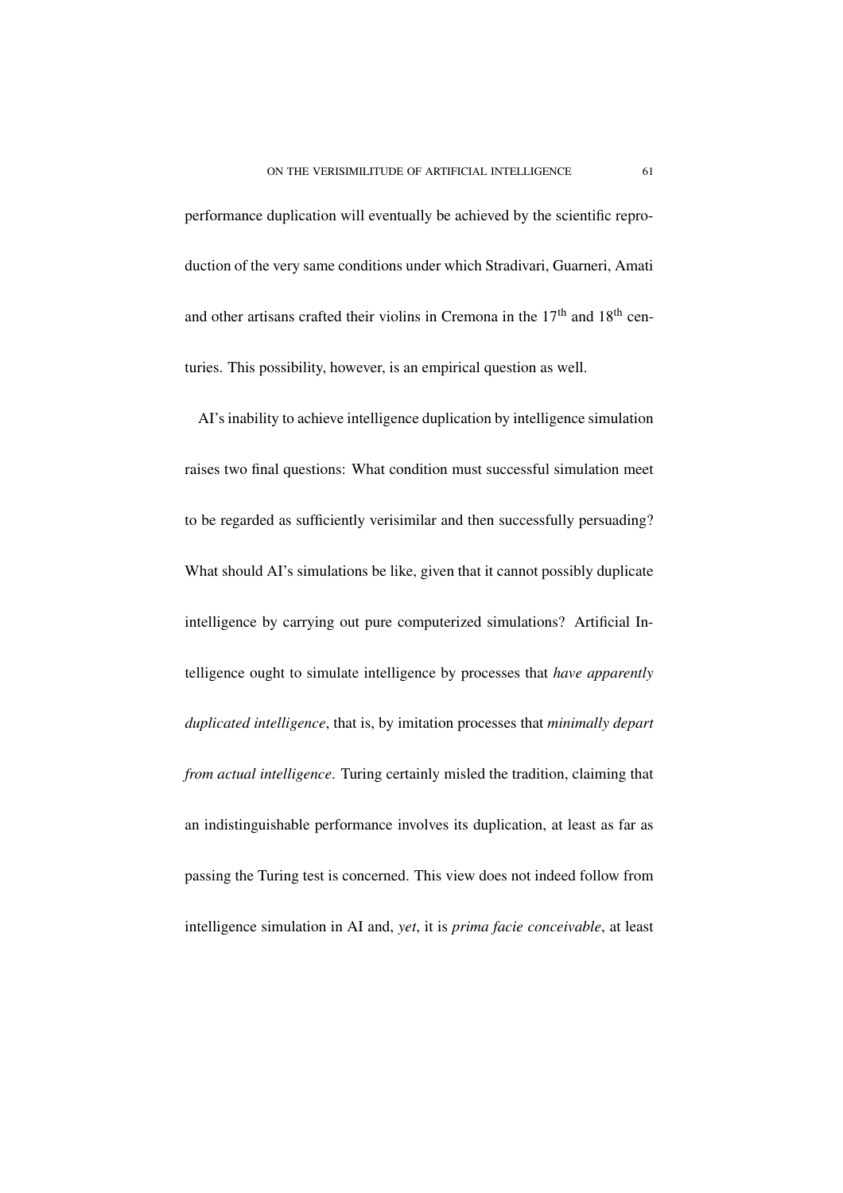performance duplication will eventually be achieved by the scientific reproduction of the very same conditions under which Stradivari, Guarneri, Amati and other artisans crafted their violins in Cremona in the  $17<sup>th</sup>$  and  $18<sup>th</sup>$  centuries. This possibility, however, is an empirical question as well.

AI's inability to achieve intelligence duplication by intelligence simulation raises two final questions: What condition must successful simulation meet to be regarded as sufficiently verisimilar and then successfully persuading? What should AI's simulations be like, given that it cannot possibly duplicate intelligence by carrying out pure computerized simulations? Artificial Intelligence ought to simulate intelligence by processes that *have apparently duplicated intelligence*, that is, by imitation processes that *minimally depart from actual intelligence*. Turing certainly misled the tradition, claiming that an indistinguishable performance involves its duplication, at least as far as passing the Turing test is concerned. This view does not indeed follow from intelligence simulation in AI and, *yet*, it is *prima facie conceivable*, at least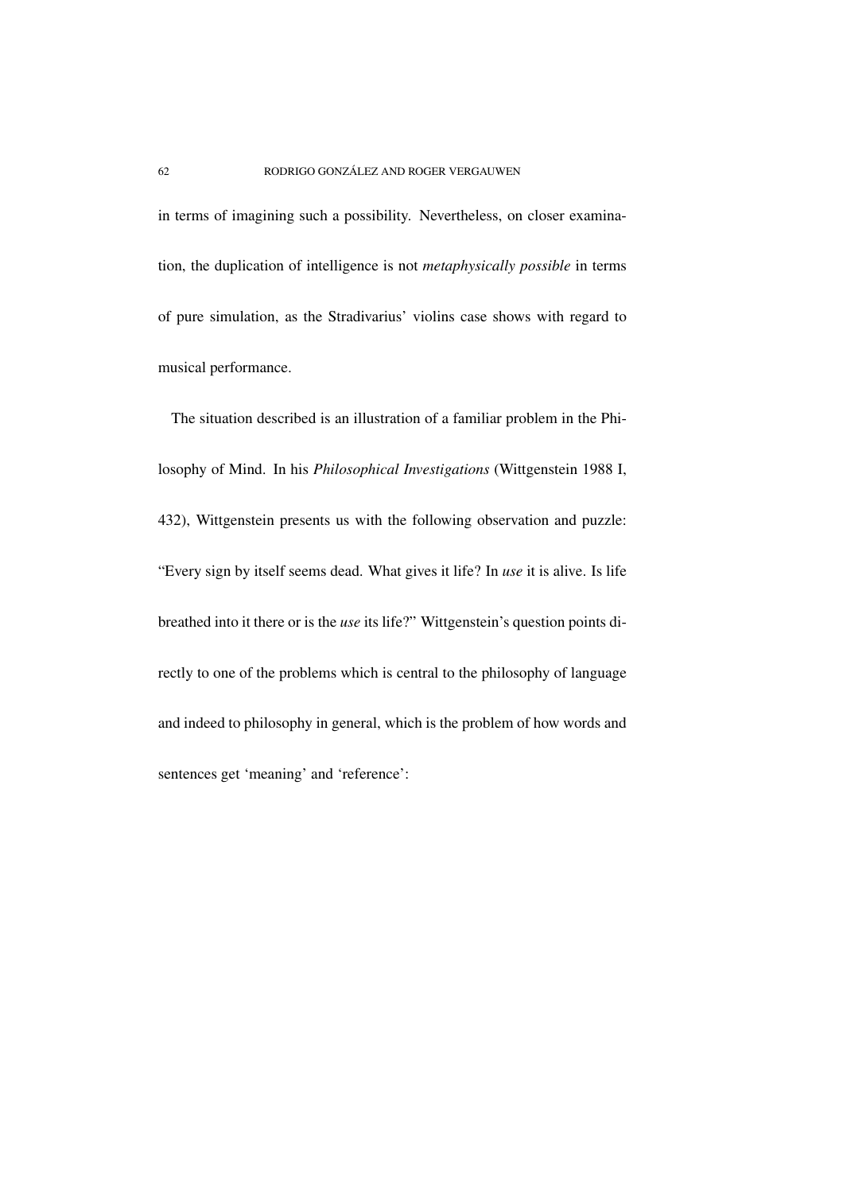in terms of imagining such a possibility. Nevertheless, on closer examination, the duplication of intelligence is not *metaphysically possible* in terms of pure simulation, as the Stradivarius' violins case shows with regard to musical performance.

The situation described is an illustration of a familiar problem in the Philosophy of Mind. In his *Philosophical Investigations* (Wittgenstein 1988 I, 432), Wittgenstein presents us with the following observation and puzzle: "Every sign by itself seems dead. What gives it life? In *use* it is alive. Is life breathed into it there or is the *use* its life?" Wittgenstein's question points directly to one of the problems which is central to the philosophy of language and indeed to philosophy in general, which is the problem of how words and sentences get 'meaning' and 'reference':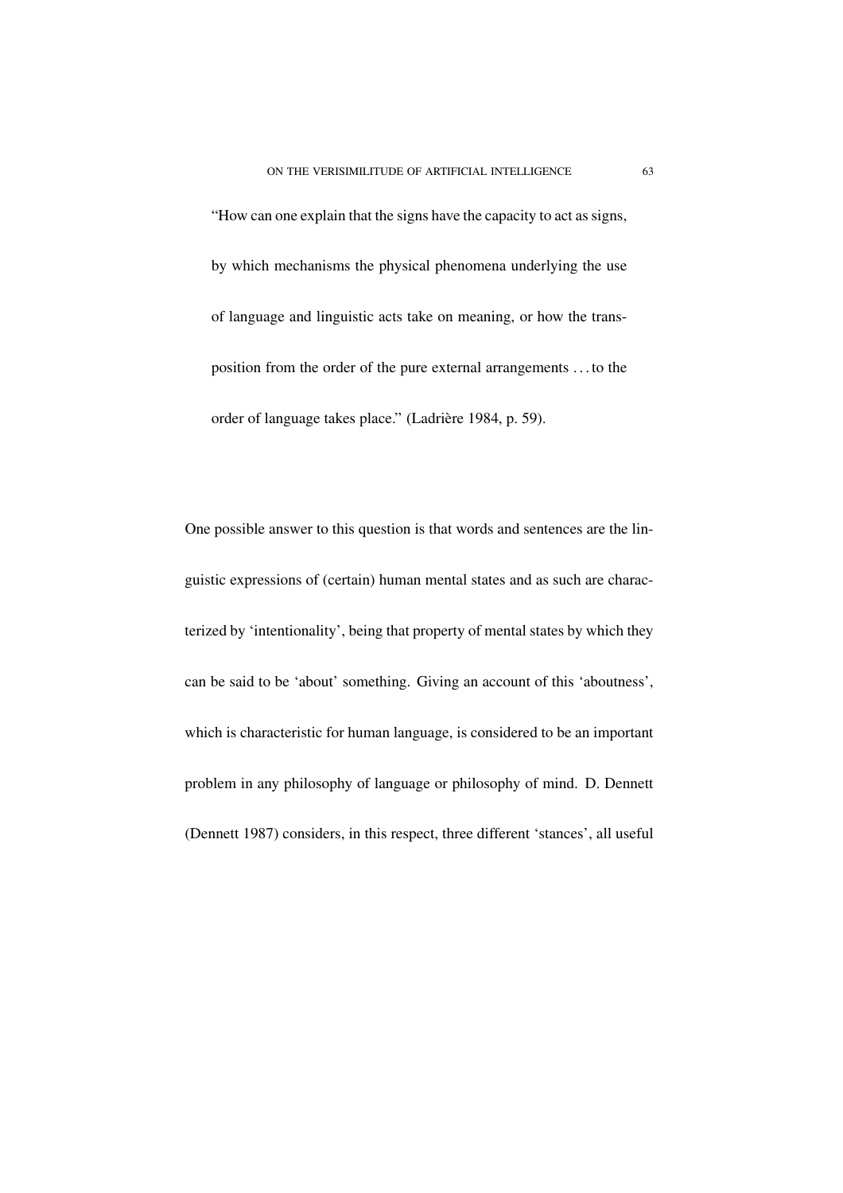"How can one explain that the signs have the capacity to act as signs, by which mechanisms the physical phenomena underlying the use of language and linguistic acts take on meaning, or how the transposition from the order of the pure external arrangements . . . to the order of language takes place." (Ladrière 1984, p. 59).

One possible answer to this question is that words and sentences are the linguistic expressions of (certain) human mental states and as such are characterized by 'intentionality', being that property of mental states by which they can be said to be 'about' something. Giving an account of this 'aboutness', which is characteristic for human language, is considered to be an important problem in any philosophy of language or philosophy of mind. D. Dennett (Dennett 1987) considers, in this respect, three different 'stances', all useful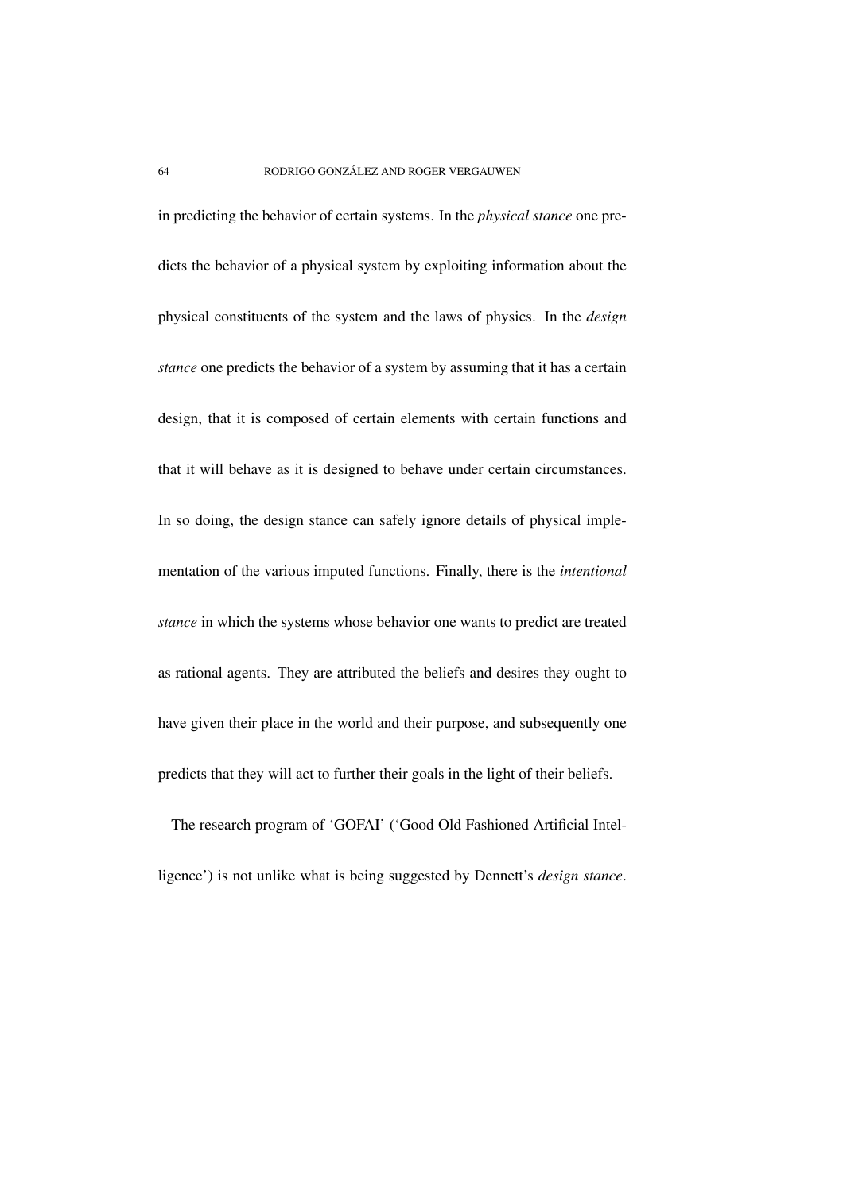in predicting the behavior of certain systems. In the *physical stance* one predicts the behavior of a physical system by exploiting information about the physical constituents of the system and the laws of physics. In the *design stance* one predicts the behavior of a system by assuming that it has a certain design, that it is composed of certain elements with certain functions and that it will behave as it is designed to behave under certain circumstances. In so doing, the design stance can safely ignore details of physical implementation of the various imputed functions. Finally, there is the *intentional stance* in which the systems whose behavior one wants to predict are treated as rational agents. They are attributed the beliefs and desires they ought to have given their place in the world and their purpose, and subsequently one predicts that they will act to further their goals in the light of their beliefs.

The research program of 'GOFAI' ('Good Old Fashioned Artificial Intelligence') is not unlike what is being suggested by Dennett's *design stance*.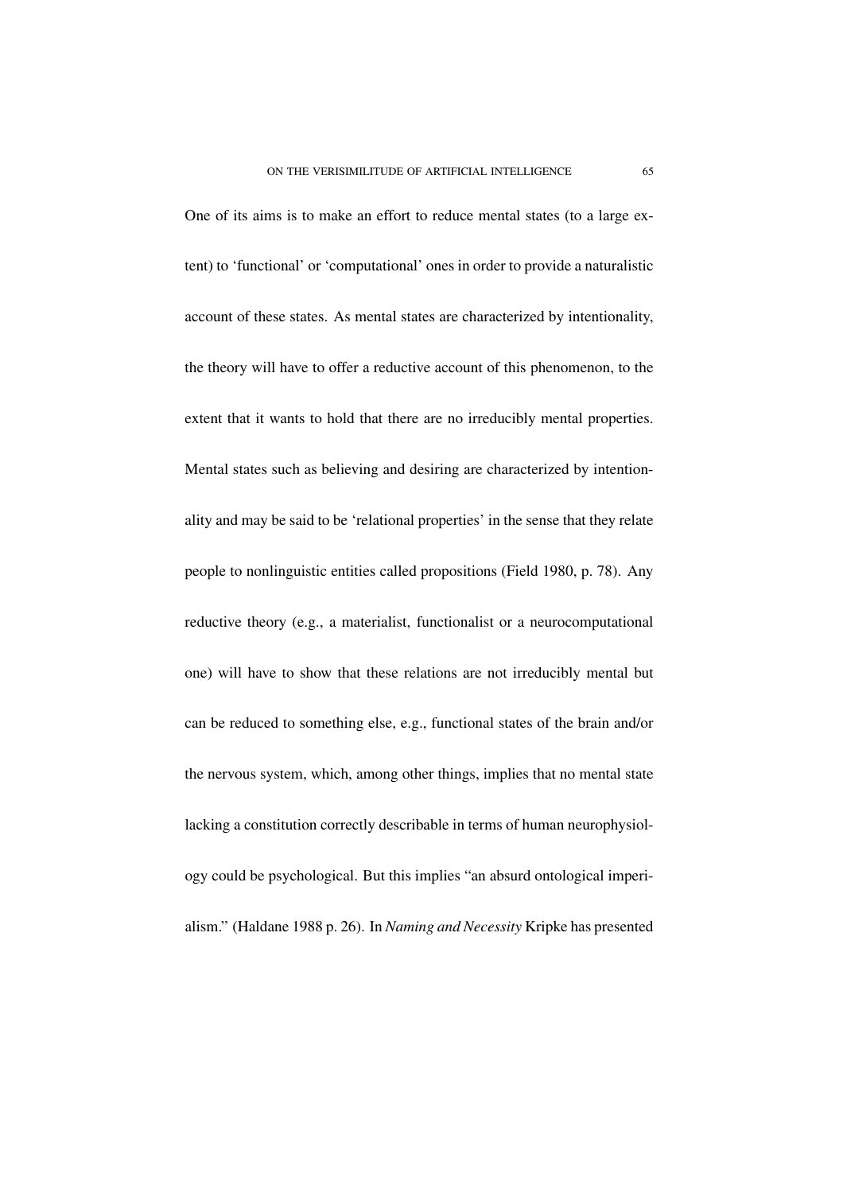One of its aims is to make an effort to reduce mental states (to a large extent) to 'functional' or 'computational' ones in order to provide a naturalistic account of these states. As mental states are characterized by intentionality, the theory will have to offer a reductive account of this phenomenon, to the extent that it wants to hold that there are no irreducibly mental properties. Mental states such as believing and desiring are characterized by intentionality and may be said to be 'relational properties' in the sense that they relate people to nonlinguistic entities called propositions (Field 1980, p. 78). Any reductive theory (e.g., a materialist, functionalist or a neurocomputational one) will have to show that these relations are not irreducibly mental but can be reduced to something else, e.g., functional states of the brain and/or the nervous system, which, among other things, implies that no mental state lacking a constitution correctly describable in terms of human neurophysiology could be psychological. But this implies "an absurd ontological imperialism." (Haldane 1988 p. 26). In *Naming and Necessity* Kripke has presented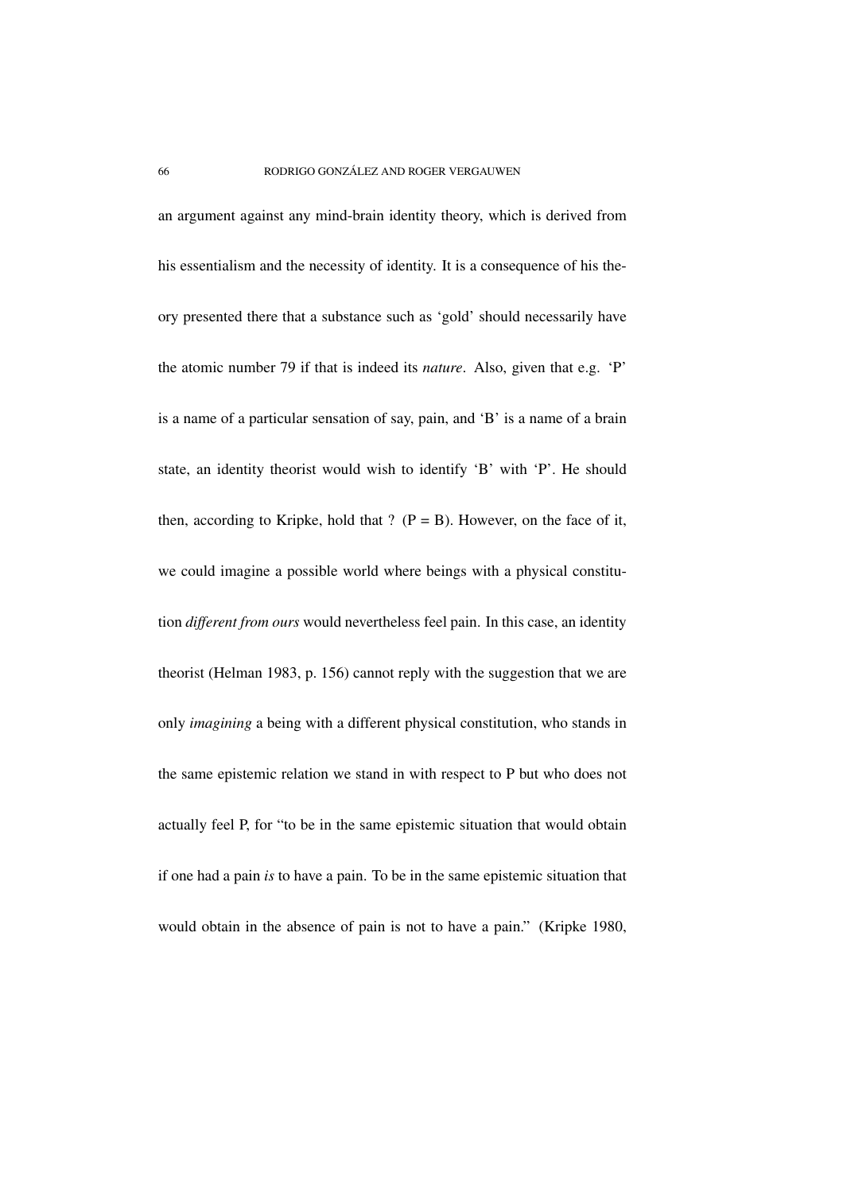an argument against any mind-brain identity theory, which is derived from his essentialism and the necessity of identity. It is a consequence of his theory presented there that a substance such as 'gold' should necessarily have the atomic number 79 if that is indeed its *nature*. Also, given that e.g. 'P' is a name of a particular sensation of say, pain, and 'B' is a name of a brain state, an identity theorist would wish to identify 'B' with 'P'. He should then, according to Kripke, hold that ?  $(P = B)$ . However, on the face of it, we could imagine a possible world where beings with a physical constitution *different from ours* would nevertheless feel pain. In this case, an identity theorist (Helman 1983, p. 156) cannot reply with the suggestion that we are only *imagining* a being with a different physical constitution, who stands in the same epistemic relation we stand in with respect to P but who does not actually feel P, for "to be in the same epistemic situation that would obtain if one had a pain *is* to have a pain. To be in the same epistemic situation that would obtain in the absence of pain is not to have a pain." (Kripke 1980,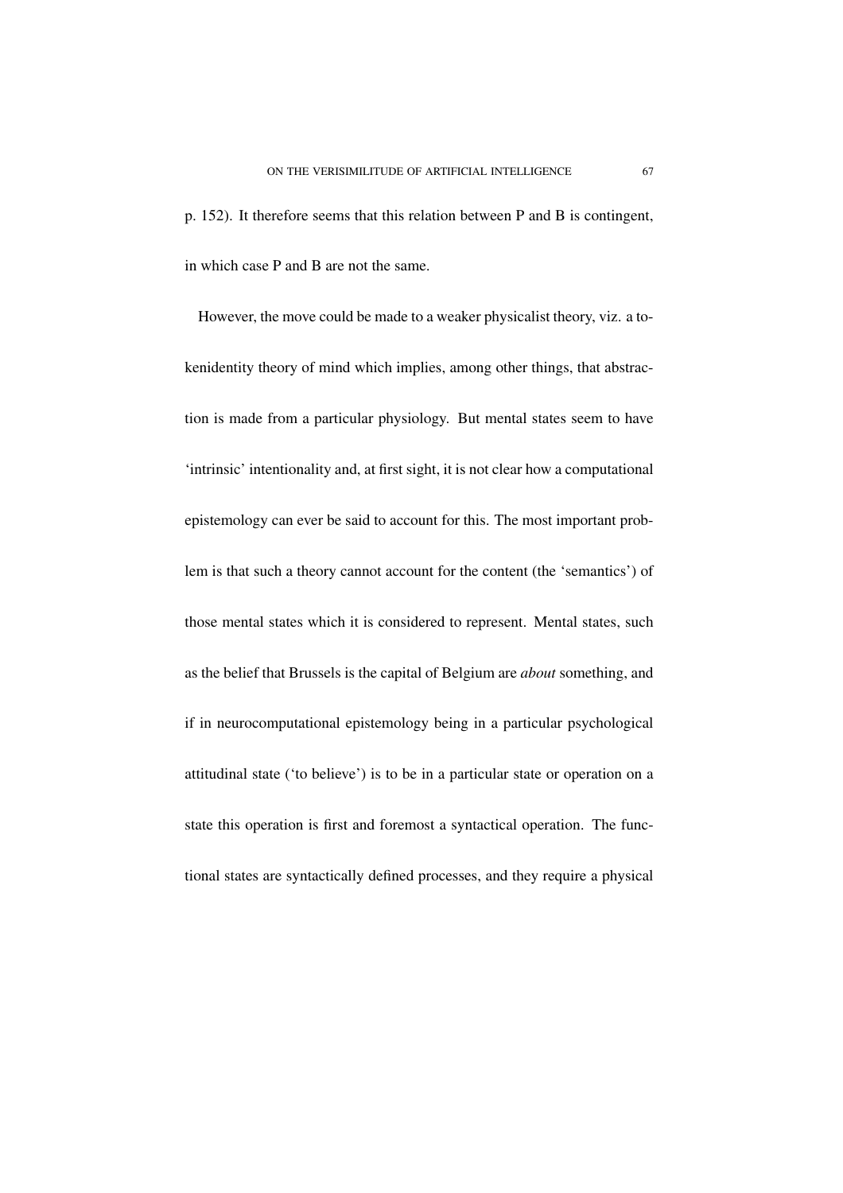p. 152). It therefore seems that this relation between P and B is contingent, in which case P and B are not the same.

However, the move could be made to a weaker physicalist theory, viz. a tokenidentity theory of mind which implies, among other things, that abstraction is made from a particular physiology. But mental states seem to have 'intrinsic' intentionality and, at first sight, it is not clear how a computational epistemology can ever be said to account for this. The most important problem is that such a theory cannot account for the content (the 'semantics') of those mental states which it is considered to represent. Mental states, such as the belief that Brussels is the capital of Belgium are *about* something, and if in neurocomputational epistemology being in a particular psychological attitudinal state ('to believe') is to be in a particular state or operation on a state this operation is first and foremost a syntactical operation. The functional states are syntactically defined processes, and they require a physical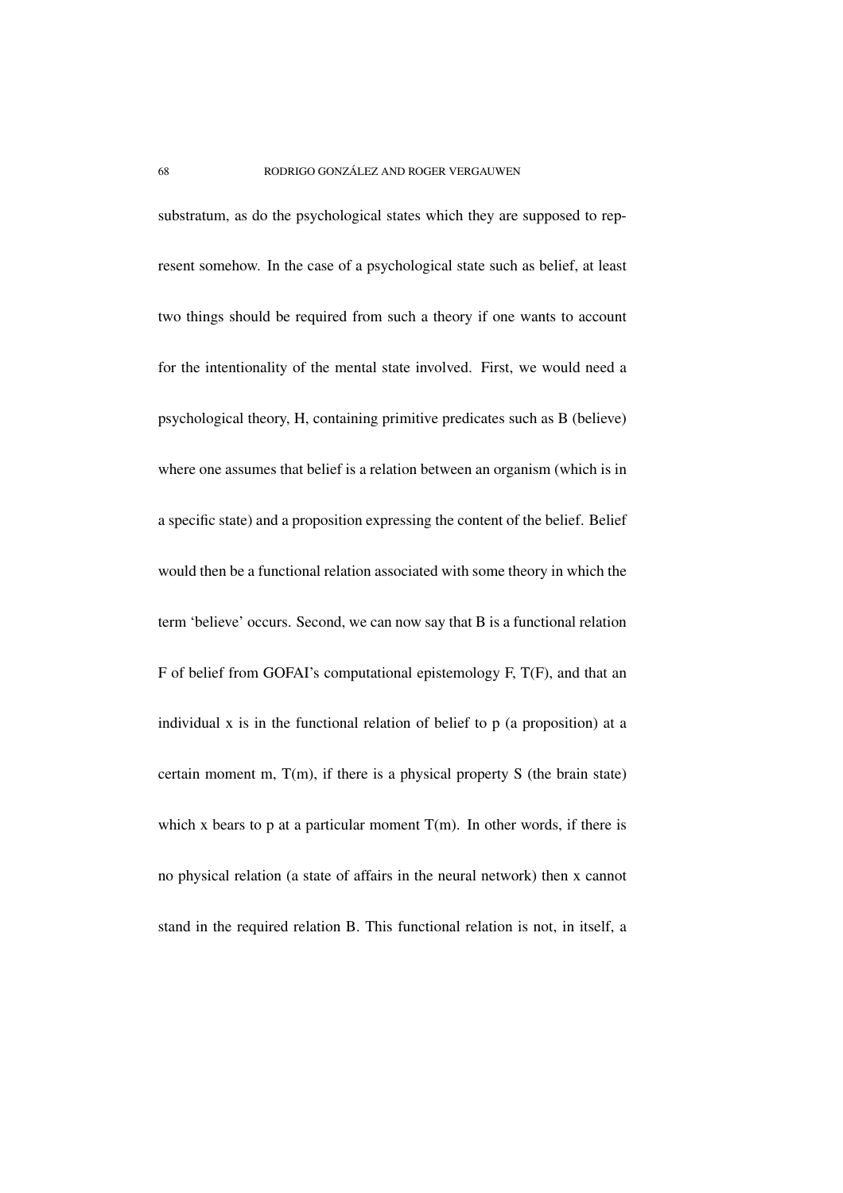substratum, as do the psychological states which they are supposed to represent somehow. In the case of a psychological state such as belief, at least two things should be required from such a theory if one wants to account for the intentionality of the mental state involved. First, we would need a psychological theory, H, containing primitive predicates such as B (believe) where one assumes that belief is a relation between an organism (which is in a specific state) and a proposition expressing the content of the belief. Belief would then be a functional relation associated with some theory in which the term 'believe' occurs. Second, we can now say that B is a functional relation F of belief from GOFAI's computational epistemology F, T(F), and that an individual x is in the functional relation of belief to p (a proposition) at a certain moment m, T(m), if there is a physical property S (the brain state) which x bears to p at a particular moment  $T(m)$ . In other words, if there is no physical relation (a state of affairs in the neural network) then x cannot stand in the required relation B. This functional relation is not, in itself, a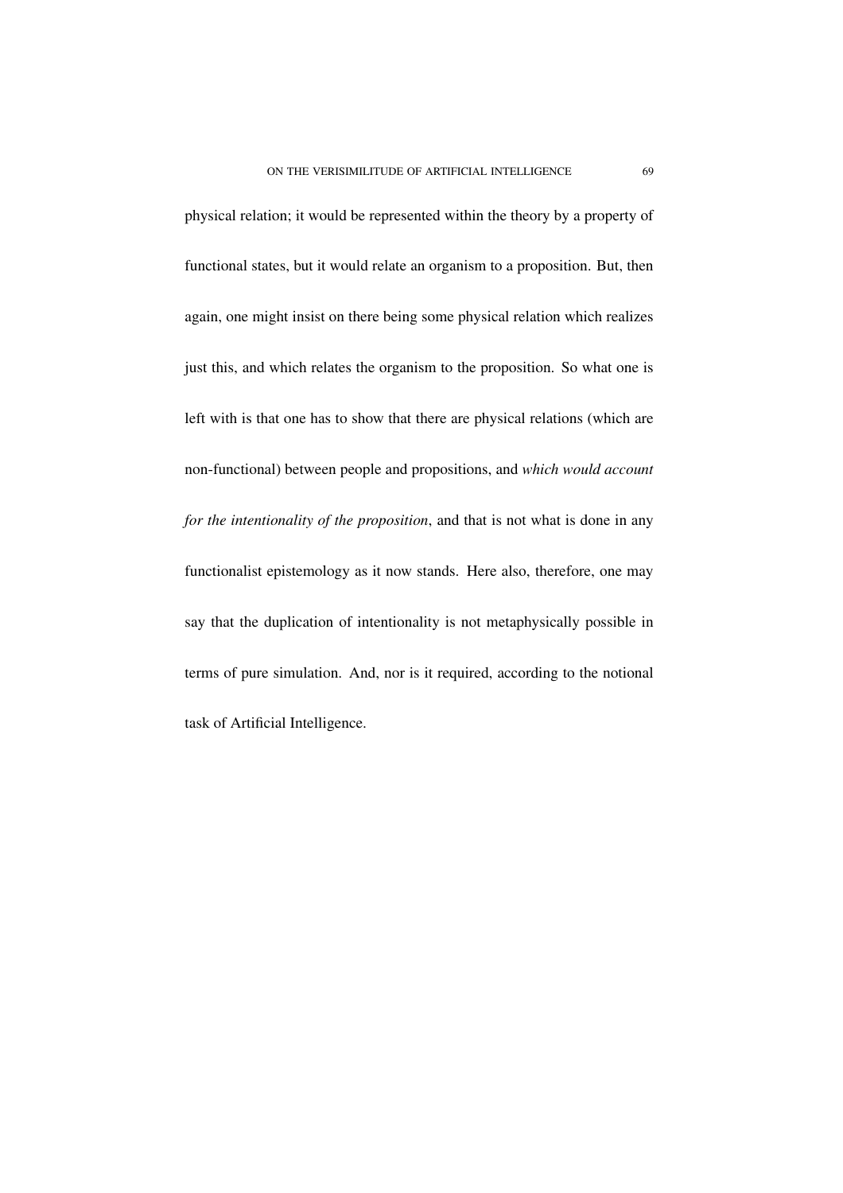physical relation; it would be represented within the theory by a property of functional states, but it would relate an organism to a proposition. But, then again, one might insist on there being some physical relation which realizes just this, and which relates the organism to the proposition. So what one is left with is that one has to show that there are physical relations (which are non-functional) between people and propositions, and *which would account for the intentionality of the proposition*, and that is not what is done in any functionalist epistemology as it now stands. Here also, therefore, one may say that the duplication of intentionality is not metaphysically possible in terms of pure simulation. And, nor is it required, according to the notional task of Artificial Intelligence.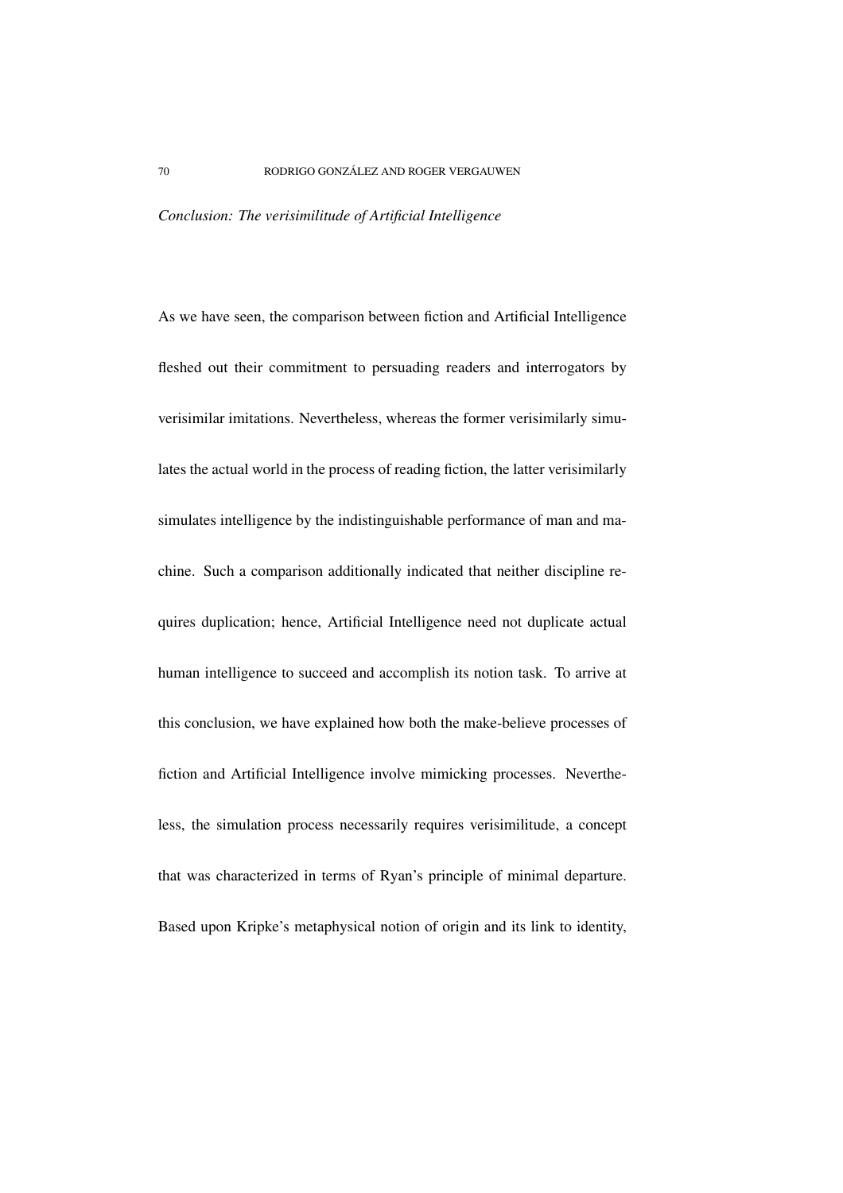## *Conclusion: The verisimilitude of Artificial Intelligence*

As we have seen, the comparison between fiction and Artificial Intelligence fleshed out their commitment to persuading readers and interrogators by verisimilar imitations. Nevertheless, whereas the former verisimilarly simulates the actual world in the process of reading fiction, the latter verisimilarly simulates intelligence by the indistinguishable performance of man and machine. Such a comparison additionally indicated that neither discipline requires duplication; hence, Artificial Intelligence need not duplicate actual human intelligence to succeed and accomplish its notion task. To arrive at this conclusion, we have explained how both the make-believe processes of fiction and Artificial Intelligence involve mimicking processes. Nevertheless, the simulation process necessarily requires verisimilitude, a concept that was characterized in terms of Ryan's principle of minimal departure. Based upon Kripke's metaphysical notion of origin and its link to identity,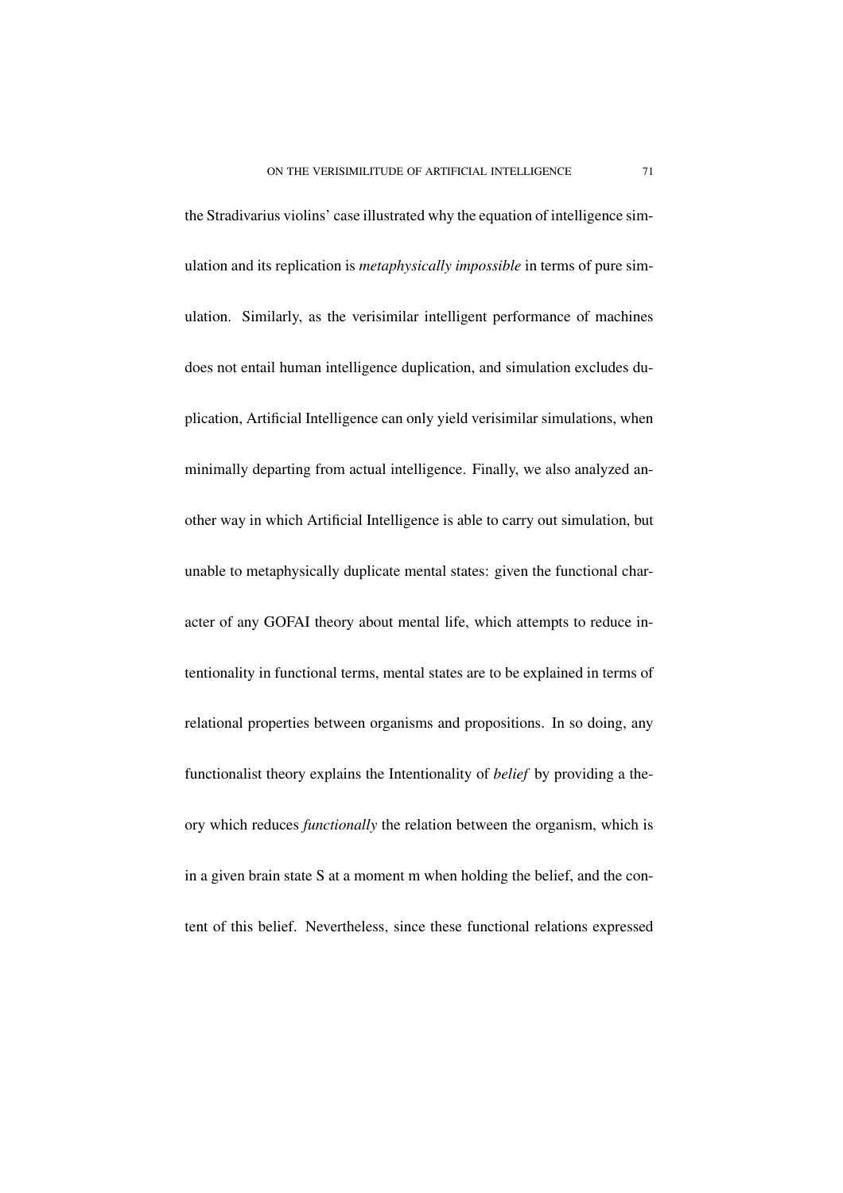the Stradivarius violins' case illustrated why the equation of intelligence simulation and its replication is *metaphysically impossible* in terms of pure simulation. Similarly, as the verisimilar intelligent performance of machines does not entail human intelligence duplication, and simulation excludes duplication, Artificial Intelligence can only yield verisimilar simulations, when minimally departing from actual intelligence. Finally, we also analyzed another way in which Artificial Intelligence is able to carry out simulation, but unable to metaphysically duplicate mental states: given the functional character of any GOFAI theory about mental life, which attempts to reduce intentionality in functional terms, mental states are to be explained in terms of relational properties between organisms and propositions. In so doing, any functionalist theory explains the Intentionality of *belief* by providing a theory which reduces *functionally* the relation between the organism, which is in a given brain state S at a moment m when holding the belief, and the content of this belief. Nevertheless, since these functional relations expressed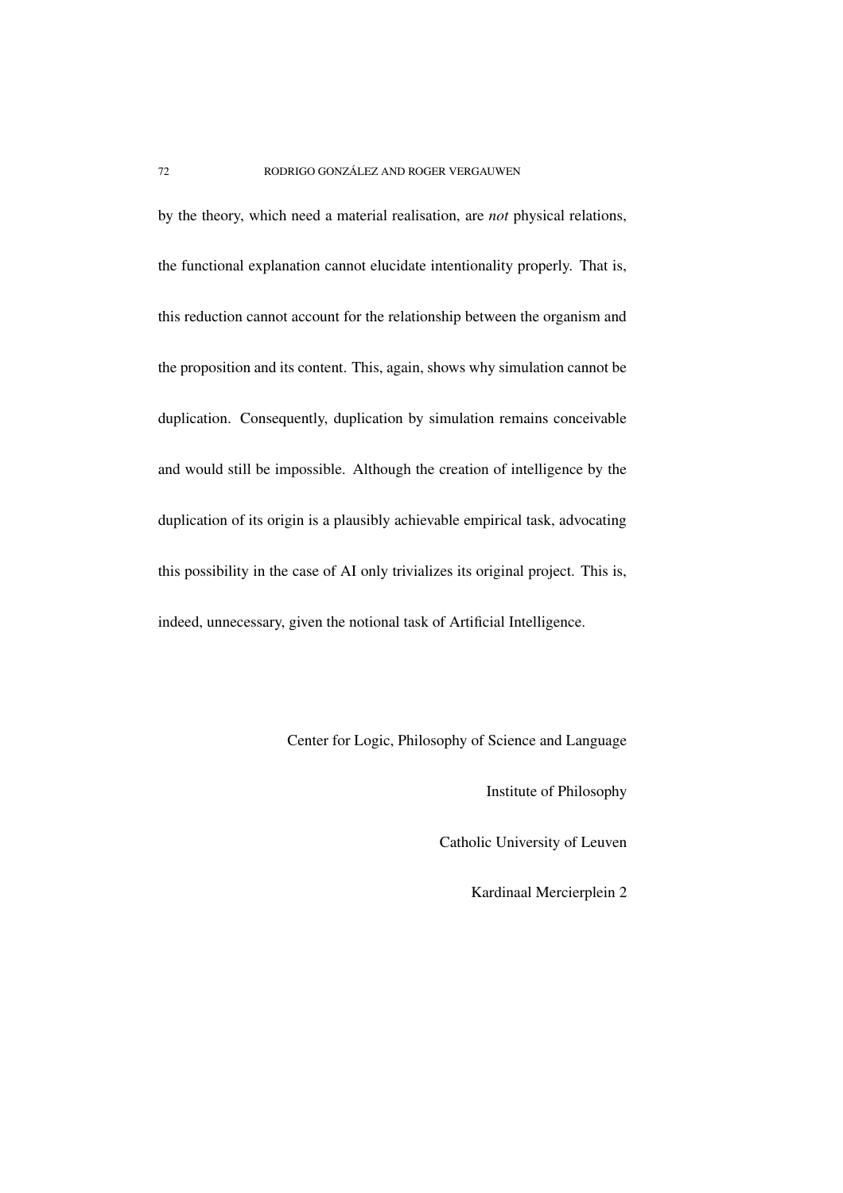by the theory, which need a material realisation, are *not* physical relations, the functional explanation cannot elucidate intentionality properly. That is, this reduction cannot account for the relationship between the organism and the proposition and its content. This, again, shows why simulation cannot be duplication. Consequently, duplication by simulation remains conceivable and would still be impossible. Although the creation of intelligence by the duplication of its origin is a plausibly achievable empirical task, advocating this possibility in the case of AI only trivializes its original project. This is, indeed, unnecessary, given the notional task of Artificial Intelligence.

Center for Logic, Philosophy of Science and Language

Institute of Philosophy

Catholic University of Leuven

Kardinaal Mercierplein 2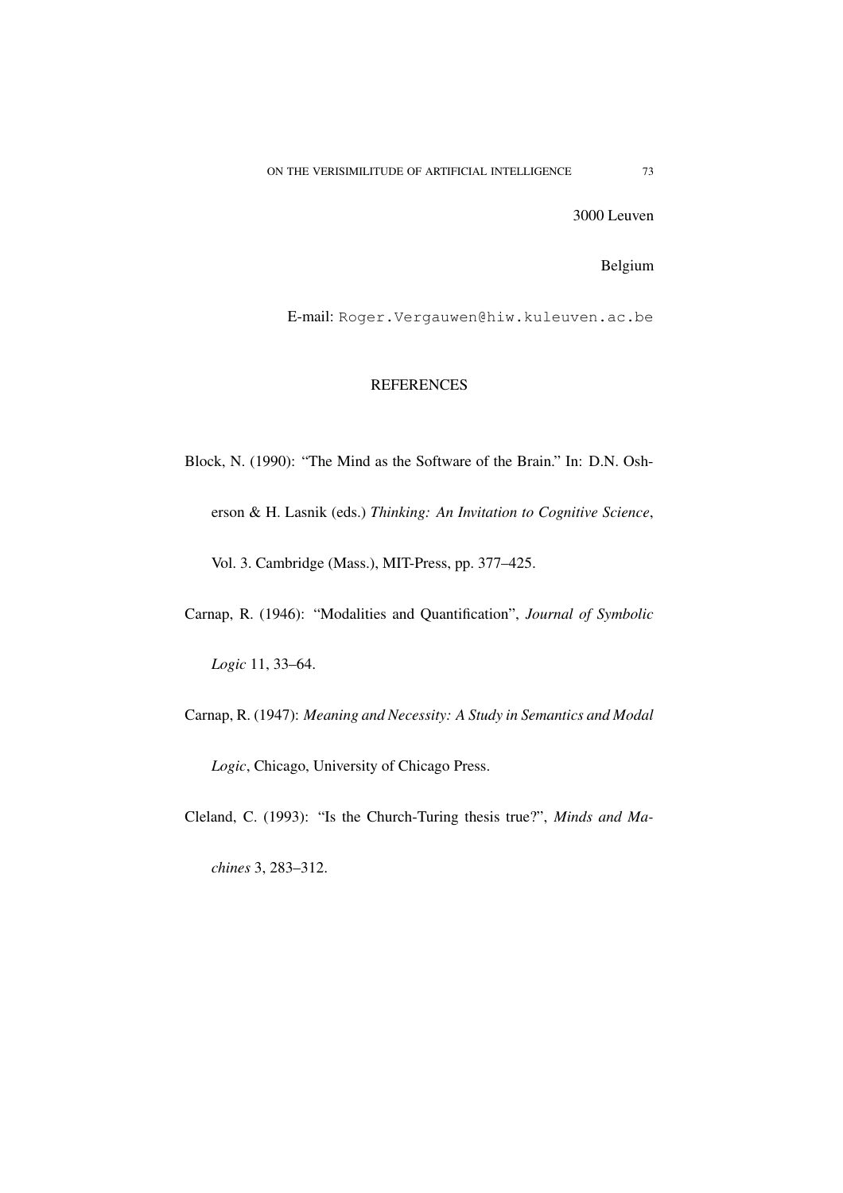3000 Leuven

Belgium

E-mail: Roger.Vergauwen@hiw.kuleuven.ac.be

## **REFERENCES**

Block, N. (1990): "The Mind as the Software of the Brain." In: D.N. Osherson & H. Lasnik (eds.) *Thinking: An Invitation to Cognitive Science*, Vol. 3. Cambridge (Mass.), MIT-Press, pp. 377–425.

Carnap, R. (1946): "Modalities and Quantification", *Journal of Symbolic*

*Logic* 11, 33–64.

Carnap, R. (1947): *Meaning and Necessity: A Study in Semantics and Modal*

*Logic*, Chicago, University of Chicago Press.

Cleland, C. (1993): "Is the Church-Turing thesis true?", *Minds and Ma-*

*chines* 3, 283–312.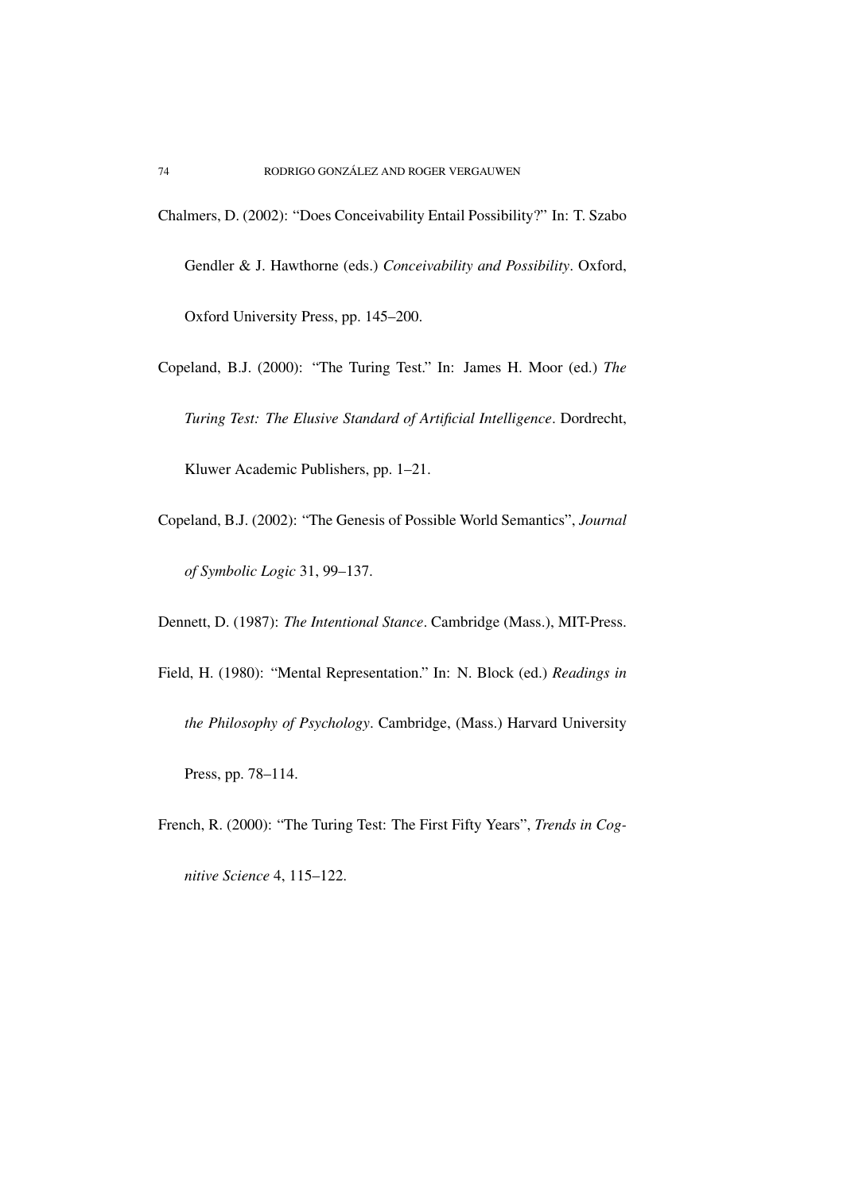- Chalmers, D. (2002): "Does Conceivability Entail Possibility?" In: T. Szabo Gendler & J. Hawthorne (eds.) *Conceivability and Possibility*. Oxford, Oxford University Press, pp. 145–200.
- Copeland, B.J. (2000): "The Turing Test." In: James H. Moor (ed.) *The Turing Test: The Elusive Standard of Artificial Intelligence*. Dordrecht,

Kluwer Academic Publishers, pp. 1–21.

Copeland, B.J. (2002): "The Genesis of Possible World Semantics", *Journal of Symbolic Logic* 31, 99–137.

Dennett, D. (1987): *The Intentional Stance*. Cambridge (Mass.), MIT-Press.

- Field, H. (1980): "Mental Representation." In: N. Block (ed.) *Readings in the Philosophy of Psychology*. Cambridge, (Mass.) Harvard University Press, pp. 78–114.
- French, R. (2000): "The Turing Test: The First Fifty Years", *Trends in Cog-*

*nitive Science* 4, 115–122.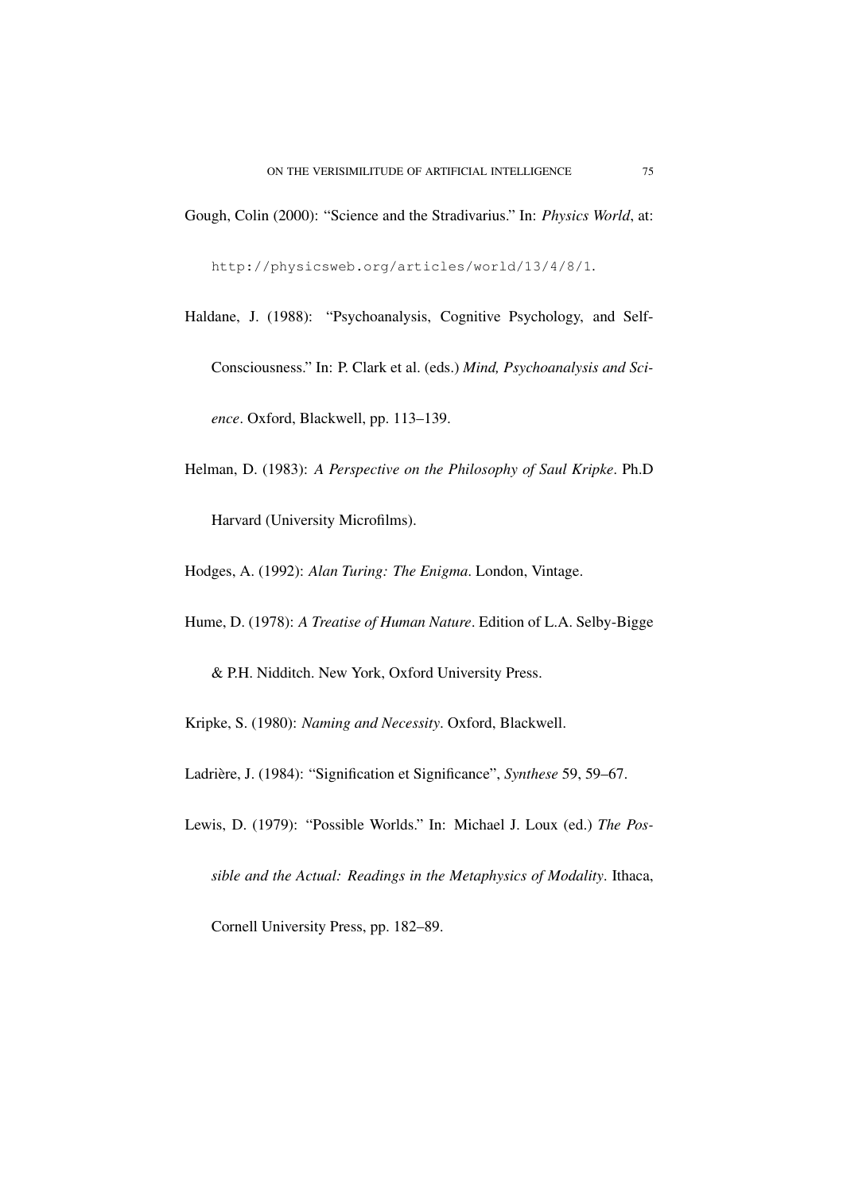Gough, Colin (2000): "Science and the Stradivarius." In: *Physics World*, at:

http://physicsweb.org/articles/world/13/4/8/1.

- Haldane, J. (1988): "Psychoanalysis, Cognitive Psychology, and Self-Consciousness." In: P. Clark et al. (eds.) *Mind, Psychoanalysis and Science*. Oxford, Blackwell, pp. 113–139.
- Helman, D. (1983): *A Perspective on the Philosophy of Saul Kripke*. Ph.D Harvard (University Microfilms).
- Hodges, A. (1992): *Alan Turing: The Enigma*. London, Vintage.
- Hume, D. (1978): *A Treatise of Human Nature*. Edition of L.A. Selby-Bigge

& P.H. Nidditch. New York, Oxford University Press.

Kripke, S. (1980): *Naming and Necessity*. Oxford, Blackwell.

Ladrière, J. (1984): "Signification et Significance", *Synthese* 59, 59–67.

Lewis, D. (1979): "Possible Worlds." In: Michael J. Loux (ed.) *The Pos-*

*sible and the Actual: Readings in the Metaphysics of Modality*. Ithaca,

Cornell University Press, pp. 182–89.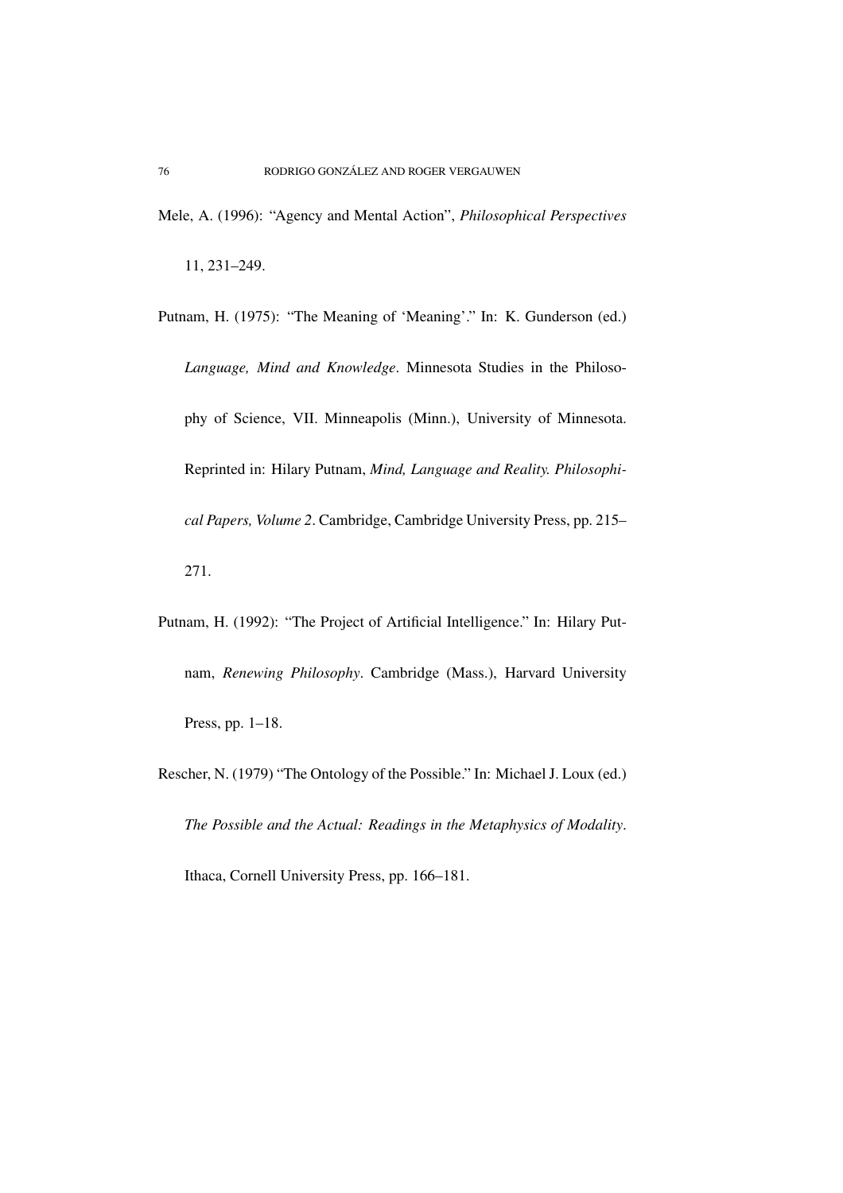Mele, A. (1996): "Agency and Mental Action", *Philosophical Perspectives*

11, 231–249.

- Putnam, H. (1975): "The Meaning of 'Meaning'." In: K. Gunderson (ed.) *Language, Mind and Knowledge*. Minnesota Studies in the Philosophy of Science, VII. Minneapolis (Minn.), University of Minnesota. Reprinted in: Hilary Putnam, *Mind, Language and Reality. Philosophical Papers, Volume 2*. Cambridge, Cambridge University Press, pp. 215– 271.
- Putnam, H. (1992): "The Project of Artificial Intelligence." In: Hilary Putnam, *Renewing Philosophy*. Cambridge (Mass.), Harvard University Press, pp. 1–18.
- Rescher, N. (1979) "The Ontology of the Possible." In: Michael J. Loux (ed.) *The Possible and the Actual: Readings in the Metaphysics of Modality*.

Ithaca, Cornell University Press, pp. 166–181.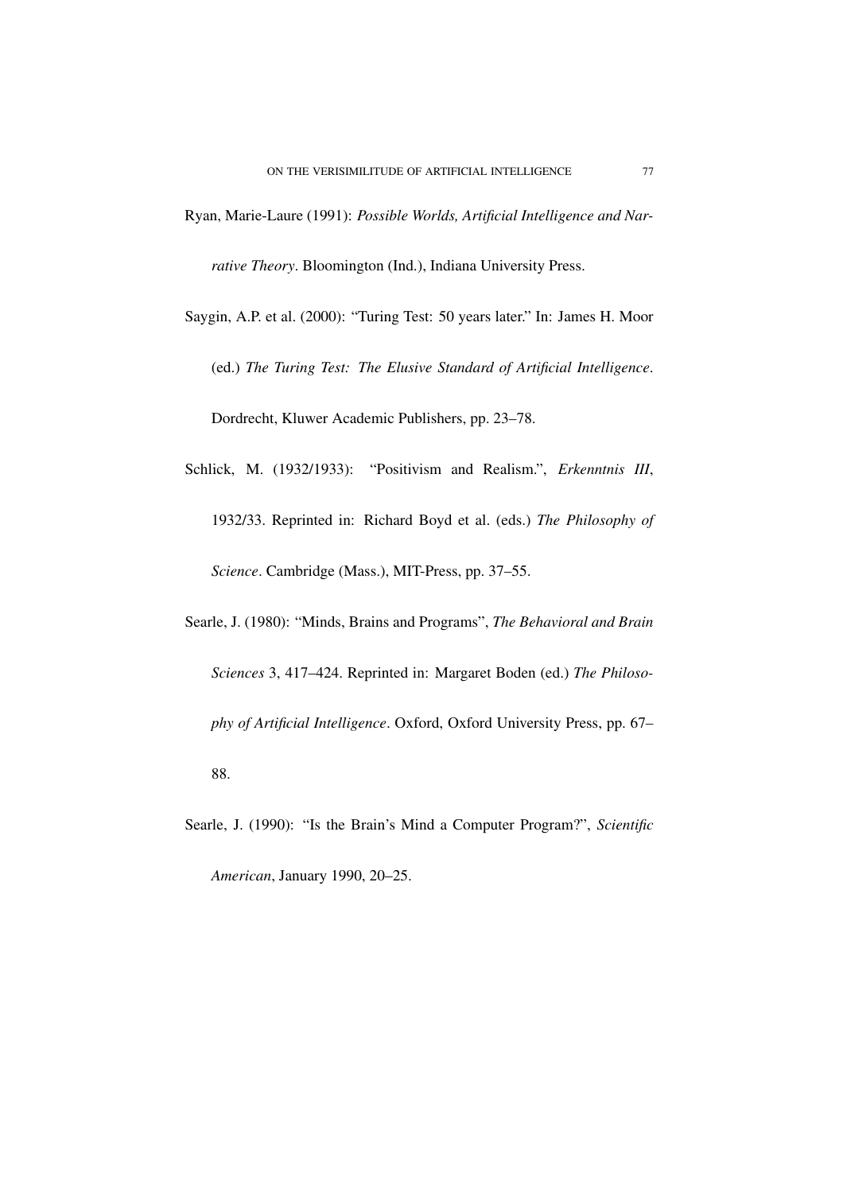- Ryan, Marie-Laure (1991): *Possible Worlds, Artificial Intelligence and Narrative Theory*. Bloomington (Ind.), Indiana University Press.
- Saygin, A.P. et al. (2000): "Turing Test: 50 years later." In: James H. Moor (ed.) *The Turing Test: The Elusive Standard of Artificial Intelligence*. Dordrecht, Kluwer Academic Publishers, pp. 23–78.
- Schlick, M. (1932/1933): "Positivism and Realism.", *Erkenntnis III*, 1932/33. Reprinted in: Richard Boyd et al. (eds.) *The Philosophy of Science*. Cambridge (Mass.), MIT-Press, pp. 37–55.
- Searle, J. (1980): "Minds, Brains and Programs", *The Behavioral and Brain Sciences* 3, 417–424. Reprinted in: Margaret Boden (ed.) *The Philosophy of Artificial Intelligence*. Oxford, Oxford University Press, pp. 67– 88.
- Searle, J. (1990): "Is the Brain's Mind a Computer Program?", *Scientific*

*American*, January 1990, 20–25.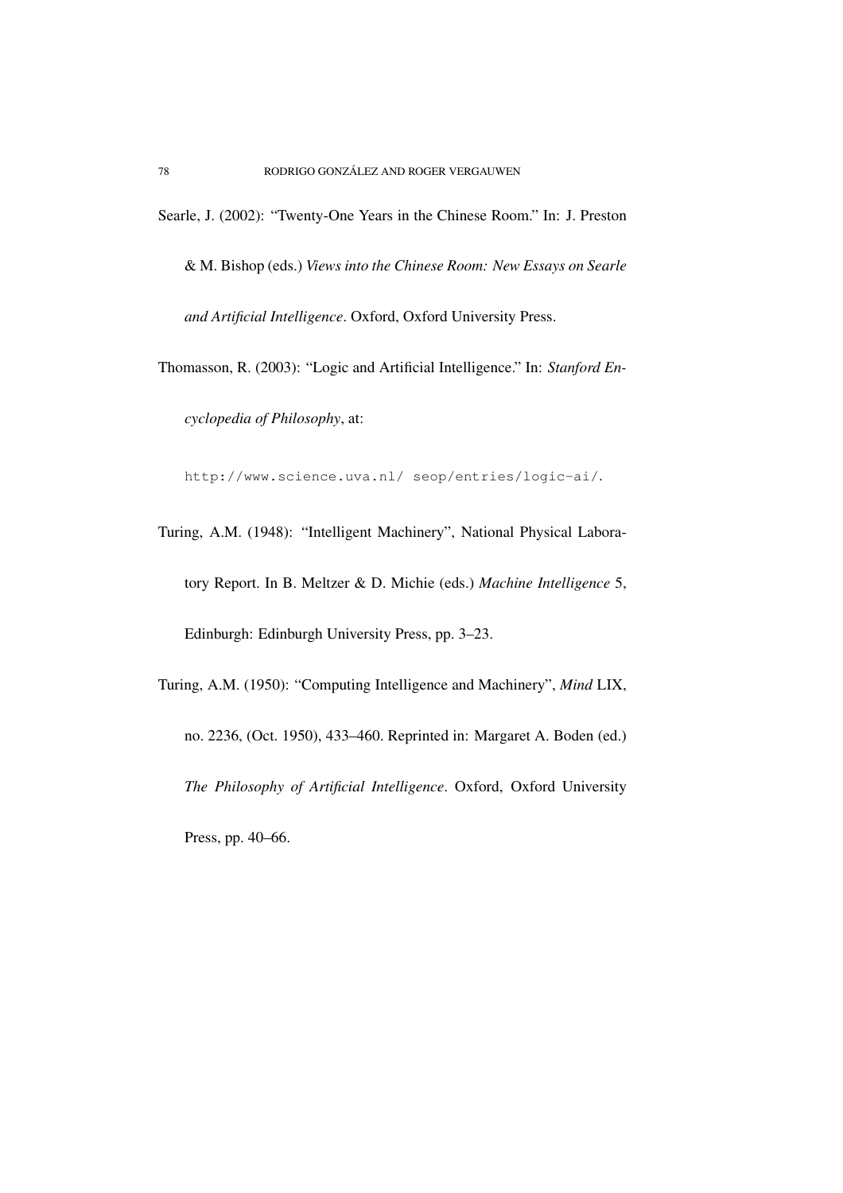- Searle, J. (2002): "Twenty-One Years in the Chinese Room." In: J. Preston
	- & M. Bishop (eds.) *Views into the Chinese Room: New Essays on Searle and Artificial Intelligence*. Oxford, Oxford University Press.
- Thomasson, R. (2003): "Logic and Artificial Intelligence." In: *Stanford Encyclopedia of Philosophy*, at:

http://www.science.uva.nl/ seop/entries/logic-ai/.

- Turing, A.M. (1948): "Intelligent Machinery", National Physical Laboratory Report. In B. Meltzer & D. Michie (eds.) *Machine Intelligence* 5, Edinburgh: Edinburgh University Press, pp. 3–23.
- Turing, A.M. (1950): "Computing Intelligence and Machinery", *Mind* LIX, no. 2236, (Oct. 1950), 433–460. Reprinted in: Margaret A. Boden (ed.) *The Philosophy of Artificial Intelligence*. Oxford, Oxford University Press, pp. 40–66.